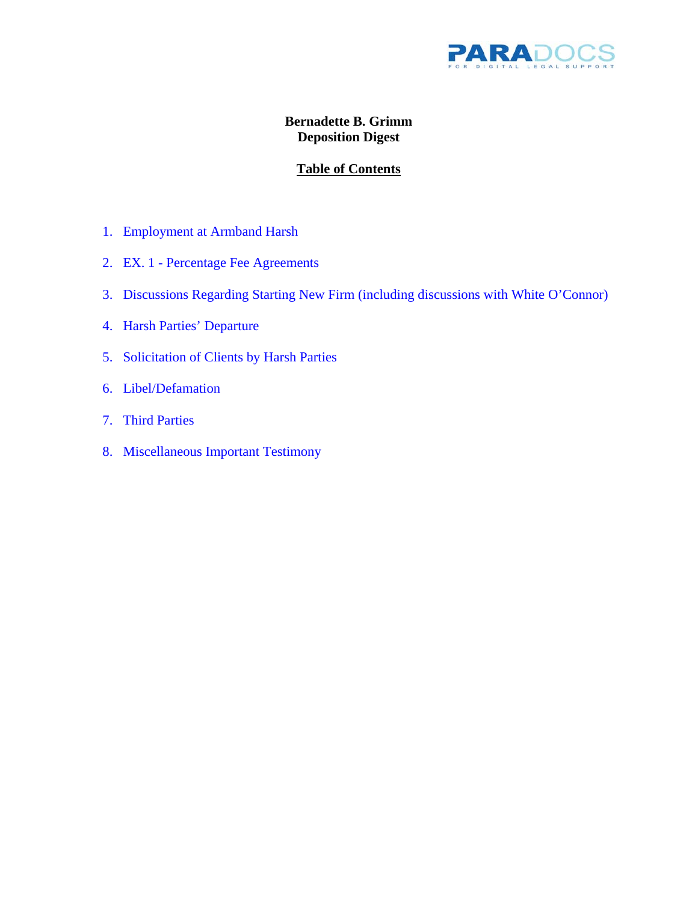

## **Bernadette B. Grimm Deposition Digest**

# **Table of Contents**

- <span id="page-0-0"></span>1. [Employment at Armband Harsh](#page-1-0)
- 2. EX. 1 [Percentage Fee Agreements](#page-1-0)
- 3. [Discussions Regarding Starting New Firm \(including discussions with White O'Connor\)](#page-2-0)
- 4. [Harsh Parties' Departure](#page-2-0)
- 5. [Solicitation of Clients by Harsh Parties](#page-3-0)
- 6. [Libel/Defamation](#page-3-0)
- 7. [Third Parties](#page-4-0)
- 8. [Miscellaneous Important Testimony](#page-4-0)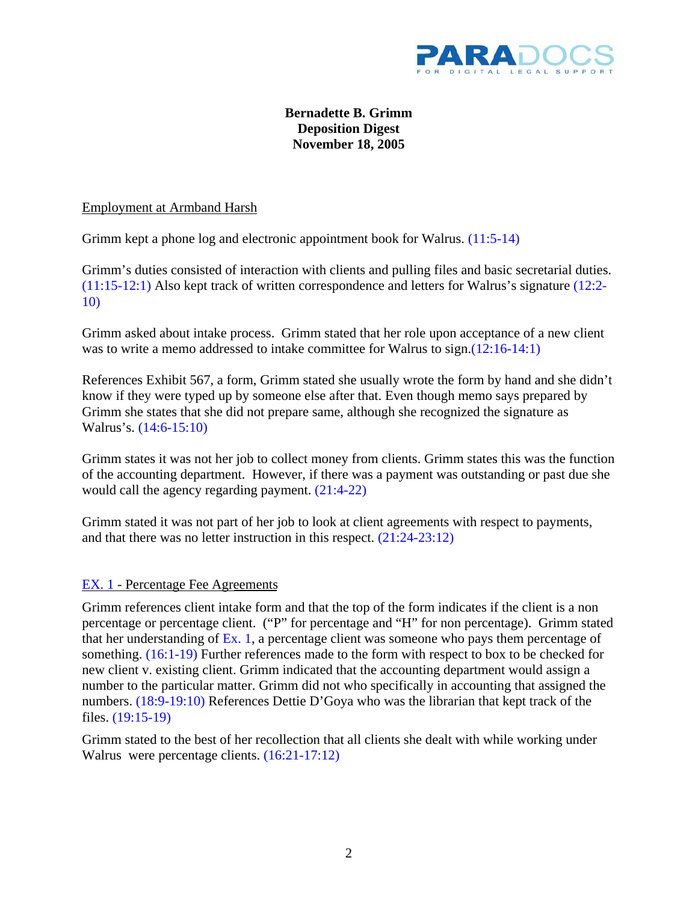

## **Bernadette B. Grimm Deposition Digest November 18, 2005**

<span id="page-1-0"></span>Employment at Armband Harsh

Grimm kept a phone log and electronic appointment book for Walrus. [\(11:5-14\)](#page-16-0)

Grimm's duties consisted of interaction with clients and pulling files and basic secretarial duties. [\(11:15-12:1\)](#page-16-0) Also kept track of written correspondence and letters for Walrus's signatur[e \(12:2-](#page-12-0) [10\)](#page-12-0)

Grimm asked about intake process. Grimm stated that her role upon acceptance of a new client was to write a memo addressed to intake committee for Walrus to sign.(12:16-14:1)

References Exhibit 567, a form, Grimm stated she usually wrote the form by hand and she didn't know if they were typed up by someone else after that. Even though memo says prepared by Grimm she states that she did not prepare same, although she recognized the signature as Walrus's. [\(14:6-15:10\)](#page-19-0) 

Grimm states it was not her job to collect money from clients. Grimm states this was the function of the accounting department. However, if there was a payment was outstanding or past due she would call the agency regarding payment. [\(21:4-22\)](#page-26-0) 

Grimm stated it was not part of her job to look at client agreements with respect to payments, and that there was no letter instruction in this respect. [\(21:24-23:12\)](#page-26-0) 

## [EX. 1 -](#page-0-0) Percentage Fee Agreements

Grimm references client intake form and that the top of the form indicates if the client is a non percentage or percentage client. ("P" for percentage and "H" for non percentage). Grimm stated that her understanding of  $Ex. 1$ , a percentage client was someone who pays them percentage of something. [\(16:1-19\)](#page-21-0) Further references made to the form with respect to box to be checked for new client v. existing client. Grimm indicated that the accounting department would assign a number to the particular matter. Grimm did not who specifically in accounting that assigned the numbers. [\(18:9-19:10\)](#page-23-0) References Dettie D'Goya who was the librarian that kept track of the files. [\(19:15-19\)](#page-24-0)

Grimm stated to the best of her recollection that all clients she dealt with while working under Walrus were percentage clients. [\(16:21-17:12\)](#page-21-0)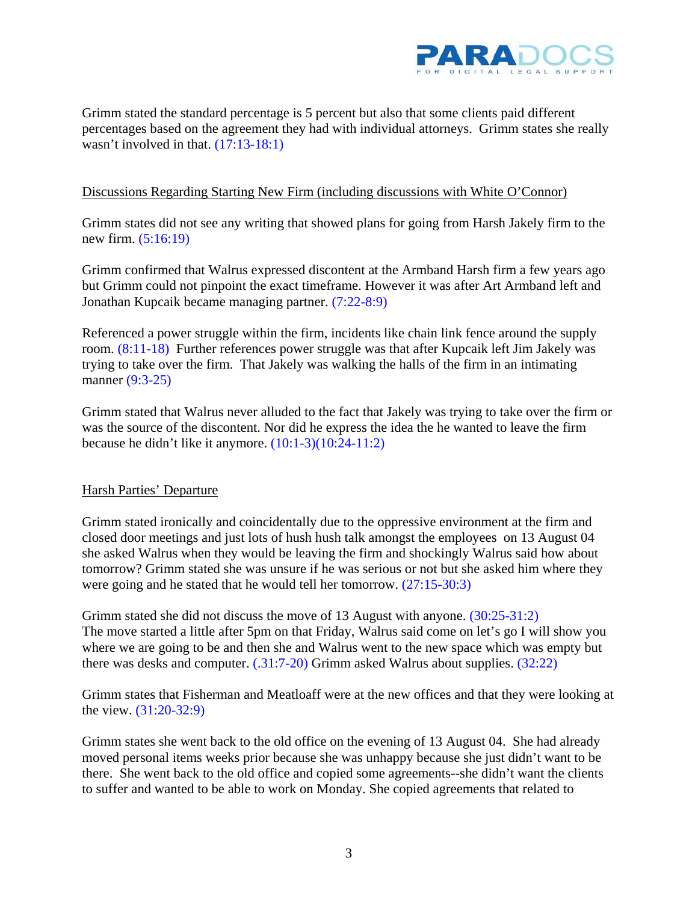

<span id="page-2-0"></span>Grimm stated the standard percentage is 5 percent but also that some clients paid different percentages based on the agreement they had with individual attorneys. Grimm states she really wasn't involved in that.  $(17:13-18:1)$ 

### Discussions Regarding Starting New Firm (including discussions with White O'Connor)

Grimm states did not see any writing that showed plans for going from Harsh Jakely firm to the new firm. [\(5:16:19\)](#page-10-0) 

Grimm confirmed that Walrus expressed discontent at the Armband Harsh firm a few years ago but Grimm could not pinpoint the exact timeframe. However it was after Art Armband left and Jonathan Kupcaik became managing partner. [\(7:22-8:9\)](#page-12-0) 

Referenced a power struggle within the firm, incidents like chain link fence around the supply room[. \(8:11-18\)](#page-13-0) Further references power struggle was that after Kupcaik left Jim Jakely was trying to take over the firm. That Jakely was walking the halls of the firm in an intimating manner (9:3-25)

Grimm stated that Walrus never alluded to the fact that Jakely was trying to take over the firm or was the source of the discontent. Nor did he express the idea the he wanted to leave the firm because he didn't like it anymore. [\(10:1-3\)\(10:24-11:2\)](#page-15-0) 

#### Harsh Parties' Departure

Grimm stated ironically and coincidentally due to the oppressive environment at the firm and closed door meetings and just lots of hush hush talk amongst the employees on 13 August 04 she asked Walrus when they would be leaving the firm and shockingly Walrus said how about tomorrow? Grimm stated she was unsure if he was serious or not but she asked him where they were going and he stated that he would tell her tomorrow. [\(27:15-30:3\)](#page-32-0)

Grimm stated she did not discuss the move of 13 August with anyone. [\(30:25-31:2\)](#page-35-0)  The move started a little after 5pm on that Friday, Walrus said come on let's go I will show you where we are going to be and then she and Walrus went to the new space which was empty but there was desks and computer. [\(.31:7-20\)](#page-36-0) Grimm asked Walrus about supplies. [\(32:22\)](#page-37-0) 

Grimm states that Fisherman and Meatloaff were at the new offices and that they were looking at the view. [\(31:20-32:9\)](#page-36-0)

Grimm states she went back to the old office on the evening of 13 August 04. She had already moved personal items weeks prior because she was unhappy because she just didn't want to be there. She went back to the old office and copied some agreements--she didn't want the clients to suffer and wanted to be able to work on Monday. She copied agreements that related to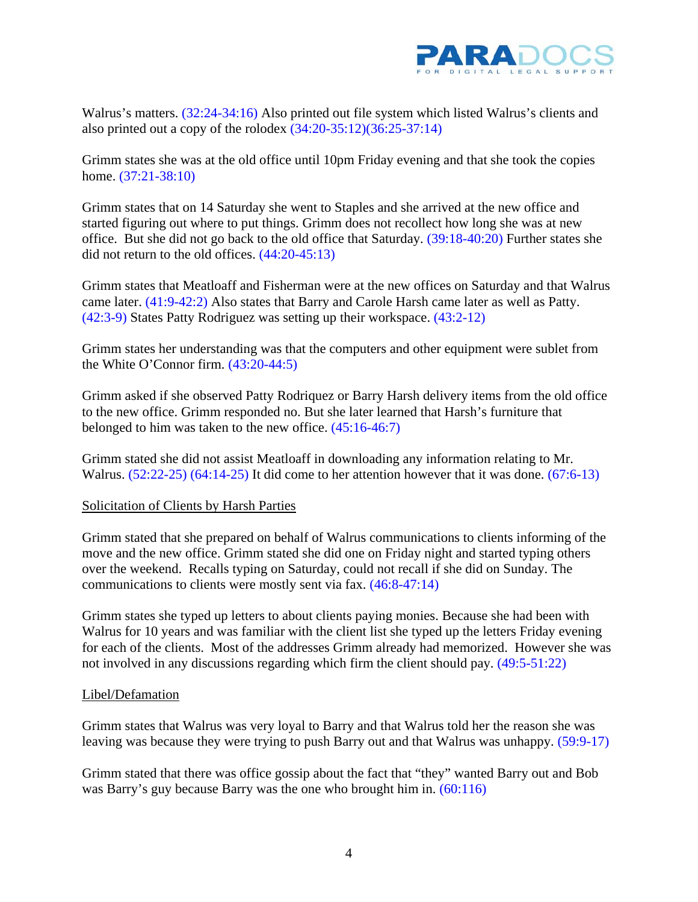

<span id="page-3-0"></span>Walrus's matters. [\(32:24-34:16\)](#page-37-0) Also printed out file system which listed Walrus's clients and also printed out a copy of the rolodex  $(34:20-35:12)(36:25-37:14)$ 

Grimm states she was at the old office until 10pm Friday evening and that she took the copies home. [\(37:21-38:10\)](#page-42-0) 

Grimm states that on 14 Saturday she went to Staples and she arrived at the new office and started figuring out where to put things. Grimm does not recollect how long she was at new office. But she did not go back to the old office that Saturday. [\(39:18-40:20\)](#page-44-0) Further states she did not return to the old offices. [\(44:20-45:13\)](#page-49-0) 

Grimm states that Meatloaff and Fisherman were at the new offices on Saturday and that Walrus came later. [\(41:9-42:2\)](#page-46-0) Also states that Barry and Carole Harsh came later as well as Patty. [\(42:3-9\)](#page-47-0) States Patty Rodriguez was setting up their workspace[. \(43:2-12\)](#page-48-0) 

Grimm states her understanding was that the computers and other equipment were sublet from the White O'Connor firm. [\(43:20-44:5\)](#page-48-0) 

Grimm asked if she observed Patty Rodriquez or Barry Harsh delivery items from the old office to the new office. Grimm responded no. But she later learned that Harsh's furniture that belonged to him was taken to the new office. [\(45:16-46:7\)](#page-50-0) 

Grimm stated she did not assist Meatloaff in downloading any information relating to Mr. Walrus. [\(52:22-25\)](#page-57-0) [\(64:14-25\)](#page-69-0) It did come to her attention however that it was done. [\(67:6-13\)](#page-72-0) 

## Solicitation of Clients by Harsh Parties

Grimm stated that she prepared on behalf of Walrus communications to clients informing of the move and the new office. Grimm stated she did one on Friday night and started typing others over the weekend. Recalls typing on Saturday, could not recall if she did on Sunday. The communications to clients were mostly sent via fax. [\(46:8-47:14\)](#page-51-0) 

Grimm states she typed up letters to about clients paying monies. Because she had been with Walrus for 10 years and was familiar with the client list she typed up the letters Friday evening for each of the clients. Most of the addresses Grimm already had memorized. However she was not involved in any discussions regarding which firm the client should pay[. \(49:5-51:22\)](#page-54-0) 

## Libel/Defamation

Grimm states that Walrus was very loyal to Barry and that Walrus told her the reason she was leaving was because they were trying to push Barry out and that Walrus was unhappy. [\(59:9-17\)](#page-64-0)

Grimm stated that there was office gossip about the fact that "they" wanted Barry out and Bob was Barry's guy because Barry was the one who brought him in. [\(60:116\)](#page-65-0)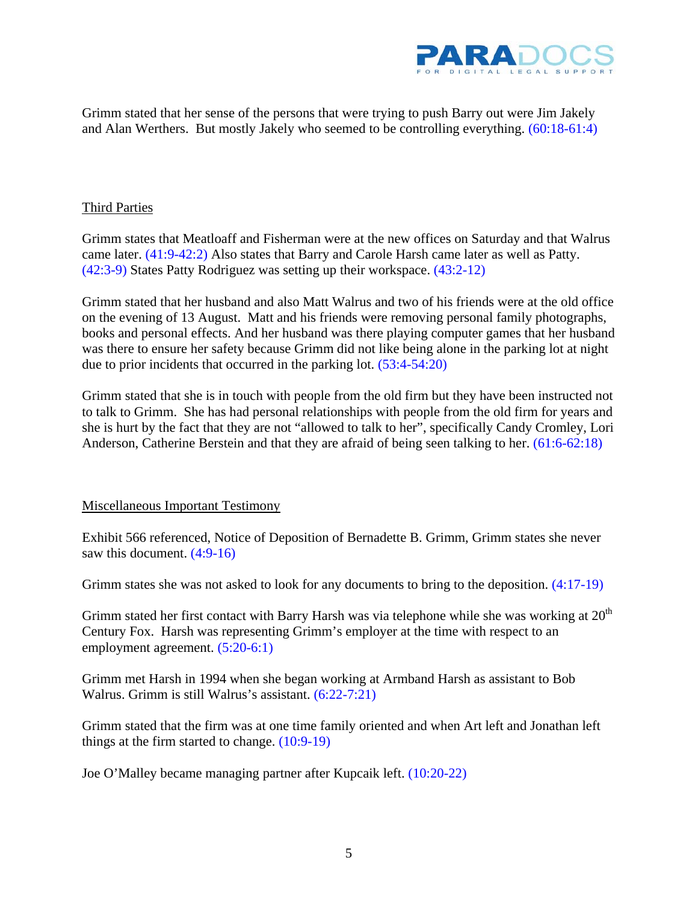

<span id="page-4-0"></span>Grimm stated that her sense of the persons that were trying to push Barry out were Jim Jakely and Alan Werthers. But mostly Jakely who seemed to be controlling everything[. \(60:18-61:4\)](#page-65-0) 

## Third Parties

Grimm states that Meatloaff and Fisherman were at the new offices on Saturday and that Walrus came later. [\(41:9-42:2\)](#page-46-0) Also states that Barry and Carole Harsh came later as well as Patty. [\(42:3-9\)](#page-47-0) States Patty Rodriguez was setting up their workspace. [\(43:2-12\)](#page-48-0) 

Grimm stated that her husband and also Matt Walrus and two of his friends were at the old office on the evening of 13 August. Matt and his friends were removing personal family photographs, books and personal effects. And her husband was there playing computer games that her husband was there to ensure her safety because Grimm did not like being alone in the parking lot at night due to prior incidents that occurred in the parking lot[. \(53:4-54:20\)](#page-58-0) 

Grimm stated that she is in touch with people from the old firm but they have been instructed not to talk to Grimm. She has had personal relationships with people from the old firm for years and she is hurt by the fact that they are not "allowed to talk to her", specifically Candy Cromley, Lori Anderson, Catherine Berstein and that they are afraid of being seen talking to her. [\(61:6-62:18\)](#page-66-0)

## Miscellaneous Important Testimony

Exhibit 566 referenced, Notice of Deposition of Bernadette B. Grimm, Grimm states she never saw this document. [\(4:9-16\)](#page-9-0) 

Grimm states she was not asked to look for any documents to bring to the deposition. [\(4:17-19\)](#page-9-0) 

Grimm stated her first contact with Barry Harsh was via telephone while she was working at  $20<sup>th</sup>$ Century Fox. Harsh was representing Grimm's employer at the time with respect to an employment agreement. [\(5:20-6:1\)](#page-10-0) 

Grimm met Harsh in 1994 when she began working at Armband Harsh as assistant to Bob Walrus. Grimm is still Walrus's assistant. [\(6:22-7:21\)](#page-11-0) 

Grimm stated that the firm was at one time family oriented and when Art left and Jonathan left things at the firm started to change. [\(10:9-19\)](#page-15-0) 

Joe O'Malley became managing partner after Kupcaik left. [\(10:20-22\)](#page-15-0)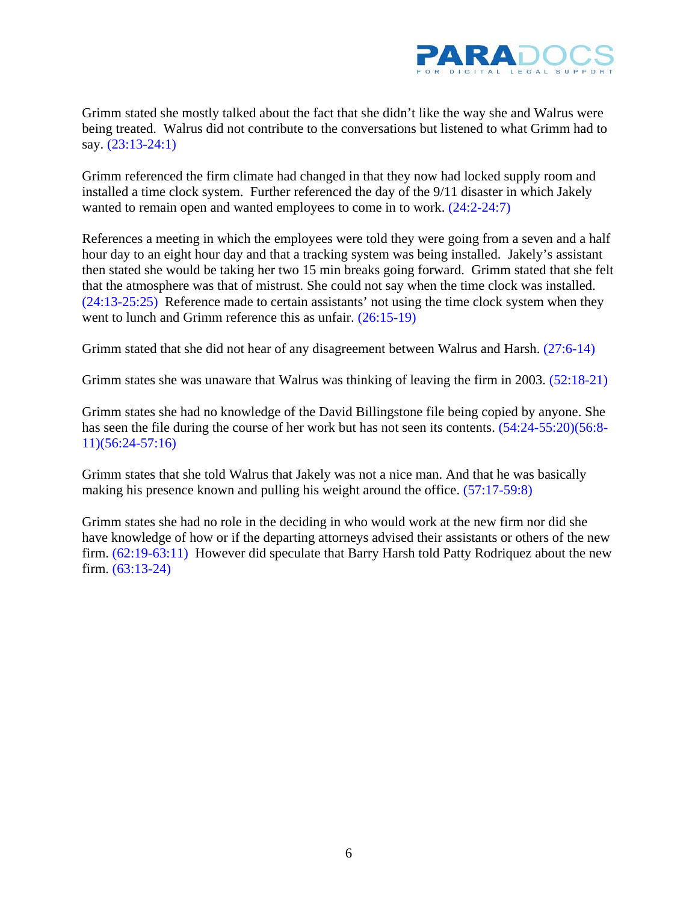

Grimm stated she mostly talked about the fact that she didn't like the way she and Walrus were being treated. Walrus did not contribute to the conversations but listened to what Grimm had to say. [\(23:13-24:1\)](#page-28-0) 

Grimm referenced the firm climate had changed in that they now had locked supply room and installed a time clock system. Further referenced the day of the 9/11 disaster in which Jakely wanted to remain open and wanted employees to come in to work.  $(24:2-24:7)$ 

References a meeting in which the employees were told they were going from a seven and a half hour day to an eight hour day and that a tracking system was being installed. Jakely's assistant then stated she would be taking her two 15 min breaks going forward. Grimm stated that she felt that the atmosphere was that of mistrust. She could not say when the time clock was installed. [\(24:13-25:25\)](#page-29-0) Reference made to certain assistants' not using the time clock system when they went to lunch and Grimm reference this as unfair. [\(26:15-19\)](#page-31-0)

Grimm stated that she did not hear of any disagreement between Walrus and Harsh. [\(27:6-14\)](#page-32-0)

Grimm states she was unaware that Walrus was thinking of leaving the firm in 2003. [\(52:18-21\)](#page-57-0) 

Grimm states she had no knowledge of the David Billingstone file being copied by anyone. She has seen the file during the course of her work but has not seen its contents. [\(54:24-55:20\)](#page-59-0)[\(56:8-](#page-61-0) [11\)\(56:24-57:16\)](#page-61-0)

Grimm states that she told Walrus that Jakely was not a nice man. And that he was basically making his presence known and pulling his weight around the office. [\(57:17-59:8\)](#page-62-0) 

Grimm states she had no role in the deciding in who would work at the new firm nor did she have knowledge of how or if the departing attorneys advised their assistants or others of the new firm. [\(62:19-63:11\)](#page-67-0) However did speculate that Barry Harsh told Patty Rodriquez about the new firm. [\(63:13-24\)](#page-68-0)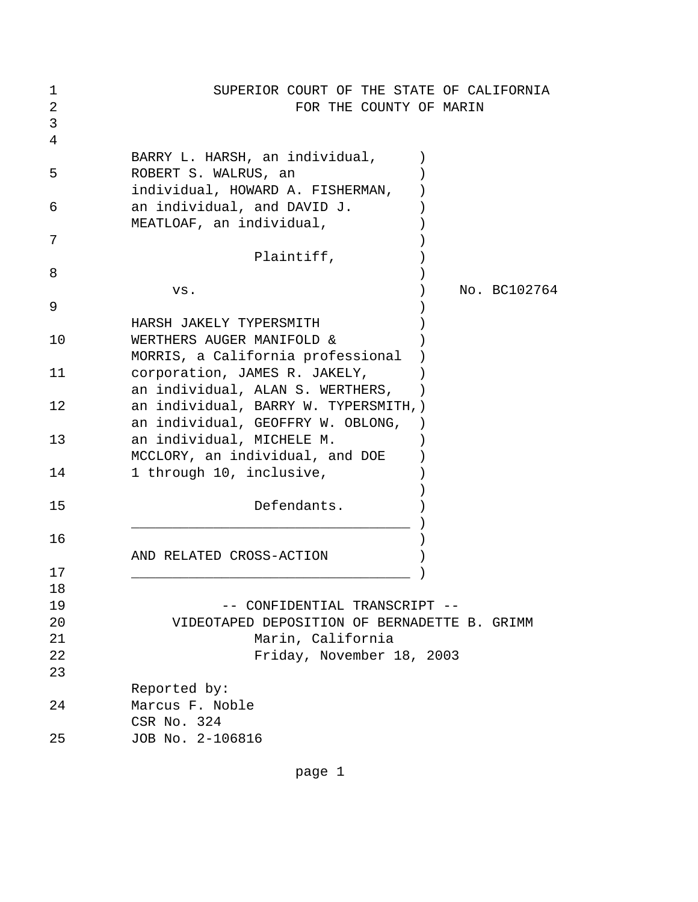| 1<br>2<br>3 | SUPERIOR COURT OF THE STATE OF CALIFORNIA<br>FOR THE COUNTY OF MARIN                      |
|-------------|-------------------------------------------------------------------------------------------|
| 4           | BARRY L. HARSH, an individual,                                                            |
| 5           | ROBERT S. WALRUS, an<br>individual, HOWARD A. FISHERMAN,                                  |
| 6           | an individual, and DAVID J.<br>MEATLOAF, an individual,                                   |
| 7           | Plaintiff,                                                                                |
| 8           |                                                                                           |
| 9           | No. BC102764<br>VS.                                                                       |
| 10          | HARSH JAKELY TYPERSMITH<br>WERTHERS AUGER MANIFOLD &<br>MORRIS, a California professional |
| 11          | corporation, JAMES R. JAKELY,<br>an individual, ALAN S. WERTHERS,                         |
| 12          | an individual, BARRY W. TYPERSMITH, )<br>an individual, GEOFFRY W. OBLONG,                |
| 13          | an individual, MICHELE M.<br>MCCLORY, an individual, and DOE                              |
| 14          | 1 through 10, inclusive,                                                                  |
| 15          | Defendants.                                                                               |
| 16          | AND RELATED CROSS-ACTION                                                                  |
| 17          |                                                                                           |
| 18          |                                                                                           |
| 19<br>20    | -- CONFIDENTIAL TRANSCRIPT --<br>VIDEOTAPED DEPOSITION OF BERNADETTE B. GRIMM             |
| 21          | Marin, California                                                                         |
| 22          | Friday, November 18, 2003                                                                 |
| 23          |                                                                                           |
|             | Reported by:                                                                              |
| 24          | Marcus F. Noble<br>CSR No. 324                                                            |
| 25          | JOB No. 2-106816                                                                          |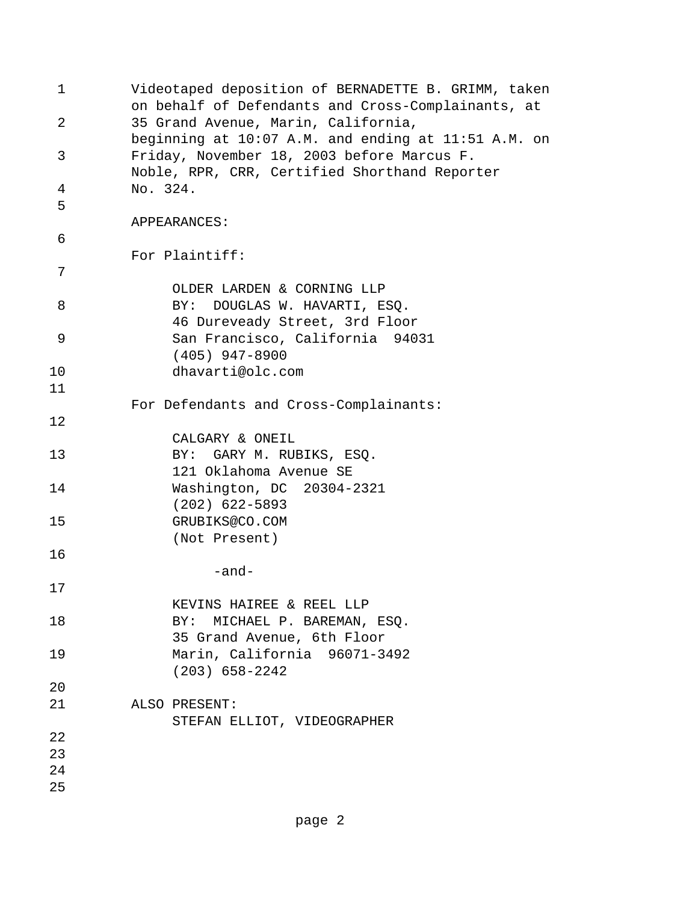| 1  | Videotaped deposition of BERNADETTE B. GRIMM, taken<br>on behalf of Defendants and Cross-Complainants, at |
|----|-----------------------------------------------------------------------------------------------------------|
| 2  | 35 Grand Avenue, Marin, California,<br>beginning at 10:07 A.M. and ending at 11:51 A.M. on                |
| 3  | Friday, November 18, 2003 before Marcus F.<br>Noble, RPR, CRR, Certified Shorthand Reporter               |
| 4  | No. 324.                                                                                                  |
| 5  | APPEARANCES:                                                                                              |
| 6  |                                                                                                           |
| 7  | For Plaintiff:                                                                                            |
| 8  | OLDER LARDEN & CORNING LLP<br>BY: DOUGLAS W. HAVARTI, ESQ.<br>46 Dureveady Street, 3rd Floor              |
| 9  | San Francisco, California 94031<br>$(405)$ 947-8900                                                       |
| 10 | dhavarti@olc.com                                                                                          |
| 11 |                                                                                                           |
|    | For Defendants and Cross-Complainants:                                                                    |
| 12 | CALGARY & ONEIL                                                                                           |
| 13 | BY: GARY M. RUBIKS, ESQ.<br>121 Oklahoma Avenue SE                                                        |
| 14 | Washington, DC 20304-2321<br>$(202)$ 622-5893                                                             |
| 15 | GRUBIKS@CO.COM                                                                                            |
| 16 | (Not Present)                                                                                             |
|    | -and-                                                                                                     |
| 17 |                                                                                                           |
|    | KEVINS HAIREE & REEL LLP                                                                                  |
| 18 | BY: MICHAEL P. BAREMAN, ESQ.                                                                              |
| 19 | 35 Grand Avenue, 6th Floor<br>Marin, California 96071-3492                                                |
|    | $(203)$ 658-2242                                                                                          |
| 20 |                                                                                                           |
| 21 | ALSO PRESENT:                                                                                             |
|    | STEFAN ELLIOT, VIDEOGRAPHER                                                                               |
| 22 |                                                                                                           |
| 23 |                                                                                                           |
| 24 |                                                                                                           |
| 25 |                                                                                                           |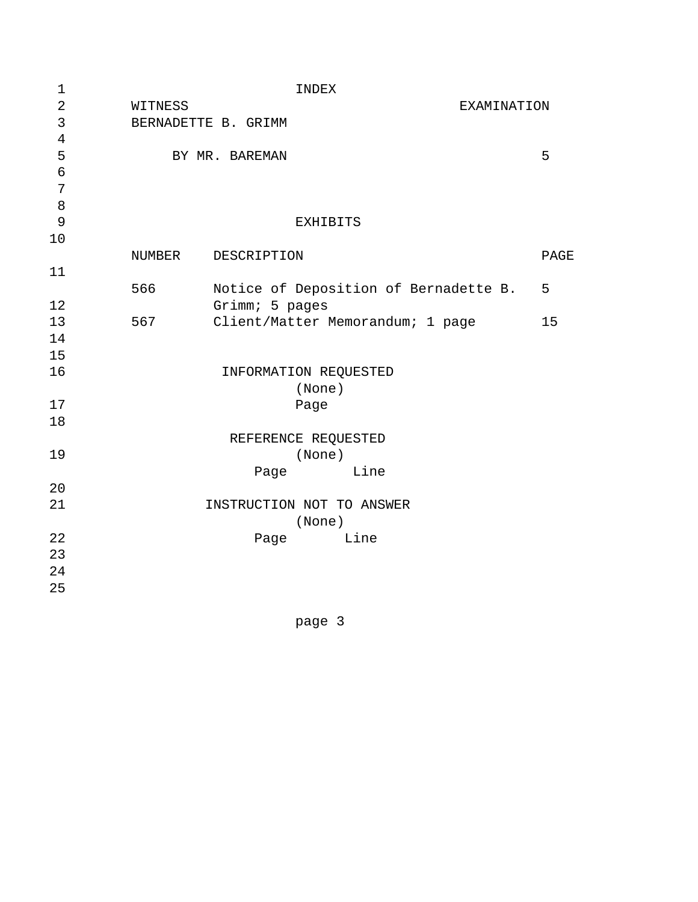| $\mathbf 1$      |         | <b>INDEX</b>                          |      |
|------------------|---------|---------------------------------------|------|
| $\sqrt{2}$       | WITNESS | EXAMINATION                           |      |
| 3                |         | BERNADETTE B. GRIMM                   |      |
| $\overline{4}$   |         |                                       |      |
| 5                |         | BY MR. BAREMAN                        | 5    |
| $\epsilon$       |         |                                       |      |
| $\boldsymbol{7}$ |         |                                       |      |
| 8                |         |                                       |      |
| 9                |         | <b>EXHIBITS</b>                       |      |
| 10               |         |                                       |      |
|                  | NUMBER  | DESCRIPTION                           | PAGE |
| 11               |         |                                       |      |
|                  | 566     | Notice of Deposition of Bernadette B. | 5    |
| 12               |         | Grimm; 5 pages                        |      |
| 13               | 567     | Client/Matter Memorandum; 1 page      | 15   |
| 14               |         |                                       |      |
| 15               |         |                                       |      |
| 16               |         | INFORMATION REQUESTED                 |      |
|                  |         | (None)                                |      |
| 17               |         | Page                                  |      |
| 18               |         |                                       |      |
|                  |         | REFERENCE REQUESTED                   |      |
| 19               |         | (None)                                |      |
|                  |         | Line<br>Page                          |      |
| 20               |         |                                       |      |
| 21               |         | INSTRUCTION NOT TO ANSWER             |      |
|                  |         | (None)                                |      |
| 22               |         | Line<br>Page                          |      |
| 23               |         |                                       |      |
| 24               |         |                                       |      |
| 25               |         |                                       |      |
|                  |         |                                       |      |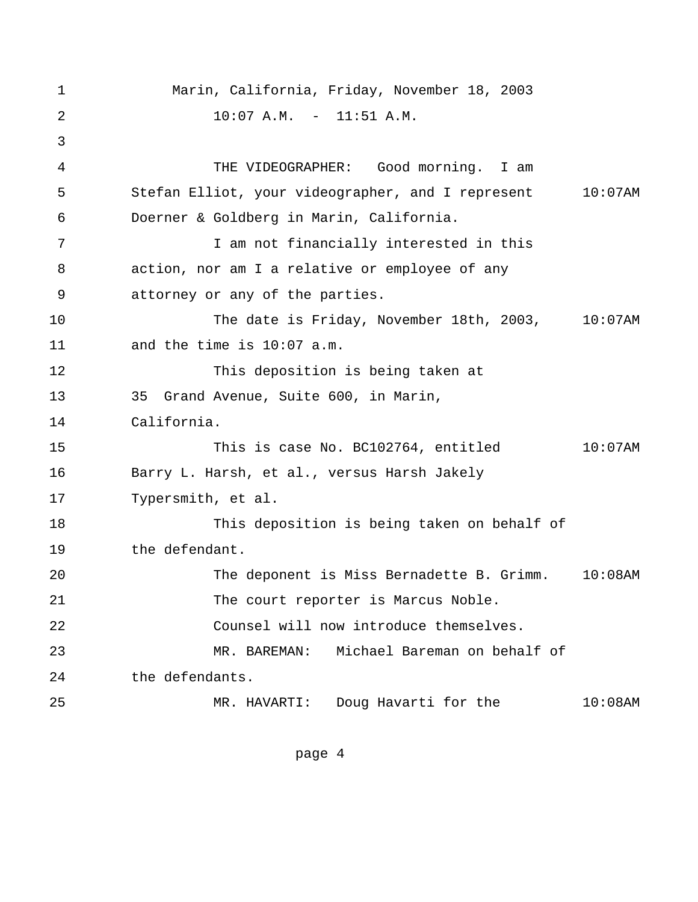<span id="page-9-0"></span> 1 Marin, California, Friday, November 18, 2003 2 10:07 A.M. - 11:51 A.M. 3 4 THE VIDEOGRAPHER: Good morning. I am 5 Stefan Elliot, your videographer, and I represent 10:07AM 6 Doerner & Goldberg in Marin, California. 7 1 I am not financially interested in this 8 action, nor am I a relative or employee of any 9 attorney or any of the parties. 10 The date is Friday, November 18th, 2003, 10:07AM 11 and the time is 10:07 a.m. 12 This deposition is being taken at 13 35 Grand Avenue, Suite 600, in Marin, 14 California. 15 This is case No. BC102764, entitled 10:07AM 16 Barry L. Harsh, et al., versus Harsh Jakely 17 Typersmith, et al. 18 This deposition is being taken on behalf of 19 the defendant. 20 The deponent is Miss Bernadette B. Grimm. 10:08AM 21 The court reporter is Marcus Noble. 22 Counsel will now introduce themselves. 23 MR. BAREMAN: Michael Bareman on behalf of 24 the defendants. 25 MR. HAVARTI: Doug Havarti for the 10:08AM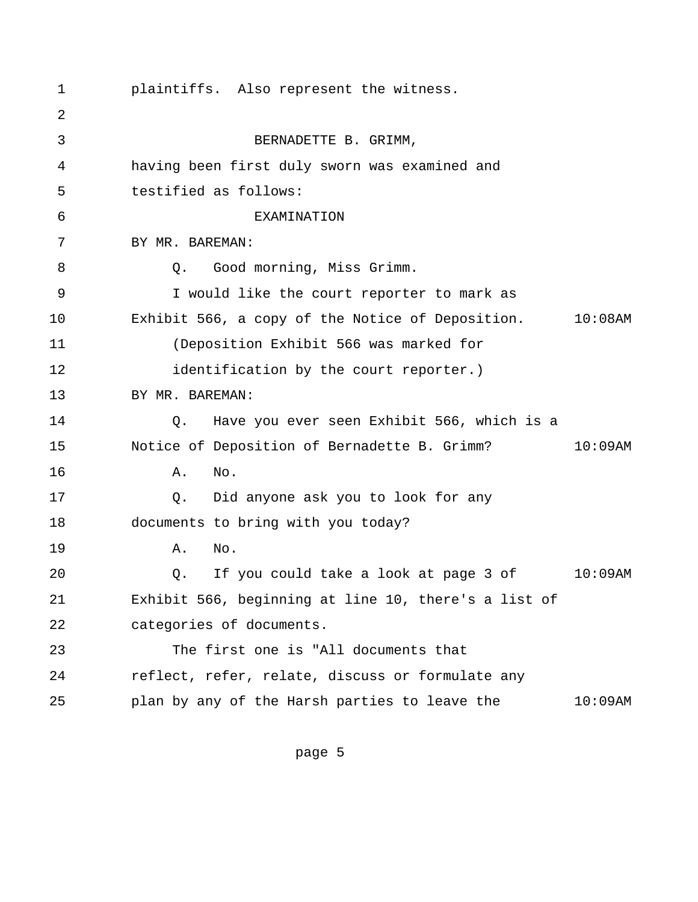<span id="page-10-0"></span> 1 plaintiffs. Also represent the witness. 2 3 BERNADETTE B. GRIMM, 4 having been first duly sworn was examined and 5 testified as follows: 6 EXAMINATION 7 BY MR. BAREMAN: 8 Q. Good morning, Miss Grimm. 9 I would like the court reporter to mark as 10 Exhibit 566, a copy of the Notice of Deposition. 10:08AM 11 (Deposition Exhibit 566 was marked for 12 **identification** by the court reporter.) 13 BY MR. BAREMAN: 14 Q. Have you ever seen Exhibit 566, which is a 15 Notice of Deposition of Bernadette B. Grimm? 10:09AM 16 **A.** No. 17 Q. Did anyone ask you to look for any 18 documents to bring with you today? 19 A. No. 20 Q. If you could take a look at page 3 of 10:09AM 21 Exhibit 566, beginning at line 10, there's a list of 22 categories of documents. 23 The first one is "All documents that 24 reflect, refer, relate, discuss or formulate any 25 plan by any of the Harsh parties to leave the 10:09AM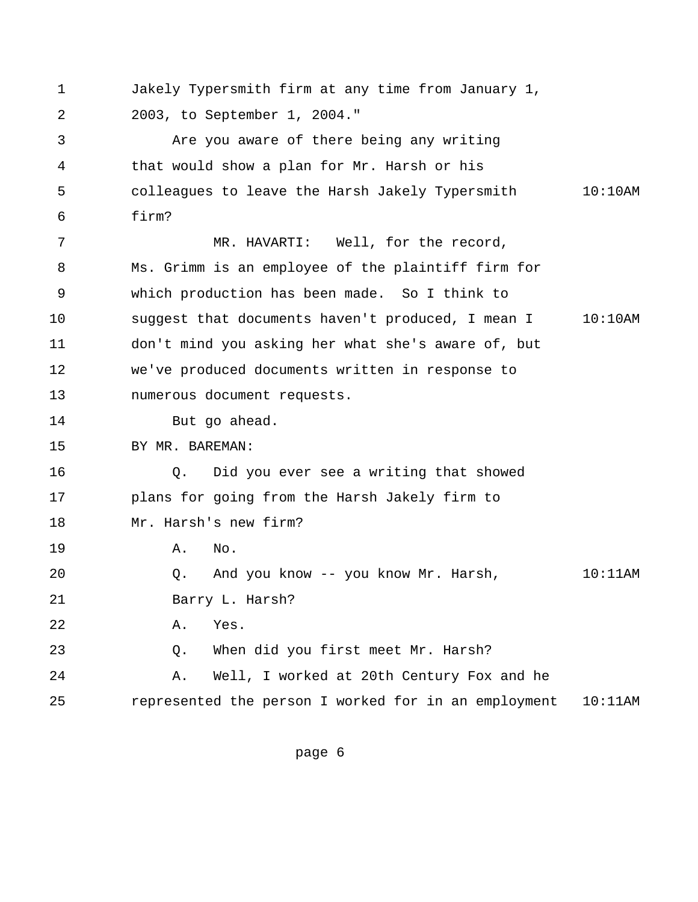<span id="page-11-0"></span> 1 Jakely Typersmith firm at any time from January 1, 2 2003, to September 1, 2004."

 3 Are you aware of there being any writing 4 that would show a plan for Mr. Harsh or his 5 colleagues to leave the Harsh Jakely Typersmith 10:10AM 6 firm?

 7 MR. HAVARTI: Well, for the record, 8 Ms. Grimm is an employee of the plaintiff firm for 9 which production has been made. So I think to 10 suggest that documents haven't produced, I mean I 10:10AM 11 don't mind you asking her what she's aware of, but 12 we've produced documents written in response to 13 numerous document requests.

14 But go ahead.

15 BY MR. BAREMAN:

16 Q. Did you ever see a writing that showed 17 plans for going from the Harsh Jakely firm to 18 Mr. Harsh's new firm?

19 A. No.

20 Q. And you know -- you know Mr. Harsh, 10:11AM

21 Barry L. Harsh?

22 A. Yes.

23 Q. When did you first meet Mr. Harsh?

24 A. Well, I worked at 20th Century Fox and he 25 represented the person I worked for in an employment 10:11AM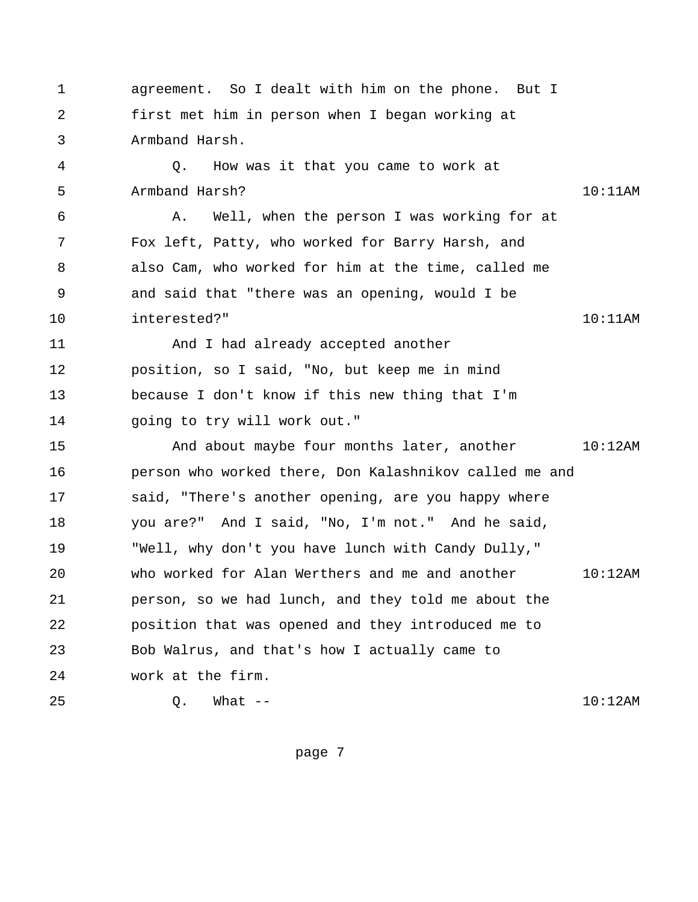<span id="page-12-0"></span> 1 agreement. So I dealt with him on the phone. But I 2 first met him in person when I began working at 3 Armband Harsh. 4 Q. How was it that you came to work at 5 Armband Harsh? 10:11AM 6 A. Well, when the person I was working for at 7 Fox left, Patty, who worked for Barry Harsh, and 8 also Cam, who worked for him at the time, called me 9 and said that "there was an opening, would I be 10 interested?" 10:11AM 11 And I had already accepted another 12 position, so I said, "No, but keep me in mind 13 because I don't know if this new thing that I'm 14 going to try will work out." 15 And about maybe four months later, another 10:12AM 16 person who worked there, Don Kalashnikov called me and 17 said, "There's another opening, are you happy where 18 you are?" And I said, "No, I'm not." And he said,

19 "Well, why don't you have lunch with Candy Dully," 20 who worked for Alan Werthers and me and another 10:12AM 21 person, so we had lunch, and they told me about the 22 position that was opened and they introduced me to 23 Bob Walrus, and that's how I actually came to 24 work at the firm.

25 Q. What -- 10:12AM

```
page 7
```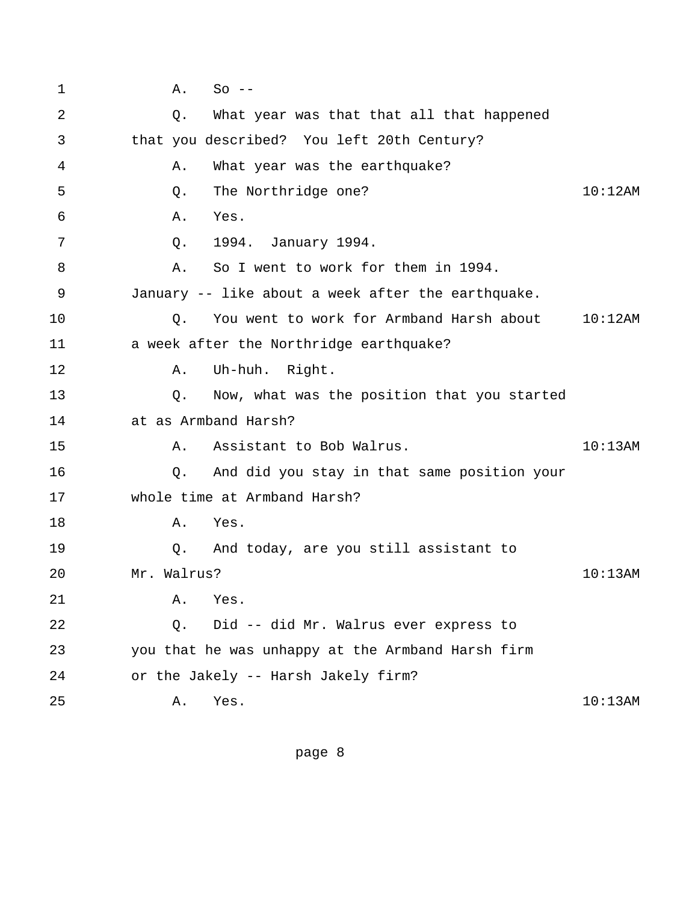<span id="page-13-0"></span> 1 A. So -- 2 Q. What year was that that all that happened 3 that you described? You left 20th Century? 4 A. What year was the earthquake? 5 Q. The Northridge one? 10:12AM 6 A. Yes. 7 Q. 1994. January 1994. 8 A. So I went to work for them in 1994. 9 January -- like about a week after the earthquake. 10 Q. You went to work for Armband Harsh about 10:12AM 11 a week after the Northridge earthquake? 12 A. Uh-huh. Right. 13 Q. Now, what was the position that you started 14 at as Armband Harsh? 15 A. Assistant to Bob Walrus. Assistant to Bob Malrus. 16 Q. And did you stay in that same position your 17 whole time at Armband Harsh? 18 A. Yes. 19 Q. And today, are you still assistant to 20 Mr. Walrus? 10:13AM 21 A. Yes. 22 Q. Did -- did Mr. Walrus ever express to 23 you that he was unhappy at the Armband Harsh firm 24 or the Jakely -- Harsh Jakely firm? 25 A. Yes. 10:13AM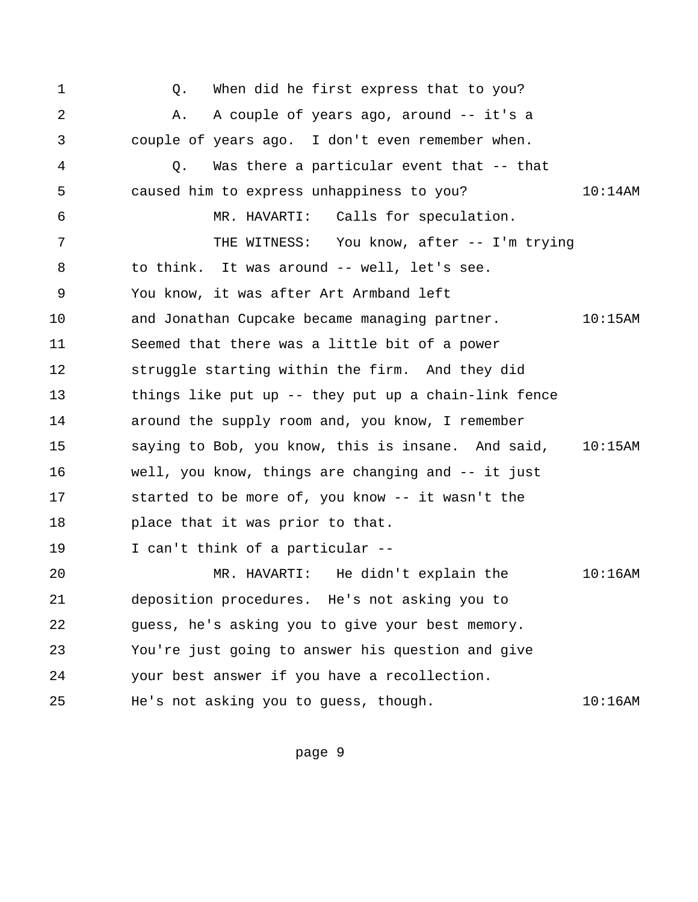<span id="page-14-0"></span>1 6. When did he first express that to you? 2 A. A couple of years ago, around -- it's a 3 couple of years ago. I don't even remember when. 4 Q. Was there a particular event that -- that 5 caused him to express unhappiness to you? 10:14AM 6 MR. HAVARTI: Calls for speculation. 7 THE WITNESS: You know, after -- I'm trying 8 to think. It was around -- well, let's see. 9 You know, it was after Art Armband left 10 and Jonathan Cupcake became managing partner. 10:15AM 11 Seemed that there was a little bit of a power 12 struggle starting within the firm. And they did 13 things like put up -- they put up a chain-link fence 14 around the supply room and, you know, I remember 15 saying to Bob, you know, this is insane. And said, 10:15AM 16 well, you know, things are changing and -- it just 17 started to be more of, you know -- it wasn't the 18 place that it was prior to that. 19 I can't think of a particular -- 20 MR. HAVARTI: He didn't explain the 10:16AM 21 deposition procedures. He's not asking you to 22 guess, he's asking you to give your best memory. 23 You're just going to answer his question and give 24 your best answer if you have a recollection. 25 He's not asking you to guess, though. 10:16AM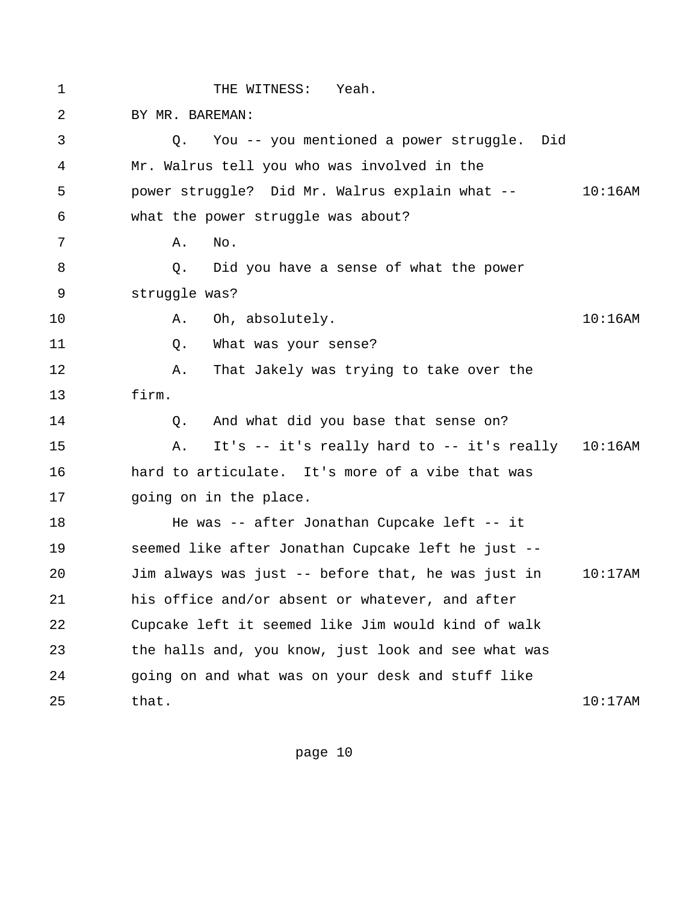<span id="page-15-0"></span>1 THE WITNESS: Yeah. 2 BY MR. BAREMAN: 3 Q. You -- you mentioned a power struggle. Did 4 Mr. Walrus tell you who was involved in the 5 power struggle? Did Mr. Walrus explain what -- 10:16AM 6 what the power struggle was about? 7 A. No. 8 Q. Did you have a sense of what the power 9 struggle was? 10 A. Oh, absolutely. 10:16AM 11 Q. What was your sense? 12 A. That Jakely was trying to take over the 13 firm. 14 Q. And what did you base that sense on? 15 A. It's -- it's really hard to -- it's really 10:16AM 16 hard to articulate. It's more of a vibe that was 17 going on in the place. 18 He was -- after Jonathan Cupcake left -- it 19 seemed like after Jonathan Cupcake left he just -- 20 Jim always was just -- before that, he was just in 10:17AM 21 his office and/or absent or whatever, and after 22 Cupcake left it seemed like Jim would kind of walk 23 the halls and, you know, just look and see what was 24 going on and what was on your desk and stuff like 25 that. 10:17AM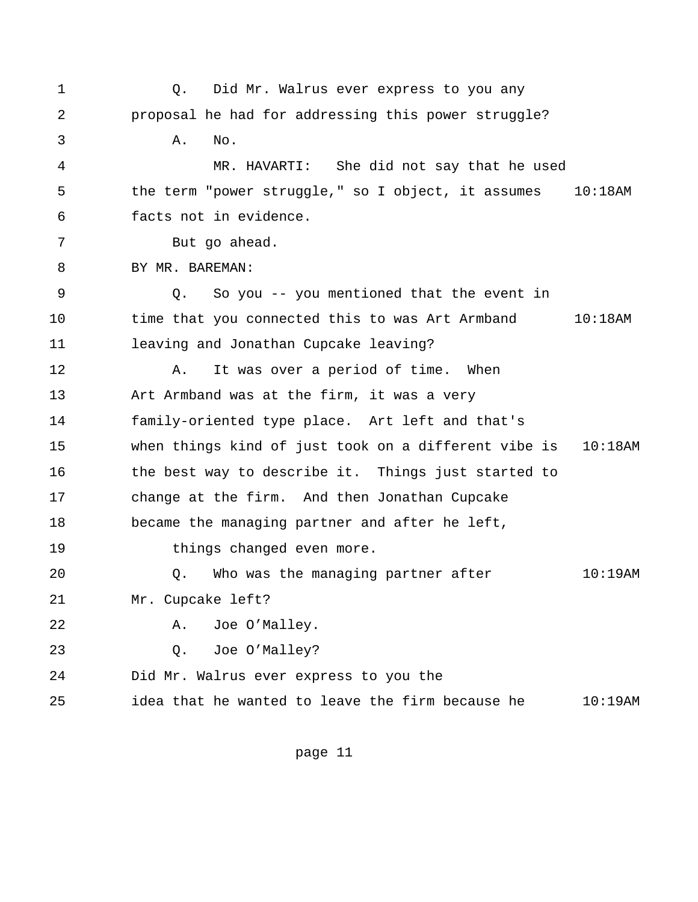<span id="page-16-0"></span>1 6. Did Mr. Walrus ever express to you any 2 proposal he had for addressing this power struggle? 3 A. No. 4 MR. HAVARTI: She did not say that he used 5 the term "power struggle," so I object, it assumes 10:18AM 6 facts not in evidence. 7 But go ahead. 8 BY MR. BAREMAN: 9 Q. So you -- you mentioned that the event in 10 time that you connected this to was Art Armband 10:18AM 11 leaving and Jonathan Cupcake leaving? 12 A. It was over a period of time. When 13 Art Armband was at the firm, it was a very 14 family-oriented type place. Art left and that's 15 when things kind of just took on a different vibe is 10:18AM 16 the best way to describe it. Things just started to 17 change at the firm. And then Jonathan Cupcake 18 became the managing partner and after he left, 19 things changed even more. 20 Q. Who was the managing partner after 10:19AM 21 Mr. Cupcake left? 22 A. Joe O'Malley. 23 Q. Joe O'Malley? 24 Did Mr. Walrus ever express to you the 25 idea that he wanted to leave the firm because he 10:19AM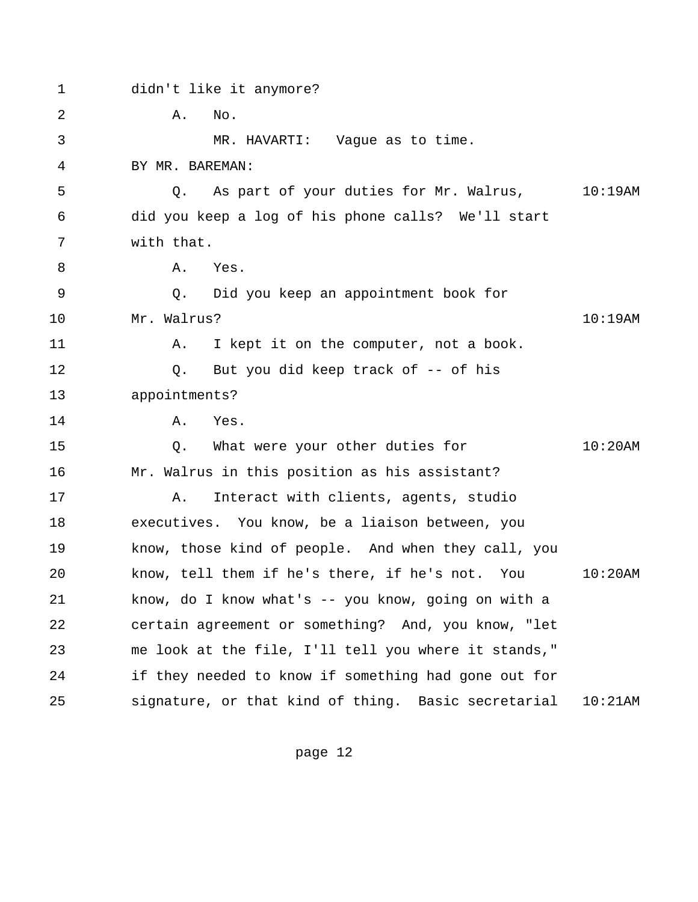<span id="page-17-0"></span>

| $\mathbf 1$ | didn't like it anymore?                              |            |  |  |
|-------------|------------------------------------------------------|------------|--|--|
| 2           | Α.<br>No.                                            |            |  |  |
| 3           | MR. HAVARTI: Vague as to time.                       |            |  |  |
| 4           | BY MR. BAREMAN:                                      |            |  |  |
| 5           | As part of your duties for Mr. Walrus, 10:19AM<br>Q. |            |  |  |
| 6           | did you keep a log of his phone calls? We'll start   |            |  |  |
| 7           | with that.                                           |            |  |  |
| 8           | Α.<br>Yes.                                           |            |  |  |
| 9           | Did you keep an appointment book for<br>Q.           |            |  |  |
| 10          | Mr. Walrus?                                          | 10:19AM    |  |  |
| 11          | I kept it on the computer, not a book.<br>Α.         |            |  |  |
| 12          | But you did keep track of -- of his<br>Q.            |            |  |  |
| 13          | appointments?                                        |            |  |  |
| 14          | Α.<br>Yes.                                           |            |  |  |
| 15          | What were your other duties for<br>Q.                | 10:20AM    |  |  |
| 16          | Mr. Walrus in this position as his assistant?        |            |  |  |
| 17          | Interact with clients, agents, studio<br>Α.          |            |  |  |
| 18          | executives. You know, be a liaison between, you      |            |  |  |
| 19          | know, those kind of people. And when they call, you  |            |  |  |
| 20          | know, tell them if he's there, if he's not. You      | $10:20$ AM |  |  |
| 21          | know, do I know what's -- you know, going on with a  |            |  |  |
| 22          | certain agreement or something? And, you know, "let  |            |  |  |
| 23          | me look at the file, I'll tell you where it stands," |            |  |  |
| 24          | if they needed to know if something had gone out for |            |  |  |
| 25          | signature, or that kind of thing. Basic secretarial  | 10:21AM    |  |  |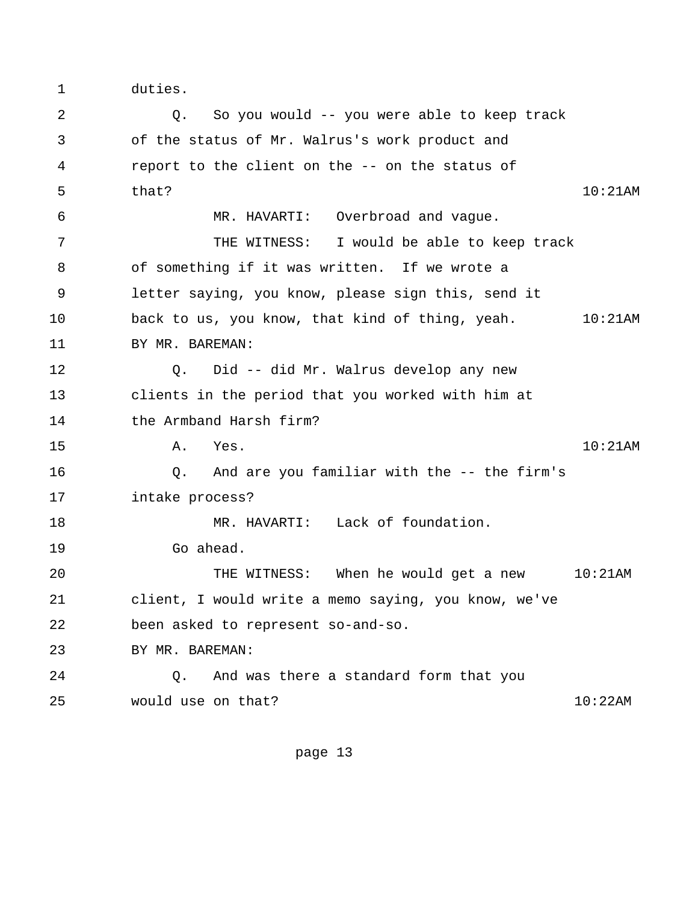1 duties.

 2 Q. So you would -- you were able to keep track 3 of the status of Mr. Walrus's work product and 4 report to the client on the -- on the status of 5 that? that the contract of the contract of the contract of the contract of the contract of the contract of the contract of the contract of the contract of the contract of the contract of the contract of the contract of t 6 MR. HAVARTI: Overbroad and vague. 7 THE WITNESS: I would be able to keep track 8 of something if it was written. If we wrote a 9 letter saying, you know, please sign this, send it 10 back to us, you know, that kind of thing, yeah. 10:21AM 11 BY MR. BAREMAN: 12 Q. Did -- did Mr. Walrus develop any new 13 clients in the period that you worked with him at 14 the Armband Harsh firm? 15 A. Yes. 10:21AM 16 Q. And are you familiar with the -- the firm's 17 intake process? 18 MR. HAVARTI: Lack of foundation. 19 Go ahead. 20 THE WITNESS: When he would get a new 10:21AM 21 client, I would write a memo saying, you know, we've 22 been asked to represent so-and-so. 23 BY MR. BAREMAN: 24 Q. And was there a standard form that you 25 would use on that? 10:22AM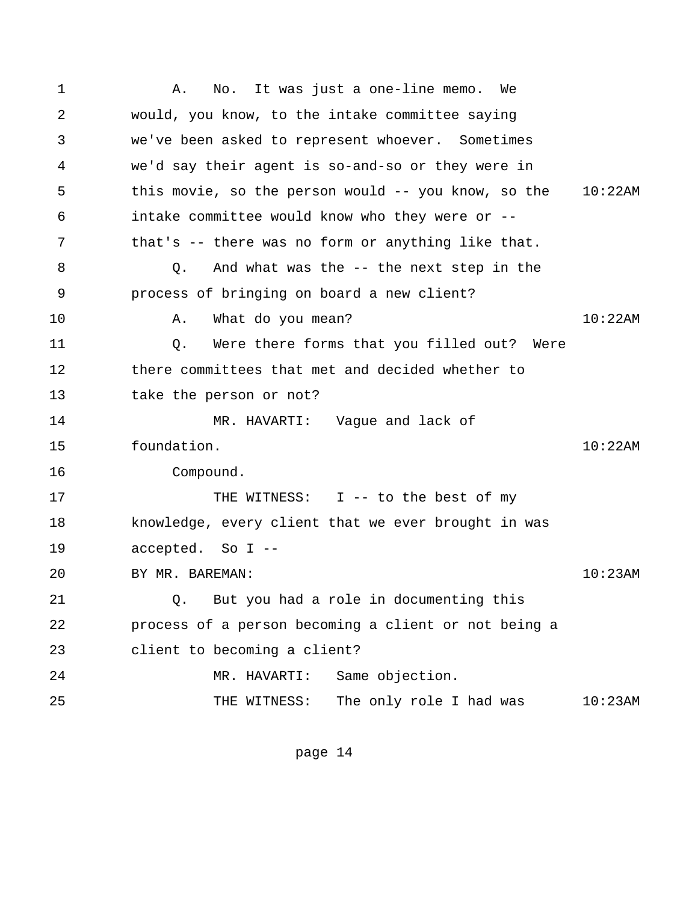<span id="page-19-0"></span> 1 A. No. It was just a one-line memo. We 2 would, you know, to the intake committee saying 3 we've been asked to represent whoever. Sometimes 4 we'd say their agent is so-and-so or they were in 5 this movie, so the person would -- you know, so the 10:22AM 6 intake committee would know who they were or -- 7 that's -- there was no form or anything like that. 8 Q. And what was the -- the next step in the 9 process of bringing on board a new client? 10 A. What do you mean? 10:22AM 11 Q. Were there forms that you filled out? Were 12 there committees that met and decided whether to 13 take the person or not? 14 MR. HAVARTI: Vague and lack of 15 foundation. 10:22AM 16 Compound. 17 THE WITNESS: I -- to the best of my 18 knowledge, every client that we ever brought in was 19 accepted. So I -- 20 BY MR. BAREMAN: 10:23AM 21 Q. But you had a role in documenting this 22 process of a person becoming a client or not being a 23 client to becoming a client? 24 MR. HAVARTI: Same objection. 25 THE WITNESS: The only role I had was 10:23AM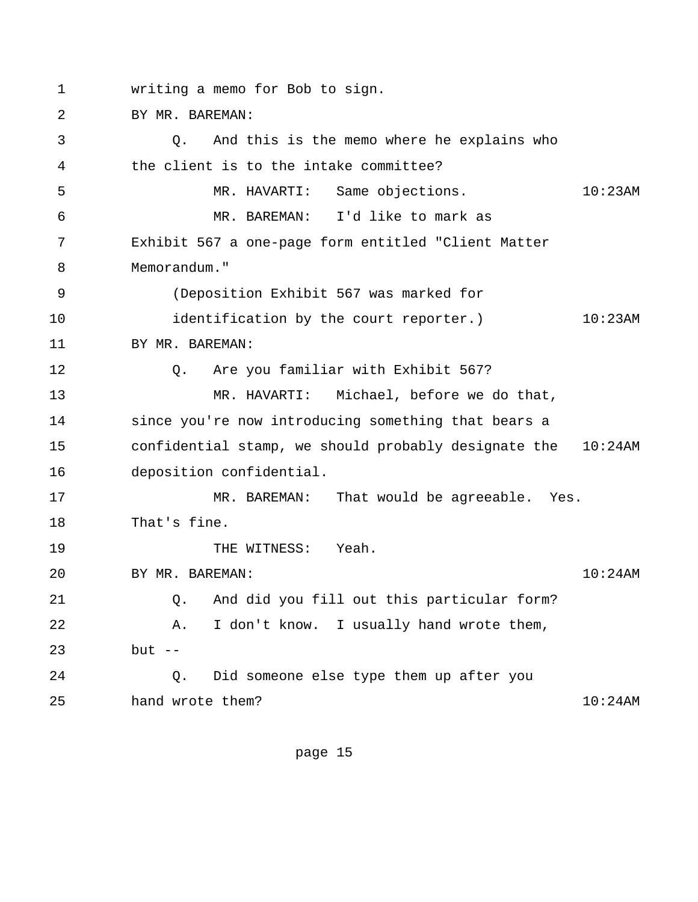1 writing a memo for Bob to sign.

2 BY MR. BAREMAN:

 3 Q. And this is the memo where he explains who 4 the client is to the intake committee? 5 MR. HAVARTI: Same objections. 10:23AM 6 MR. BAREMAN: I'd like to mark as 7 Exhibit 567 a one-page form entitled "Client Matter 8 Memorandum." 9 (Deposition Exhibit 567 was marked for 10 identification by the court reporter.) 10:23AM 11 BY MR. BAREMAN: 12 Q. Are you familiar with Exhibit 567? 13 MR. HAVARTI: Michael, before we do that, 14 since you're now introducing something that bears a 15 confidential stamp, we should probably designate the 10:24AM 16 deposition confidential. 17 MR. BAREMAN: That would be agreeable. Yes. 18 That's fine. 19 THE WITNESS: Yeah. 20 BY MR. BAREMAN: 10:24AM 21 Q. And did you fill out this particular form? 22 A. I don't know. I usually hand wrote them, 23 but -- 24 Q. Did someone else type them up after you 25 hand wrote them? 10:24AM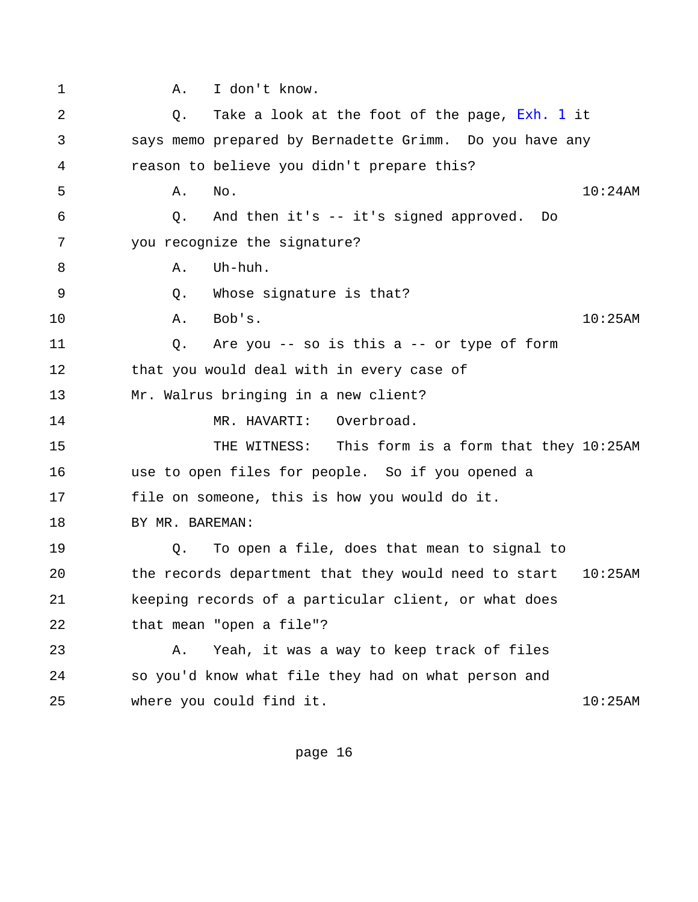<span id="page-21-0"></span>

| $\mathbf 1$ | I don't know.<br>Α.                                                |
|-------------|--------------------------------------------------------------------|
| 2           | Take a look at the foot of the page, Exh. 1 it<br>Q.               |
| 3           | says memo prepared by Bernadette Grimm. Do you have any            |
| 4           | reason to believe you didn't prepare this?                         |
| 5           | $10:24$ AM<br>Α.<br>No.                                            |
| 6           | And then it's -- it's signed approved.<br>Q.<br>Do                 |
| 7           | you recognize the signature?                                       |
| 8           | Uh-huh.<br>Α.                                                      |
| 9           | Whose signature is that?<br>Q.                                     |
| 10          | Bob's.<br>$10:25$ AM<br>Α.                                         |
| 11          | Are you -- so is this $a$ -- or type of form<br>Q.                 |
| 12          | that you would deal with in every case of                          |
| 13          | Mr. Walrus bringing in a new client?                               |
| 14          | Overbroad.<br>MR. HAVARTI:                                         |
| 15          | This form is a form that they 10:25AM<br>THE WITNESS:              |
| 16          | use to open files for people. So if you opened a                   |
| 17          | file on someone, this is how you would do it.                      |
| 18          | BY MR. BAREMAN:                                                    |
| 19          | To open a file, does that mean to signal to<br>Q.                  |
| 20          | the records department that they would need to start<br>$10:25$ AM |
| 21          | keeping records of a particular client, or what does               |
| 22          | that mean "open a file"?                                           |
| 23          | Yeah, it was a way to keep track of files<br>Α.                    |
| 24          | so you'd know what file they had on what person and                |
| 25          | where you could find it.<br>10:25AM                                |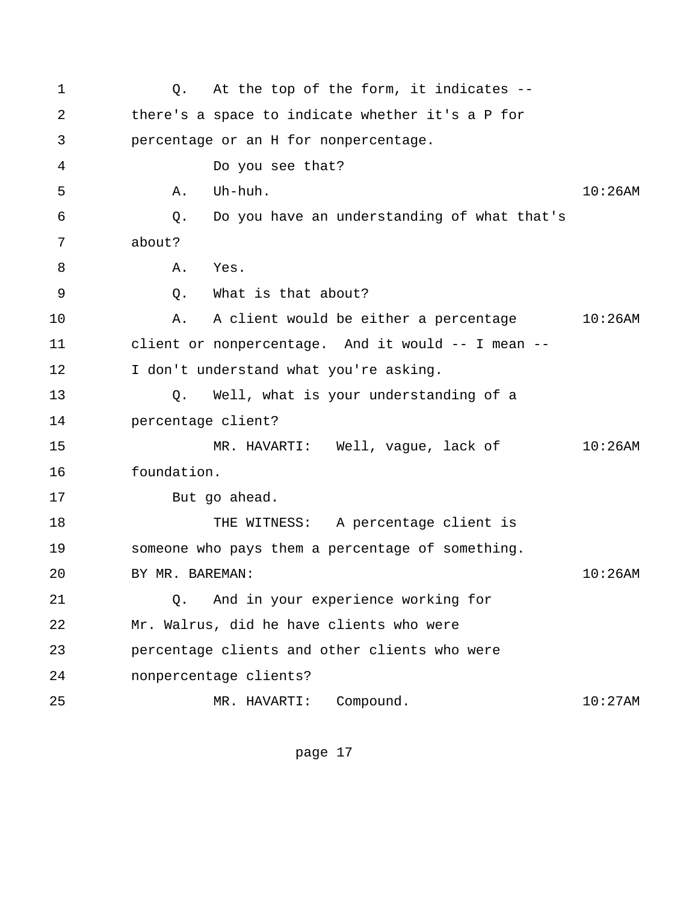<span id="page-22-0"></span>1 0. At the top of the form, it indicates -- 2 there's a space to indicate whether it's a P for 3 percentage or an H for nonpercentage. 4 Do you see that? 5 A. Uh-huh. 10:26AM 6 Q. Do you have an understanding of what that's 7 about? 8 A. Yes. 9 Q. What is that about? 10 A. A client would be either a percentage 10:26AM 11 client or nonpercentage. And it would -- I mean -- 12 I don't understand what you're asking. 13 Q. Well, what is your understanding of a 14 percentage client? 15 MR. HAVARTI: Well, vague, lack of 10:26AM 16 foundation. 17 But go ahead. 18 THE WITNESS: A percentage client is 19 someone who pays them a percentage of something. 20 BY MR. BAREMAN: 10:26AM 21 Q. And in your experience working for 22 Mr. Walrus, did he have clients who were 23 percentage clients and other clients who were 24 nonpercentage clients? 25 MR. HAVARTI: Compound. 10:27AM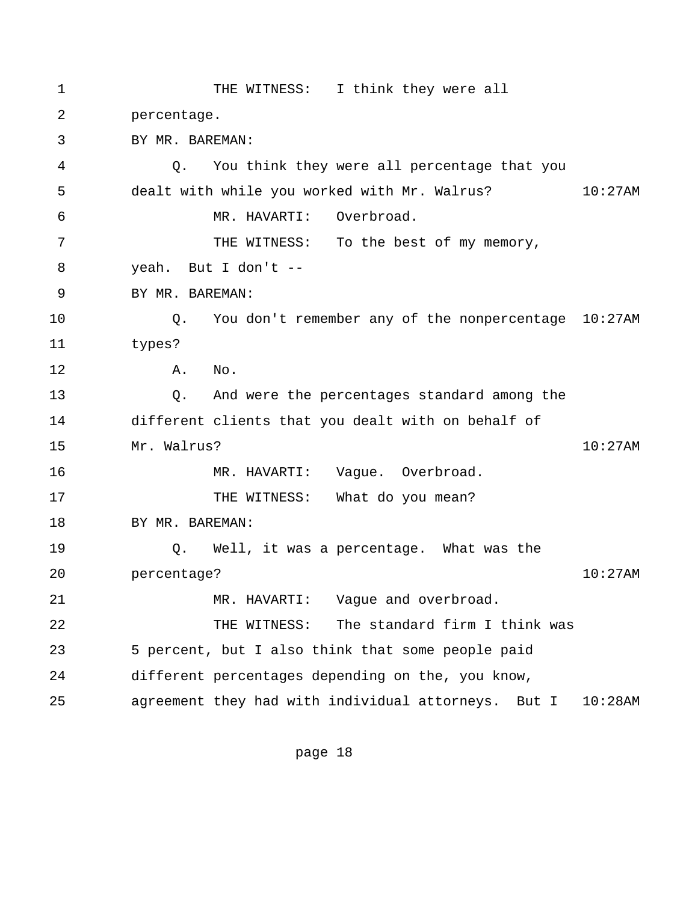<span id="page-23-0"></span>1 THE WITNESS: I think they were all 2 percentage. 3 BY MR. BAREMAN: 4 Q. You think they were all percentage that you 5 dealt with while you worked with Mr. Walrus? 10:27AM 6 MR. HAVARTI: Overbroad. 7 THE WITNESS: To the best of my memory, 8 yeah. But I don't -- 9 BY MR. BAREMAN: 10 Q. You don't remember any of the nonpercentage 10:27AM 11 types? 12 A. No. 13 Q. And were the percentages standard among the 14 different clients that you dealt with on behalf of 15 Mr. Walrus? 10:27AM 16 MR. HAVARTI: Vague. Overbroad. 17 THE WITNESS: What do you mean? 18 BY MR. BAREMAN: 19 Q. Well, it was a percentage. What was the 20 percentage? 10:27AM 21 MR. HAVARTI: Vague and overbroad. 22 THE WITNESS: The standard firm I think was 23 5 percent, but I also think that some people paid 24 different percentages depending on the, you know, 25 agreement they had with individual attorneys. But I 10:28AM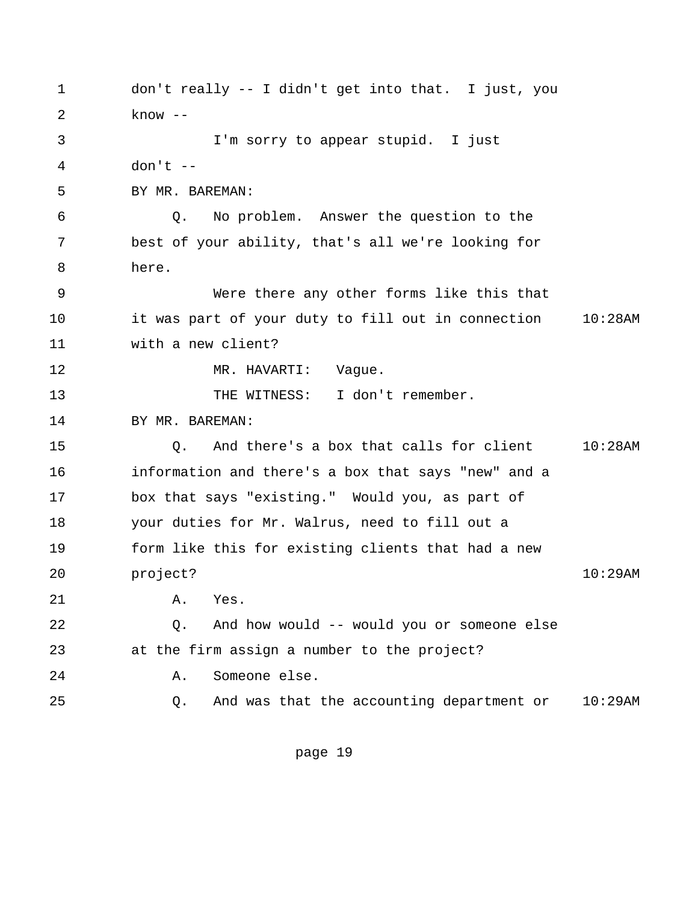<span id="page-24-0"></span> 1 don't really -- I didn't get into that. I just, you 2 know -- 3 I'm sorry to appear stupid. I just 4 don't -- 5 BY MR. BAREMAN: 6 Q. No problem. Answer the question to the 7 best of your ability, that's all we're looking for 8 here. 9 Were there any other forms like this that 10 it was part of your duty to fill out in connection 10:28AM 11 with a new client? 12 MR. HAVARTI: Vague. 13 THE WITNESS: I don't remember. 14 BY MR. BAREMAN: 15 Q. And there's a box that calls for client 10:28AM 16 information and there's a box that says "new" and a 17 box that says "existing." Would you, as part of 18 your duties for Mr. Walrus, need to fill out a 19 form like this for existing clients that had a new 20 project? 10:29AM 21 A. Yes. 22 Q. And how would -- would you or someone else 23 at the firm assign a number to the project? 24 A. Someone else. 25 Q. And was that the accounting department or 10:29AM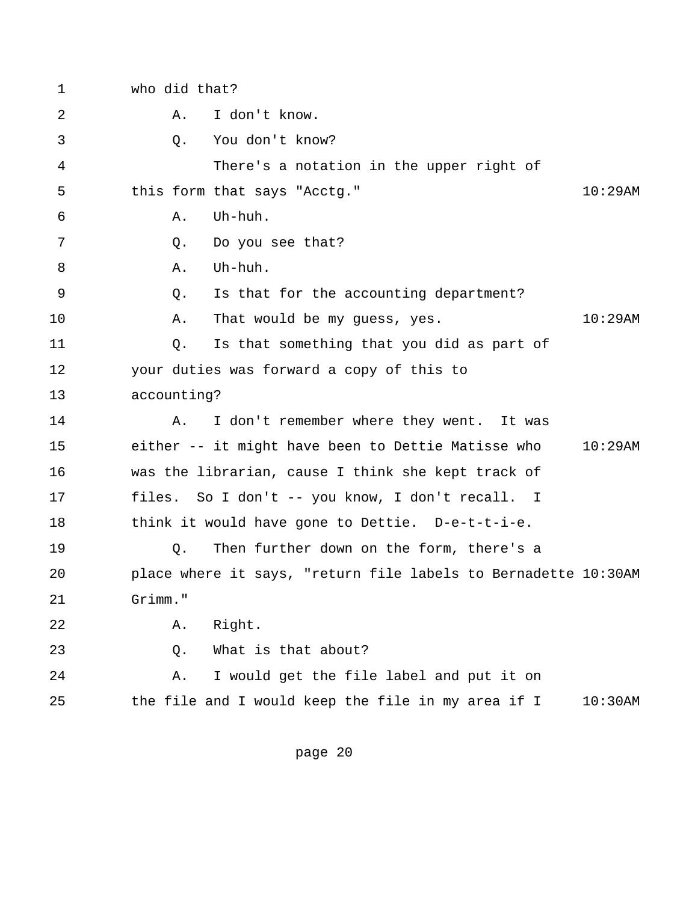1 who did that? 2 A. I don't know. 3 Q. You don't know? 4 There's a notation in the upper right of 5 this form that says "Acctg." 10:29AM  $6 \qquad A. \qquad \text{I}$  7 Q. Do you see that? 8 A. Uh-huh. 9 Q. Is that for the accounting department? 10 A. That would be my guess, yes. 10:29AM 11 Q. Is that something that you did as part of 12 your duties was forward a copy of this to 13 accounting? 14 A. I don't remember where they went. It was 15 either -- it might have been to Dettie Matisse who 10:29AM 16 was the librarian, cause I think she kept track of 17 files. So I don't -- you know, I don't recall. I 18 think it would have gone to Dettie. D-e-t-t-i-e. 19 Q. Then further down on the form, there's a 20 place where it says, "return file labels to Bernadette 10:30AM 21 Grimm." 22 A. Right. 23 Q. What is that about? 24 A. I would get the file label and put it on 25 the file and I would keep the file in my area if I 10:30AM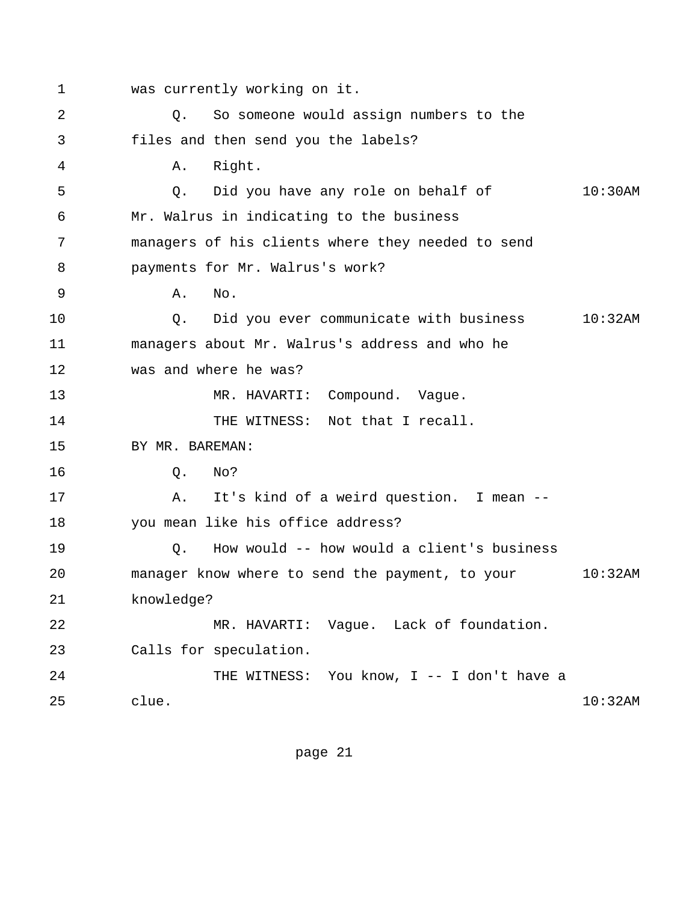<span id="page-26-0"></span> 1 was currently working on it. 2 Q. So someone would assign numbers to the 3 files and then send you the labels? 4 A. Right. 5 Q. Did you have any role on behalf of 10:30AM 6 Mr. Walrus in indicating to the business 7 managers of his clients where they needed to send 8 payments for Mr. Walrus's work? 9 A. No. 10 Q. Did you ever communicate with business 10:32AM 11 managers about Mr. Walrus's address and who he 12 was and where he was? 13 MR. HAVARTI: Compound. Vaque. 14 THE WITNESS: Not that I recall. 15 BY MR. BAREMAN: 16 Q. No? 17 A. It's kind of a weird question. I mean -- 18 you mean like his office address? 19 Q. How would -- how would a client's business 20 manager know where to send the payment, to your 10:32AM 21 knowledge? 22 MR. HAVARTI: Vague. Lack of foundation. 23 Calls for speculation. 24 THE WITNESS: You know, I -- I don't have a 25 clue. 10:32AM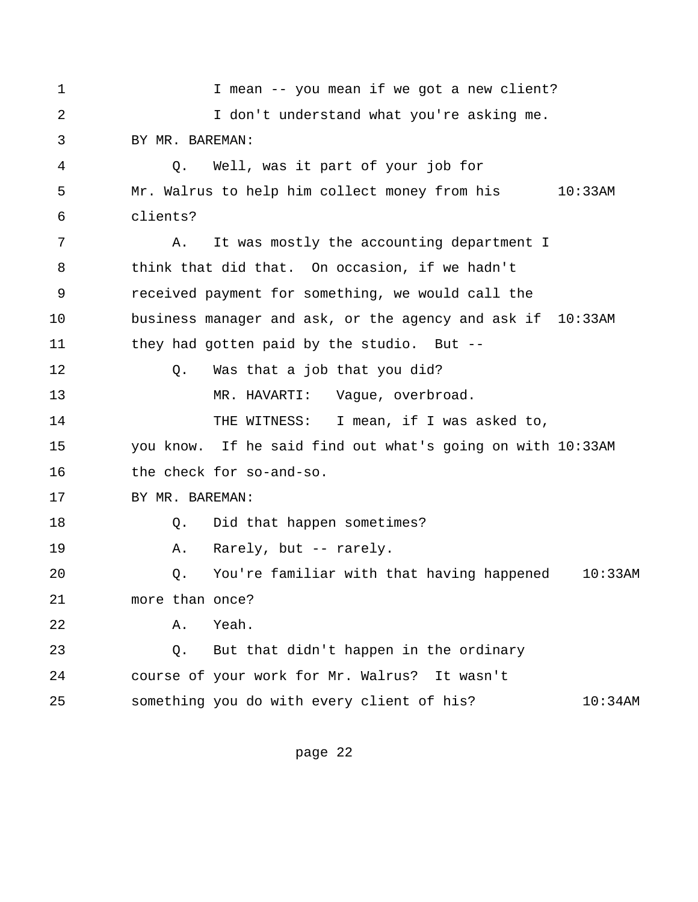1 1 I mean -- you mean if we got a new client? 2 I don't understand what you're asking me. 3 BY MR. BAREMAN: 4 Q. Well, was it part of your job for 5 Mr. Walrus to help him collect money from his 10:33AM 6 clients? 7 A. It was mostly the accounting department I 8 think that did that. On occasion, if we hadn't 9 received payment for something, we would call the 10 business manager and ask, or the agency and ask if 10:33AM 11 they had gotten paid by the studio. But -- 12 Q. Was that a job that you did? 13 MR. HAVARTI: Vaque, overbroad. 14 THE WITNESS: I mean, if I was asked to, 15 you know. If he said find out what's going on with 10:33AM 16 the check for so-and-so. 17 BY MR. BAREMAN: 18 O. Did that happen sometimes? 19 A. Rarely, but -- rarely. 20 Q. You're familiar with that having happened 10:33AM 21 more than once? 22 A. Yeah. 23 Q. But that didn't happen in the ordinary 24 course of your work for Mr. Walrus? It wasn't 25 something you do with every client of his? 10:34AM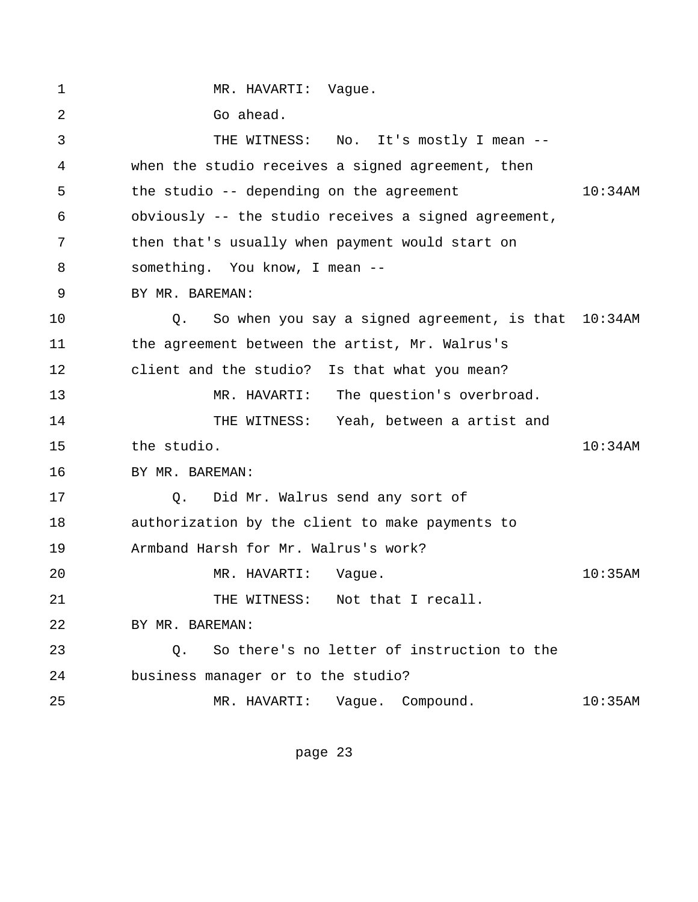<span id="page-28-0"></span>1 MR. HAVARTI: Vaque. 2 Go ahead. 3 THE WITNESS: No. It's mostly I mean -- 4 when the studio receives a signed agreement, then 5 the studio -- depending on the agreement 10:34AM 6 obviously -- the studio receives a signed agreement, 7 then that's usually when payment would start on 8 something. You know, I mean -- 9 BY MR. BAREMAN: 10 Q. So when you say a signed agreement, is that 10:34AM 11 the agreement between the artist, Mr. Walrus's 12 client and the studio? Is that what you mean? 13 MR. HAVARTI: The question's overbroad. 14 THE WITNESS: Yeah, between a artist and 15 the studio. 10:34AM 16 BY MR. BAREMAN: 17 Q. Did Mr. Walrus send any sort of 18 authorization by the client to make payments to 19 Armband Harsh for Mr. Walrus's work? 20 MR. HAVARTI: Vague. 10:35AM 21 THE WITNESS: Not that I recall. 22 BY MR. BAREMAN: 23 Q. So there's no letter of instruction to the 24 business manager or to the studio? 25 MR. HAVARTI: Vague. Compound. 10:35AM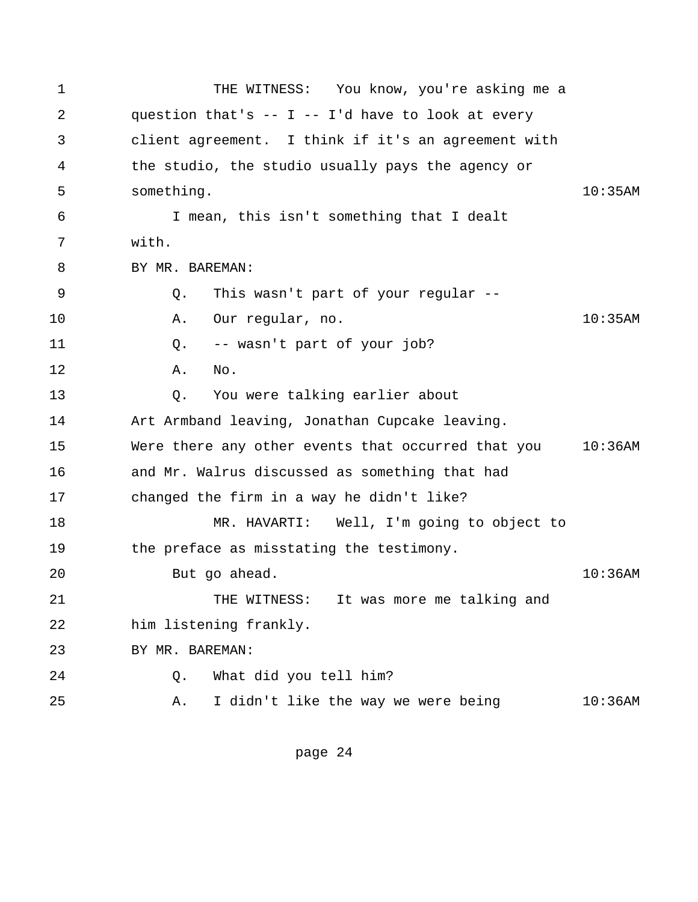<span id="page-29-0"></span> 1 THE WITNESS: You know, you're asking me a 2 question that's -- I -- I'd have to look at every 3 client agreement. I think if it's an agreement with 4 the studio, the studio usually pays the agency or 5 something. 10:35AM 6 I mean, this isn't something that I dealt 7 with. 8 BY MR. BAREMAN: 9 Q. This wasn't part of your regular -- 10 A. Our regular, no. 10:35AM 11 Q. -- wasn't part of your job? 12 A. No. 13 Q. You were talking earlier about 14 Art Armband leaving, Jonathan Cupcake leaving. 15 Were there any other events that occurred that you 10:36AM 16 and Mr. Walrus discussed as something that had 17 changed the firm in a way he didn't like? 18 MR. HAVARTI: Well, I'm going to object to 19 the preface as misstating the testimony. 20 But go ahead. 10:36AM 21 THE WITNESS: It was more me talking and 22 him listening frankly. 23 BY MR. BAREMAN: 24 Q. What did you tell him? 25 A. I didn't like the way we were being 10:36AM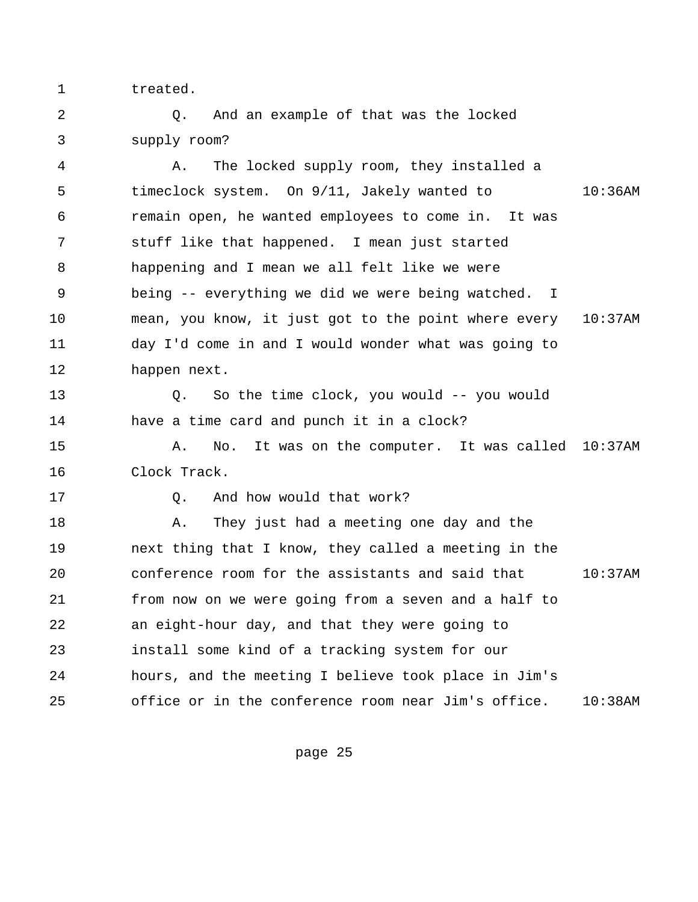1 treated.

 2 Q. And an example of that was the locked 3 supply room?

 4 A. The locked supply room, they installed a 5 timeclock system. On 9/11, Jakely wanted to 10:36AM 6 remain open, he wanted employees to come in. It was 7 stuff like that happened. I mean just started 8 happening and I mean we all felt like we were 9 being -- everything we did we were being watched. I 10 mean, you know, it just got to the point where every 10:37AM 11 day I'd come in and I would wonder what was going to 12 happen next. 13 Q. So the time clock, you would -- you would 14 have a time card and punch it in a clock? 15 A. No. It was on the computer. It was called 10:37AM 16 Clock Track. 17 O. And how would that work? 18 A. They just had a meeting one day and the 19 next thing that I know, they called a meeting in the 20 conference room for the assistants and said that 10:37AM 21 from now on we were going from a seven and a half to 22 an eight-hour day, and that they were going to 23 install some kind of a tracking system for our

24 hours, and the meeting I believe took place in Jim's 25 office or in the conference room near Jim's office. 10:38AM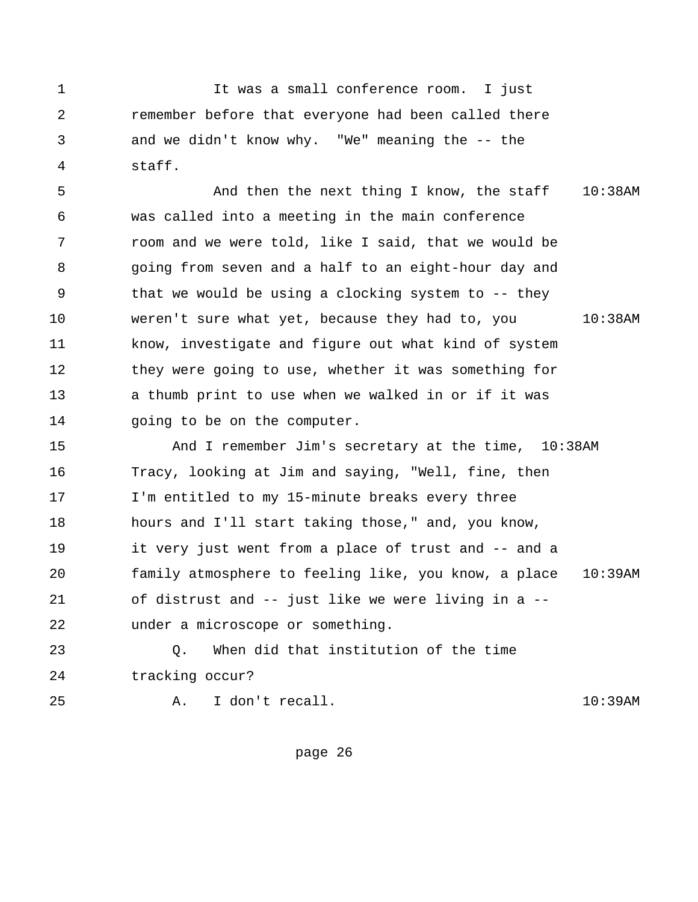<span id="page-31-0"></span> 1 It was a small conference room. I just 2 remember before that everyone had been called there 3 and we didn't know why. "We" meaning the -- the 4 staff.

 5 And then the next thing I know, the staff 10:38AM 6 was called into a meeting in the main conference 7 room and we were told, like I said, that we would be 8 going from seven and a half to an eight-hour day and 9 that we would be using a clocking system to -- they 10 weren't sure what yet, because they had to, you 10:38AM 11 know, investigate and figure out what kind of system 12 they were going to use, whether it was something for 13 a thumb print to use when we walked in or if it was 14 going to be on the computer.

15 And I remember Jim's secretary at the time, 10:38AM 16 Tracy, looking at Jim and saying, "Well, fine, then 17 I'm entitled to my 15-minute breaks every three 18 hours and I'll start taking those," and, you know, 19 it very just went from a place of trust and -- and a 20 family atmosphere to feeling like, you know, a place 10:39AM 21 of distrust and -- just like we were living in a -- 22 under a microscope or something.

23 Q. When did that institution of the time 24 tracking occur?

25 A. I don't recall. 10:39AM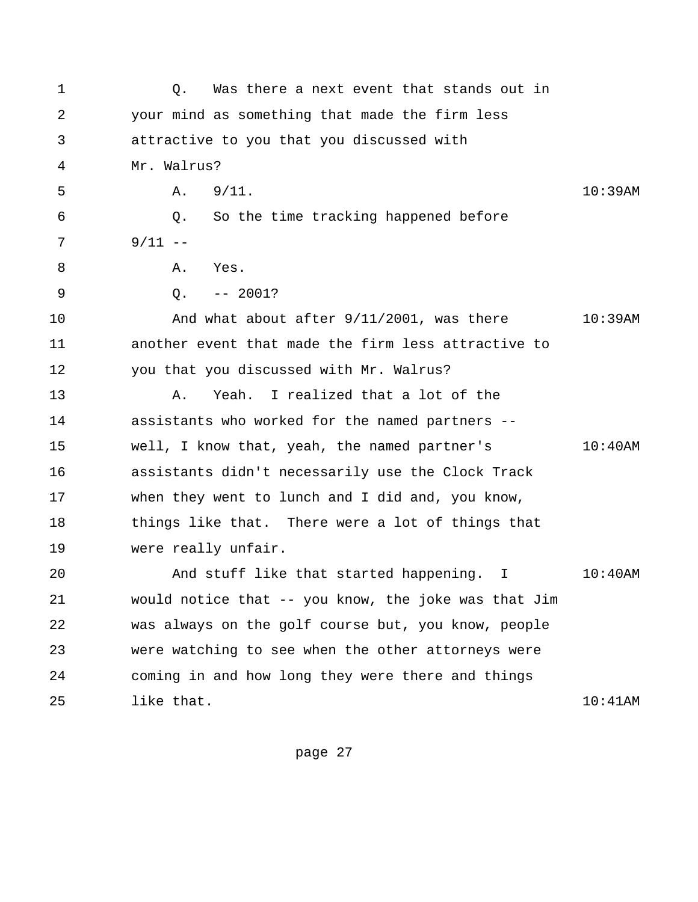<span id="page-32-0"></span>

| 1  | Was there a next event that stands out in<br>Q.      |            |  |  |
|----|------------------------------------------------------|------------|--|--|
| 2  | your mind as something that made the firm less       |            |  |  |
| 3  | attractive to you that you discussed with            |            |  |  |
| 4  | Mr. Walrus?                                          |            |  |  |
| 5  | 9/11.<br>Α.                                          | 10:39AM    |  |  |
| 6  | So the time tracking happened before<br>Q.           |            |  |  |
| 7  | $9/11$ --                                            |            |  |  |
| 8  | Α.<br>Yes.                                           |            |  |  |
| 9  | $-- 2001?$<br>Q.                                     |            |  |  |
| 10 | And what about after 9/11/2001, was there            | $10:39$ AM |  |  |
| 11 | another event that made the firm less attractive to  |            |  |  |
| 12 | you that you discussed with Mr. Walrus?              |            |  |  |
| 13 | Yeah. I realized that a lot of the<br>Α.             |            |  |  |
| 14 | assistants who worked for the named partners --      |            |  |  |
| 15 | well, I know that, yeah, the named partner's         | $10:40$ AM |  |  |
| 16 | assistants didn't necessarily use the Clock Track    |            |  |  |
| 17 | when they went to lunch and I did and, you know,     |            |  |  |
| 18 | things like that. There were a lot of things that    |            |  |  |
| 19 | were really unfair.                                  |            |  |  |
| 20 | And stuff like that started happening.<br>I.         | $10:40$ AM |  |  |
| 21 | would notice that -- you know, the joke was that Jim |            |  |  |
| 22 | was always on the golf course but, you know, people  |            |  |  |
| 23 | were watching to see when the other attorneys were   |            |  |  |
| 24 | coming in and how long they were there and things    |            |  |  |
| 25 | like that.                                           | 10:41AM    |  |  |
|    |                                                      |            |  |  |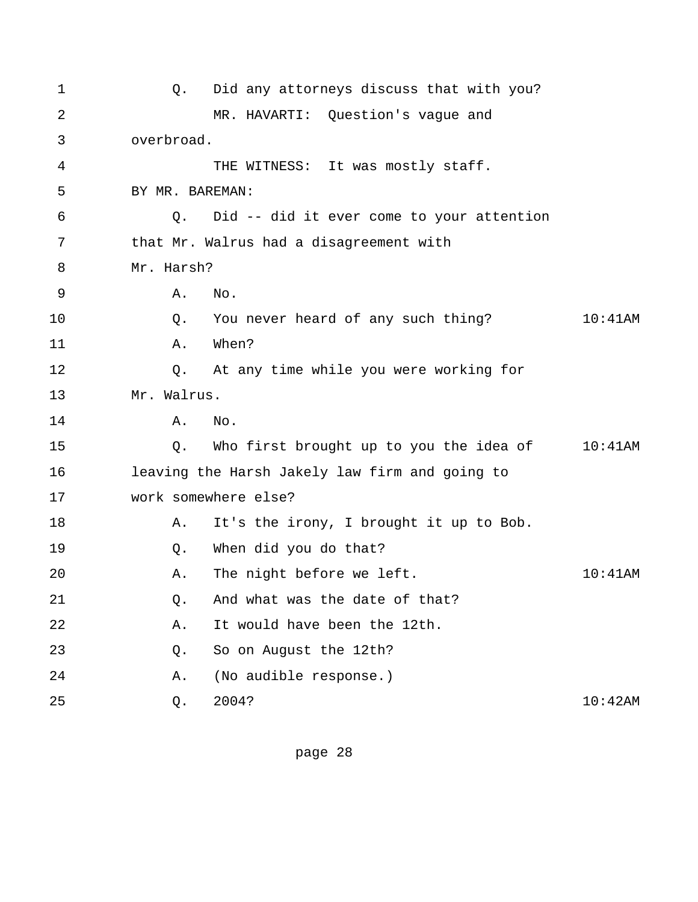| $\mathbf 1$ | Q.              | Did any attorneys discuss that with you?       |            |
|-------------|-----------------|------------------------------------------------|------------|
| 2           |                 | MR. HAVARTI: Question's vague and              |            |
| 3           | overbroad.      |                                                |            |
| 4           |                 | THE WITNESS: It was mostly staff.              |            |
| 5           | BY MR. BAREMAN: |                                                |            |
| 6           | Q.              | Did -- did it ever come to your attention      |            |
| 7           |                 | that Mr. Walrus had a disagreement with        |            |
| 8           | Mr. Harsh?      |                                                |            |
| 9           | Α.              | No.                                            |            |
| 10          | Q.              | You never heard of any such thing?             | $10:41$ AM |
| 11          | Α.              | When?                                          |            |
| 12          | Q.              | At any time while you were working for         |            |
| 13          | Mr. Walrus.     |                                                |            |
| 14          | Α.              | No.                                            |            |
| 15          | Q.              | Who first brought up to you the idea of        | $10:41$ AM |
| 16          |                 | leaving the Harsh Jakely law firm and going to |            |
| 17          |                 | work somewhere else?                           |            |
| 18          | Α.              | It's the irony, I brought it up to Bob.        |            |
| 19          | Q.              | When did you do that?                          |            |
| 20          | Α.              | The night before we left.                      | $10:41$ AM |
| 21          | $Q$ .           | And what was the date of that?                 |            |
| 22          | Α.              | It would have been the 12th.                   |            |
| 23          | $Q$ .           | So on August the 12th?                         |            |
| 24          | Α.              | (No audible response.)                         |            |
| 25          | Q.              | 2004?                                          | 10:42AM    |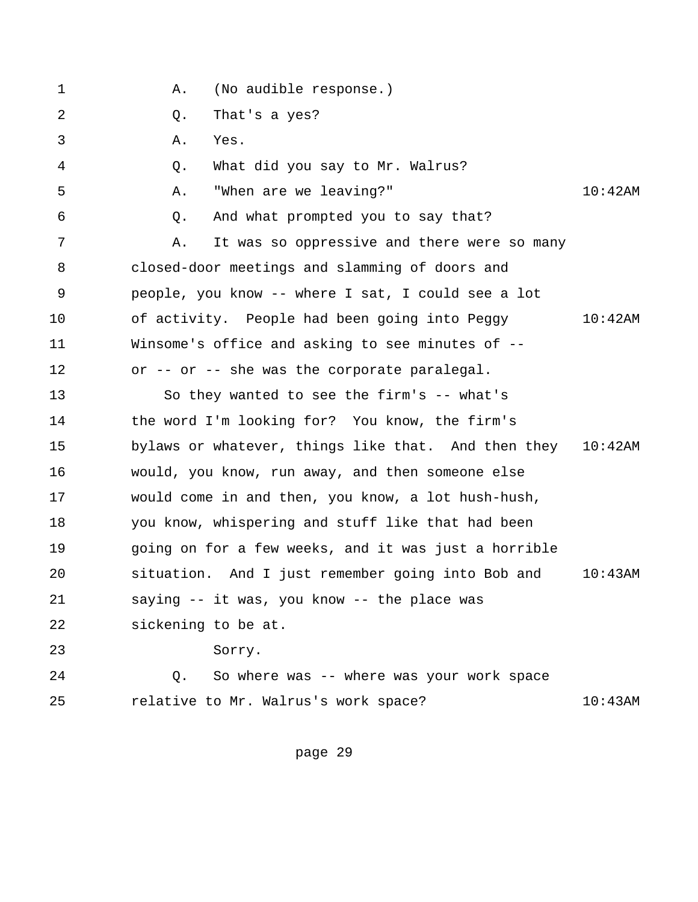| (No audible response.) |  |
|------------------------|--|
|------------------------|--|

- 2 Q. That's a yes?
- 3 A. Yes.
- 4 Q. What did you say to Mr. Walrus?
- 5 A. "When are we leaving?" 10:42AM
- 6 Q. And what prompted you to say that?
- 7 A. It was so oppressive and there were so many 8 closed-door meetings and slamming of doors and 9 people, you know -- where I sat, I could see a lot 10 of activity. People had been going into Peggy 10:42AM 11 Winsome's office and asking to see minutes of -- 12 or -- or -- she was the corporate paralegal.
- 13 So they wanted to see the firm's -- what's 14 the word I'm looking for? You know, the firm's 15 bylaws or whatever, things like that. And then they 10:42AM 16 would, you know, run away, and then someone else 17 would come in and then, you know, a lot hush-hush, 18 you know, whispering and stuff like that had been 19 going on for a few weeks, and it was just a horrible 20 situation. And I just remember going into Bob and 10:43AM 21 saying -- it was, you know -- the place was 22 sickening to be at. 23 Sorry.
- 24 Q. So where was -- where was your work space 25 relative to Mr. Walrus's work space? 10:43AM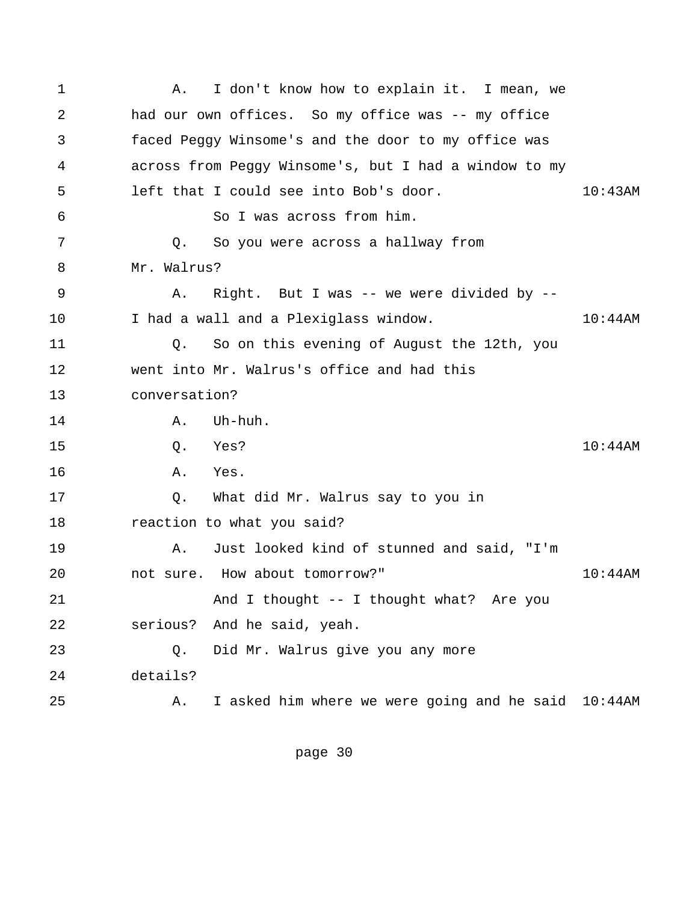<span id="page-35-0"></span> 1 A. I don't know how to explain it. I mean, we 2 had our own offices. So my office was -- my office 3 faced Peggy Winsome's and the door to my office was 4 across from Peggy Winsome's, but I had a window to my 5 left that I could see into Bob's door. 10:43AM 6 So I was across from him. 7 Q. So you were across a hallway from 8 Mr. Walrus? 9 A. Right. But I was -- we were divided by --10 1 I had a wall and a Plexiglass window. 10:44AM 11 Q. So on this evening of August the 12th, you 12 went into Mr. Walrus's office and had this 13 conversation? 14 A. Uh-huh. 15 Q. Yes? 10:44AM 16 A. Yes. 17 Q. What did Mr. Walrus say to you in 18 reaction to what you said? 19 A. Just looked kind of stunned and said, "I'm 20 not sure. How about tomorrow?" 10:44AM 21 And I thought -- I thought what? Are you 22 serious? And he said, yeah. 23 Q. Did Mr. Walrus give you any more 24 details? 25 A. I asked him where we were going and he said 10:44AM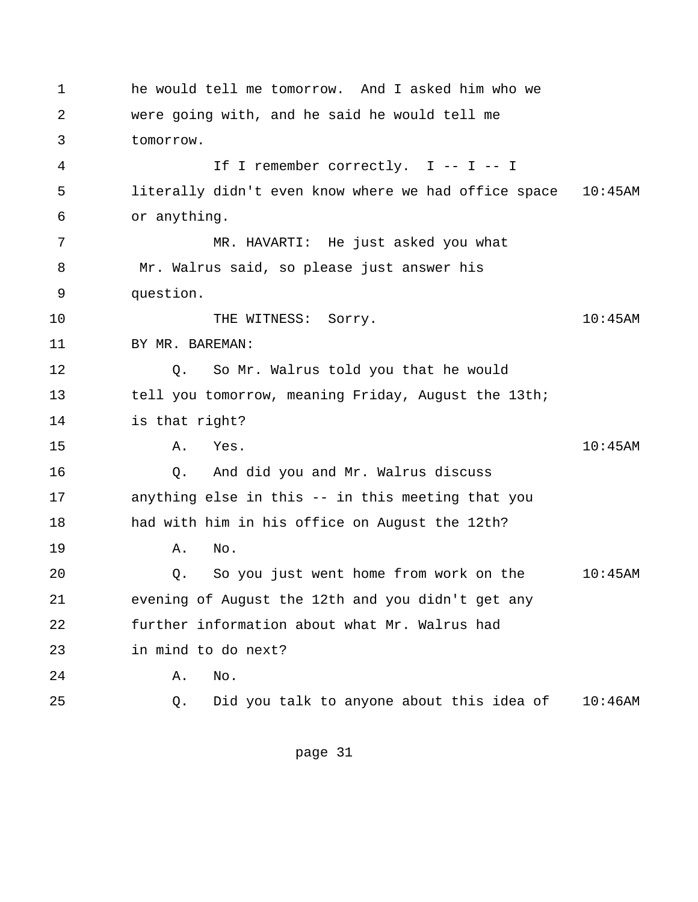1 he would tell me tomorrow. And I asked him who we 2 were going with, and he said he would tell me 3 tomorrow. 4 If I remember correctly. I -- I -- I 5 literally didn't even know where we had office space 10:45AM 6 or anything. 7 MR. HAVARTI: He just asked you what 8 Mr. Walrus said, so please just answer his 9 question. 10 THE WITNESS: Sorry. The Solid Solid State of the MITNESS: Sorry. 11 BY MR. BAREMAN: 12 Q. So Mr. Walrus told you that he would 13 tell you tomorrow, meaning Friday, August the 13th; 14 is that right? 15 A. Yes. 10:45AM 16 Q. And did you and Mr. Walrus discuss 17 anything else in this -- in this meeting that you 18 had with him in his office on August the 12th? 19 A. No. 20 Q. So you just went home from work on the 10:45AM 21 evening of August the 12th and you didn't get any 22 further information about what Mr. Walrus had 23 in mind to do next? 24 A. No. 25 Q. Did you talk to anyone about this idea of 10:46AM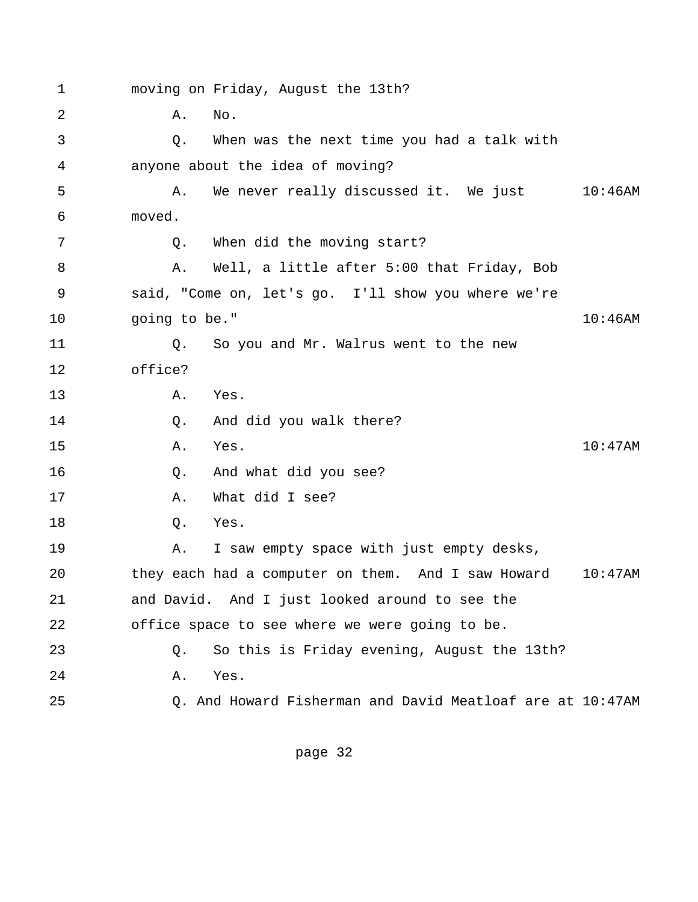1 moving on Friday, August the 13th? 2 **A.** No. 3 Q. When was the next time you had a talk with 4 anyone about the idea of moving? 5 A. We never really discussed it. We just 10:46AM 6 moved. 7 Q. When did the moving start? 8 A. Well, a little after 5:00 that Friday, Bob 9 said, "Come on, let's go. I'll show you where we're 10 going to be." 10:46AM 11 Q. So you and Mr. Walrus went to the new 12 office? 13 A. Yes. 14 0. And did you walk there? 15 A. Yes. 10:47AM 16 Q. And what did you see? 17 A. What did I see? 18 0. Yes. 19 A. I saw empty space with just empty desks, 20 they each had a computer on them. And I saw Howard 10:47AM 21 and David. And I just looked around to see the 22 office space to see where we were going to be. 23 Q. So this is Friday evening, August the 13th? 24 A. Yes. 25 Q. And Howard Fisherman and David Meatloaf are at 10:47AM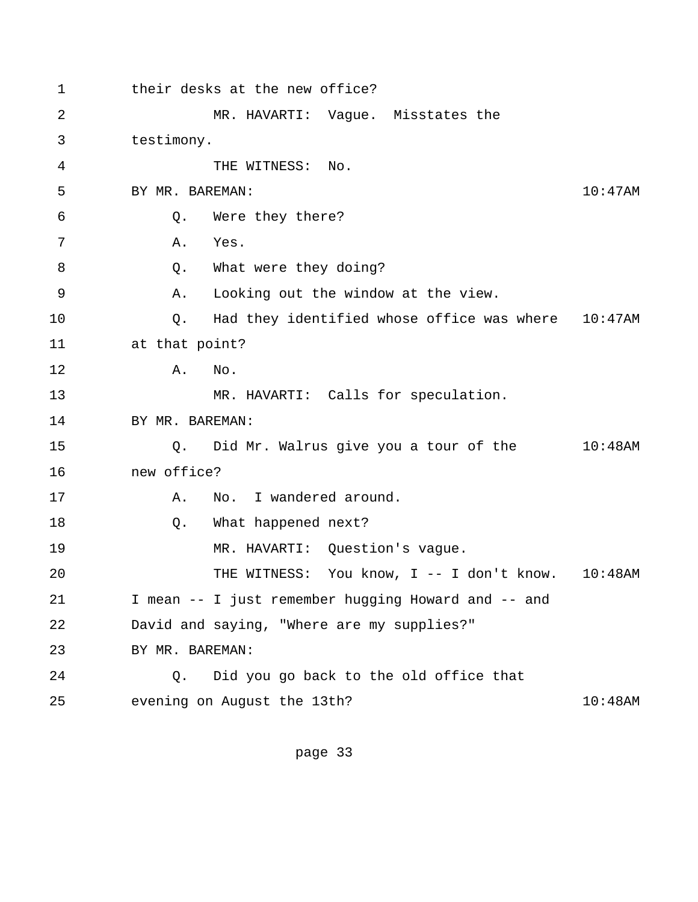1 their desks at the new office? 2 MR. HAVARTI: Vague. Misstates the 3 testimony. 4 THE WITNESS: No. 5 BY MR. BAREMAN: 10:47AM 6 Q. Were they there? 7 A. Yes. 8 Q. What were they doing? 9 A. Looking out the window at the view. 10 Q. Had they identified whose office was where 10:47AM 11 at that point? 12 A. No. 13 MR. HAVARTI: Calls for speculation. 14 BY MR. BAREMAN: 15 Q. Did Mr. Walrus give you a tour of the 10:48AM 16 new office? 17 A. No. I wandered around. 18 Q. What happened next? 19 MR. HAVARTI: Question's vague. 20 THE WITNESS: You know, I -- I don't know. 10:48AM 21 I mean -- I just remember hugging Howard and -- and 22 David and saying, "Where are my supplies?" 23 BY MR. BAREMAN: 24 Q. Did you go back to the old office that 25 evening on August the 13th? 10:48AM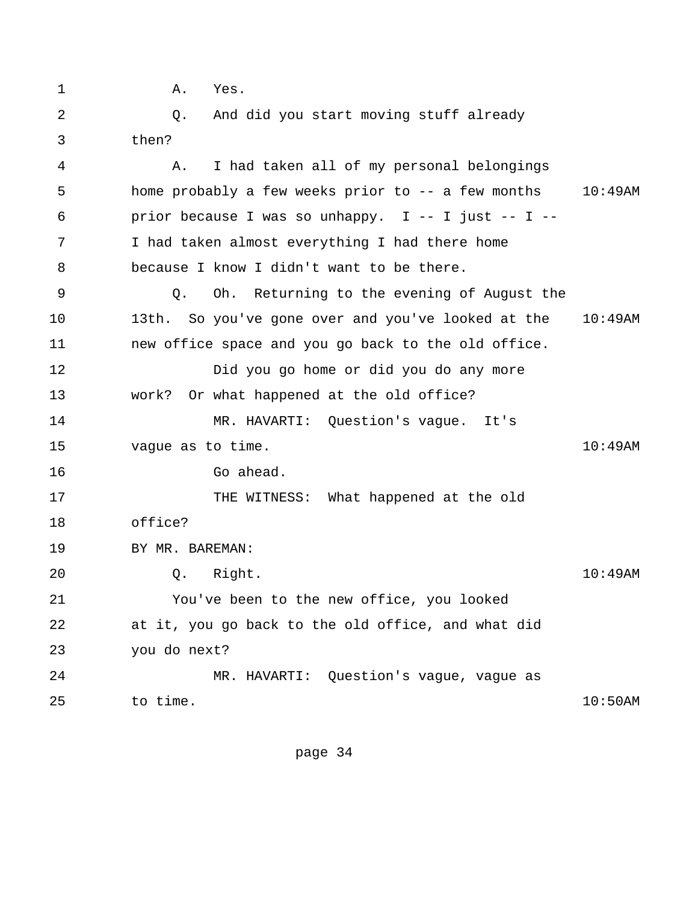1 A. Yes. 2 Q. And did you start moving stuff already 3 then? 4 A. I had taken all of my personal belongings 5 home probably a few weeks prior to -- a few months 10:49AM 6 prior because I was so unhappy. I -- I just -- I -- 7 I had taken almost everything I had there home 8 because I know I didn't want to be there. 9 Q. Oh. Returning to the evening of August the 10 13th. So you've gone over and you've looked at the 10:49AM 11 new office space and you go back to the old office. 12 Did you go home or did you do any more 13 work? Or what happened at the old office? 14 MR. HAVARTI: Question's vague. It's 15 vague as to time. 10:49AM 16 Go ahead. 17 THE WITNESS: What happened at the old 18 office? 19 BY MR. BAREMAN: 20 Q. Right. 10:49AM 21 You've been to the new office, you looked 22 at it, you go back to the old office, and what did 23 you do next? 24 MR. HAVARTI: Question's vague, vague as 25 to time. 25 to time.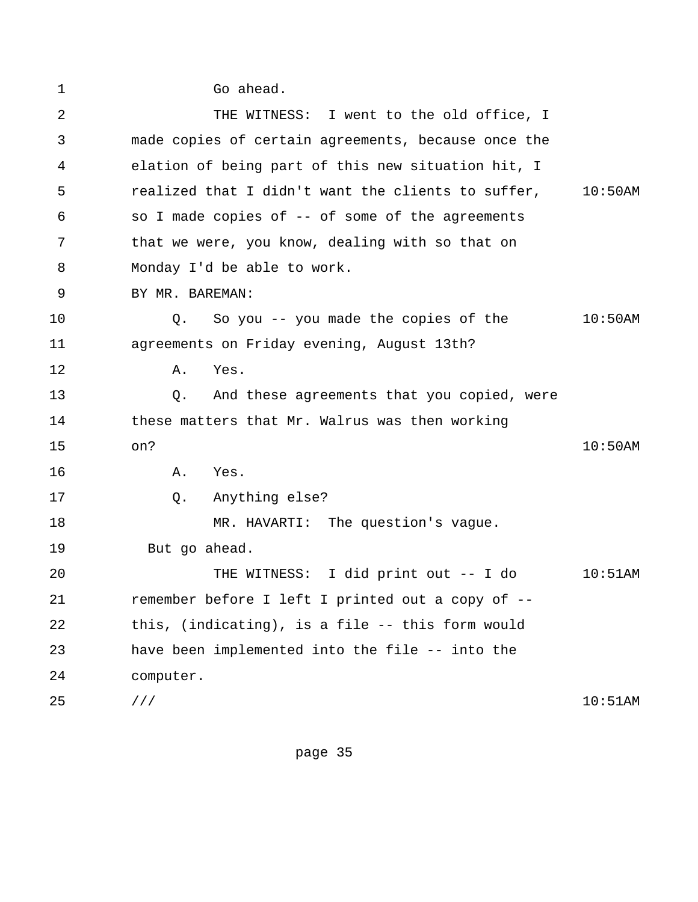1 Go ahead. 2 THE WITNESS: I went to the old office, I 3 made copies of certain agreements, because once the 4 elation of being part of this new situation hit, I 5 realized that I didn't want the clients to suffer, 10:50AM 6 so I made copies of -- of some of the agreements 7 that we were, you know, dealing with so that on 8 Monday I'd be able to work. 9 BY MR. BAREMAN: 10 Q. So you -- you made the copies of the 10:50AM 11 agreements on Friday evening, August 13th? 12 A. Yes. 13 Q. And these agreements that you copied, were 14 these matters that Mr. Walrus was then working 15 on? 10:50AM 16 A. Yes. 17 Q. Anything else? 18 MR. HAVARTI: The question's vague. 19 But go ahead. 20 THE WITNESS: I did print out -- I do 10:51AM 21 remember before I left I printed out a copy of -- 22 this, (indicating), is a file -- this form would 23 have been implemented into the file -- into the 24 computer. 25 /// 10:51AM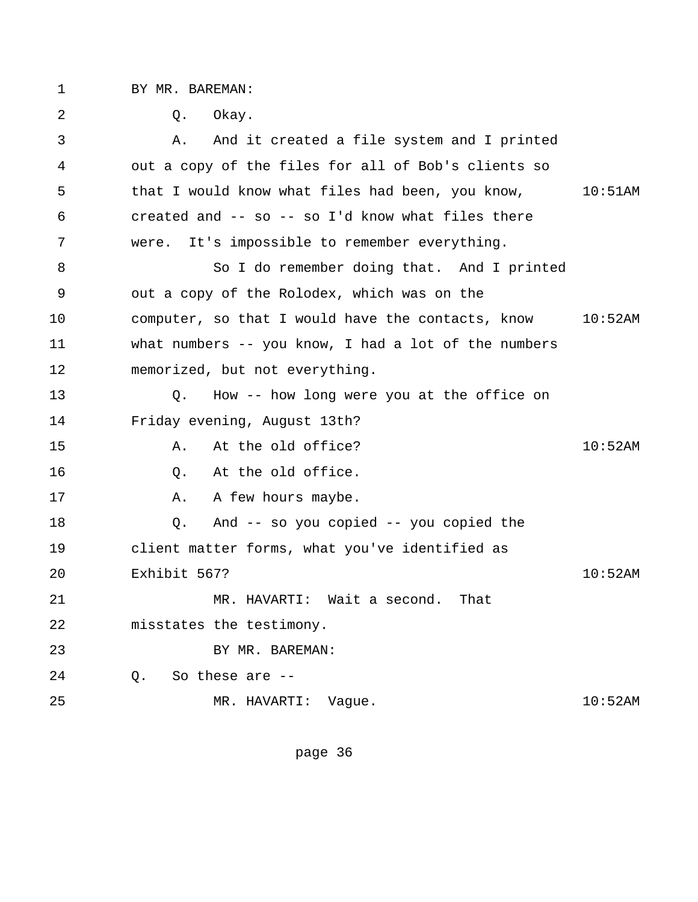1 BY MR. BAREMAN:

 2 Q. Okay. 3 A. And it created a file system and I printed 4 out a copy of the files for all of Bob's clients so 5 that I would know what files had been, you know, 10:51AM 6 created and -- so -- so I'd know what files there 7 were. It's impossible to remember everything. 8 So I do remember doing that. And I printed 9 out a copy of the Rolodex, which was on the 10 computer, so that I would have the contacts, know 10:52AM 11 what numbers -- you know, I had a lot of the numbers 12 memorized, but not everything. 13 Q. How -- how long were you at the office on 14 Friday evening, August 13th? 15 A. At the old office? 10:52AM 16 0. At the old office. 17 A. A few hours maybe. 18 Q. And -- so you copied -- you copied the 19 client matter forms, what you've identified as 20 Exhibit 567? 10:52AM 21 MR. HAVARTI: Wait a second. That 22 misstates the testimony. 23 BY MR. BAREMAN: 24 Q. So these are -- 25 MR. HAVARTI: Vague. 10:52AM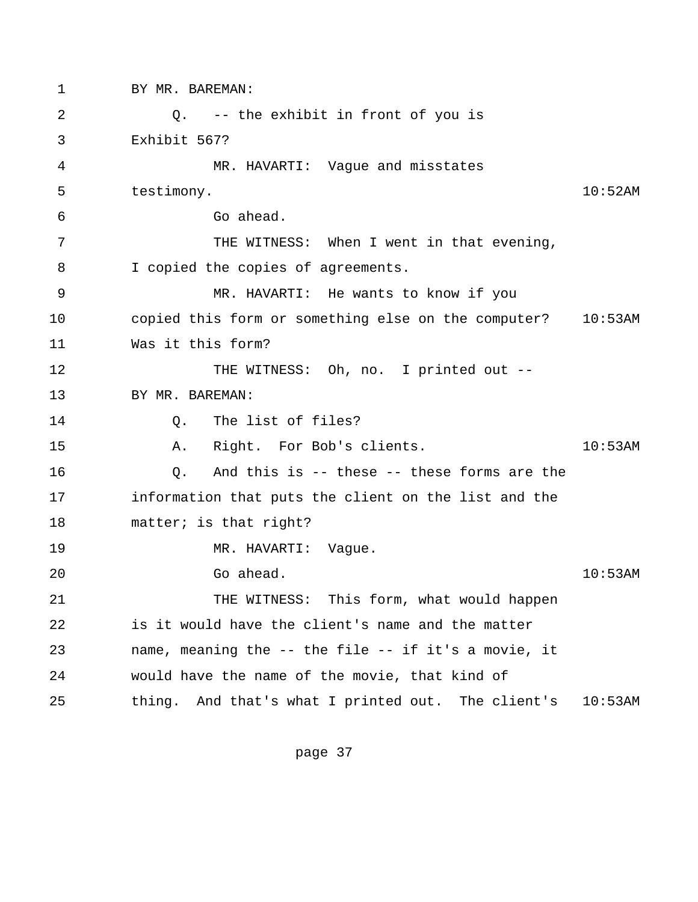1 BY MR. BAREMAN: 2 Q. -- the exhibit in front of you is 3 Exhibit 567? 4 MR. HAVARTI: Vague and misstates 5 testimony. 10:52AM 6 Go ahead. 7 THE WITNESS: When I went in that evening, 8 I copied the copies of agreements. 9 MR. HAVARTI: He wants to know if you 10 copied this form or something else on the computer? 10:53AM 11 Was it this form? 12 THE WITNESS: Oh, no. I printed out --13 BY MR. BAREMAN: 14 0. The list of files? 15 A. Right. For Bob's clients. 10:53AM 16 16 C. And this is -- these -- these forms are the 17 information that puts the client on the list and the 18 matter; is that right? 19 MR. HAVARTI: Vague. 20 Co ahead. Co ahead. 21 THE WITNESS: This form, what would happen 22 is it would have the client's name and the matter 23 name, meaning the -- the file -- if it's a movie, it 24 would have the name of the movie, that kind of 25 thing. And that's what I printed out. The client's 10:53AM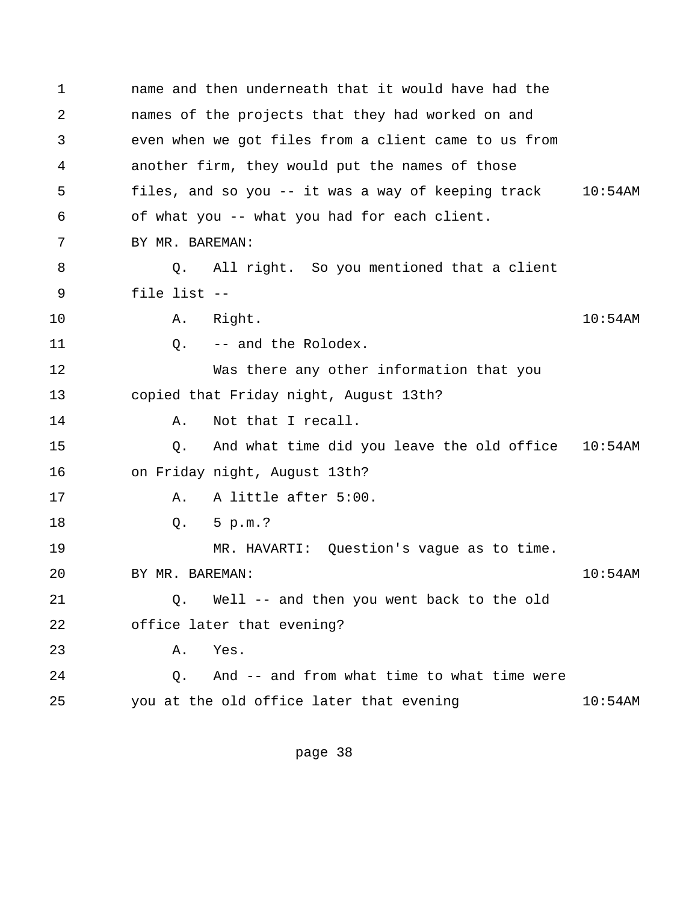1 name and then underneath that it would have had the 2 names of the projects that they had worked on and 3 even when we got files from a client came to us from 4 another firm, they would put the names of those 5 files, and so you -- it was a way of keeping track 10:54AM 6 of what you -- what you had for each client. 7 BY MR. BAREMAN: 8 Q. All right. So you mentioned that a client 9 file list -- 10 A. Right. 10:54AM 11 0. -- and the Rolodex. 12 Was there any other information that you 13 copied that Friday night, August 13th? 14 A. Not that I recall. 15 Q. And what time did you leave the old office 10:54AM 16 on Friday night, August 13th? 17 A. A little after 5:00. 18 Q. 5 p.m.? 19 MR. HAVARTI: Question's vague as to time. 20 BY MR. BAREMAN: 10:54AM 21 Q. Well -- and then you went back to the old 22 office later that evening? 23 A. Yes. 24 Q. And -- and from what time to what time were 25 you at the old office later that evening 10:54AM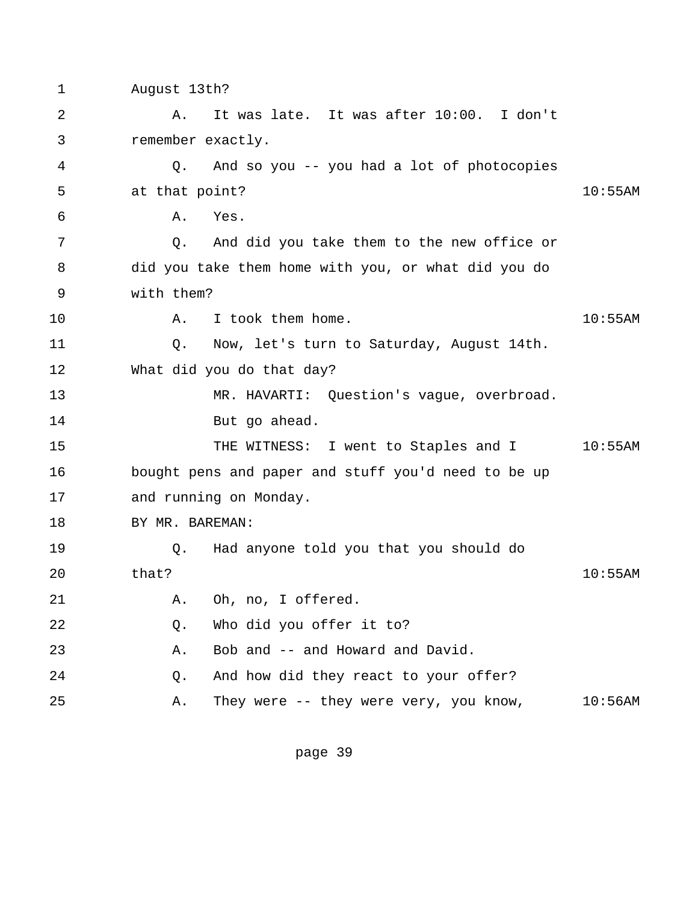1 August 13th? 2 A. It was late. It was after 10:00. I don't 3 remember exactly. 4 Q. And so you -- you had a lot of photocopies 5 at that point? 10:55AM 6 A. Yes. 7 Q. And did you take them to the new office or 8 did you take them home with you, or what did you do 9 with them? 10 A. I took them home. 10:55AM 11 Q. Now, let's turn to Saturday, August 14th. 12 What did you do that day? 13 MR. HAVARTI: Question's vague, overbroad. 14 But go ahead. 15 THE WITNESS: I went to Staples and I 10:55AM 16 bought pens and paper and stuff you'd need to be up 17 and running on Monday. 18 BY MR. BAREMAN: 19 Q. Had anyone told you that you should do 20 that? 10:55AM 21 A. Oh, no, I offered. 22 Q. Who did you offer it to? 23 A. Bob and -- and Howard and David. 24 Q. And how did they react to your offer? 25 A. They were -- they were very, you know, 10:56AM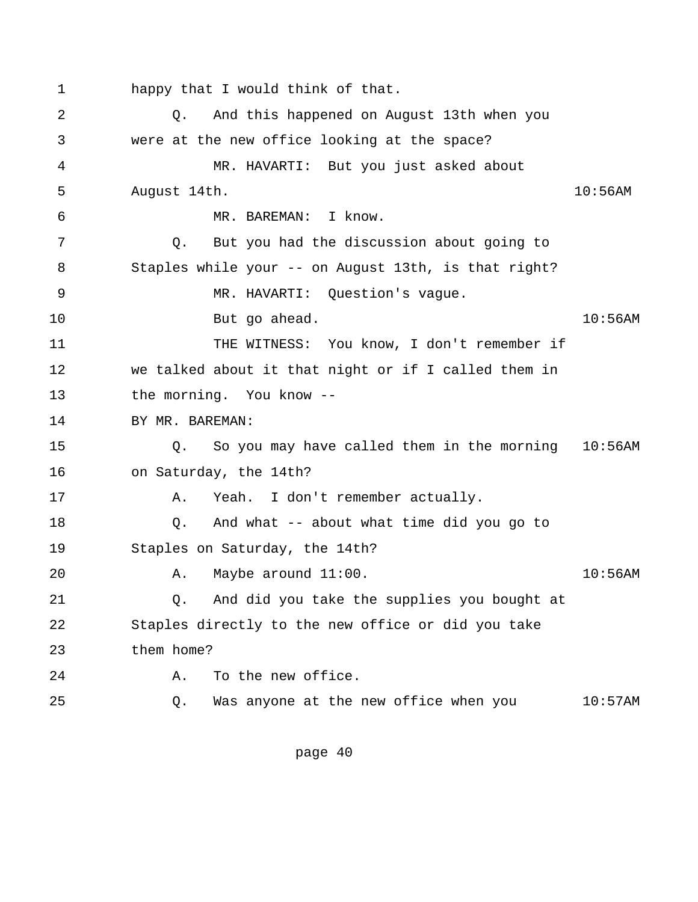1 happy that I would think of that. 2 Q. And this happened on August 13th when you 3 were at the new office looking at the space? 4 MR. HAVARTI: But you just asked about 5 August 14th. 10:56AM 6 MR. BAREMAN: I know. 7 Q. But you had the discussion about going to 8 Staples while your -- on August 13th, is that right? 9 MR. HAVARTI: Question's vague. 10 But go ahead. 10:56AM 11 THE WITNESS: You know, I don't remember if 12 we talked about it that night or if I called them in 13 the morning. You know -- 14 BY MR. BAREMAN: 15 Q. So you may have called them in the morning 10:56AM 16 on Saturday, the 14th? 17 A. Yeah. I don't remember actually. 18 Q. And what -- about what time did you go to 19 Staples on Saturday, the 14th? 20 A. Maybe around 11:00. 10:56AM 21 Q. And did you take the supplies you bought at 22 Staples directly to the new office or did you take 23 them home? 24 A. To the new office. 25 Q. Was anyone at the new office when you 10:57AM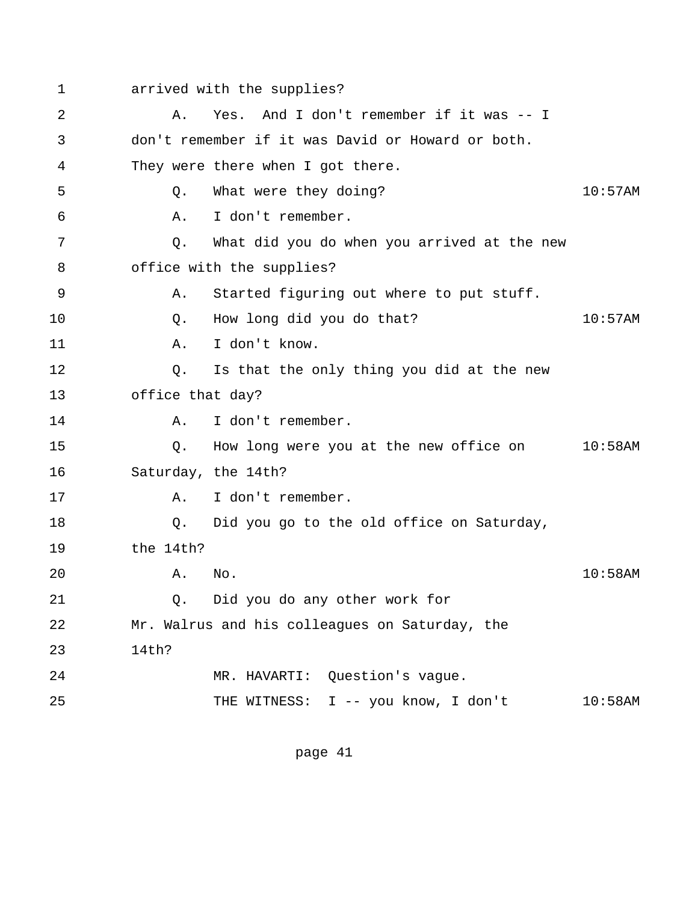1 arrived with the supplies?

| 2  | Α.                  | Yes. And I don't remember if it was -- I          |            |
|----|---------------------|---------------------------------------------------|------------|
| 3  |                     | don't remember if it was David or Howard or both. |            |
| 4  |                     | They were there when I got there.                 |            |
| 5  | Q.                  | What were they doing?                             | $10:57$ AM |
| 6  | Α.                  | I don't remember.                                 |            |
| 7  | Q.                  | What did you do when you arrived at the new       |            |
| 8  |                     | office with the supplies?                         |            |
| 9  | Α.                  | Started figuring out where to put stuff.          |            |
| 10 | Q.                  | How long did you do that?                         | 10:57AM    |
| 11 | Α.                  | I don't know.                                     |            |
| 12 | Q.                  | Is that the only thing you did at the new         |            |
| 13 | office that day?    |                                                   |            |
| 14 | Α.                  | I don't remember.                                 |            |
| 15 | Q.                  | How long were you at the new office on 10:58AM    |            |
| 16 | Saturday, the 14th? |                                                   |            |
| 17 | Α.                  | I don't remember.                                 |            |
| 18 | Q.                  | Did you go to the old office on Saturday,         |            |
| 19 | the 14th?           |                                                   |            |
| 20 | Α.                  | No.                                               | $10:58$ AM |
| 21 | Q.                  | Did you do any other work for                     |            |
| 22 |                     | Mr. Walrus and his colleagues on Saturday, the    |            |
| 23 | 14th?               |                                                   |            |
| 24 |                     | MR. HAVARTI: Question's vague.                    |            |
| 25 |                     | THE WITNESS: I -- you know, I don't               | $10:58$ AM |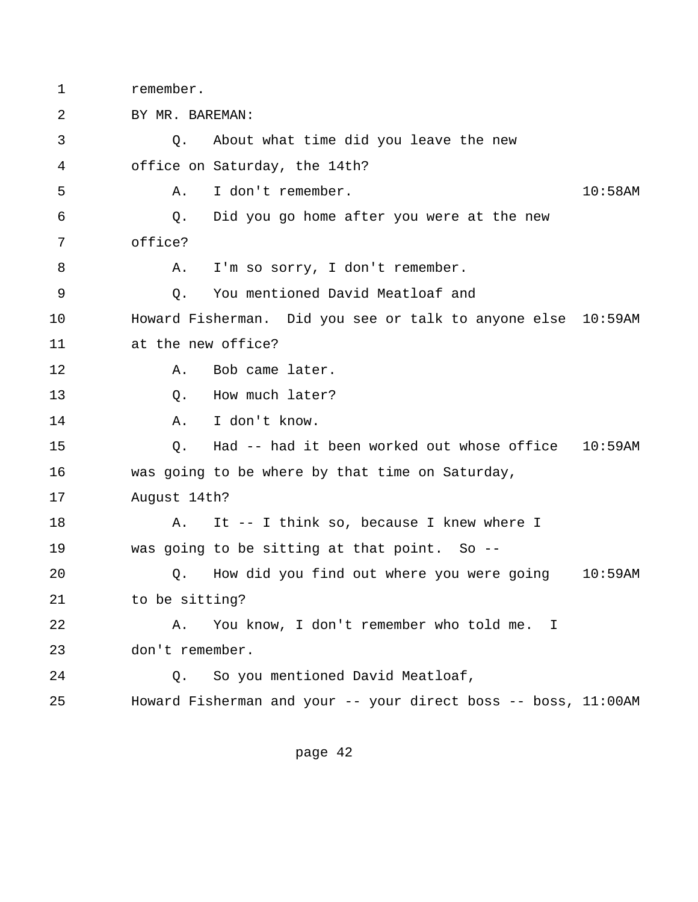1 remember.

 2 BY MR. BAREMAN: 3 Q. About what time did you leave the new 4 office on Saturday, the 14th? 5 A. I don't remember. 10:58AM 6 Q. Did you go home after you were at the new 7 office? 8 A. I'm so sorry, I don't remember. 9 Q. You mentioned David Meatloaf and 10 Howard Fisherman. Did you see or talk to anyone else 10:59AM 11 at the new office? 12 A. Bob came later. 13 O. How much later? 14 A. I don't know. 15 Q. Had -- had it been worked out whose office 10:59AM 16 was going to be where by that time on Saturday, 17 August 14th? 18 A. It -- I think so, because I knew where I 19 was going to be sitting at that point. So -- 20 Q. How did you find out where you were going 10:59AM 21 to be sitting? 22 A. You know, I don't remember who told me. I 23 don't remember. 24 Q. So you mentioned David Meatloaf, 25 Howard Fisherman and your -- your direct boss -- boss, 11:00AM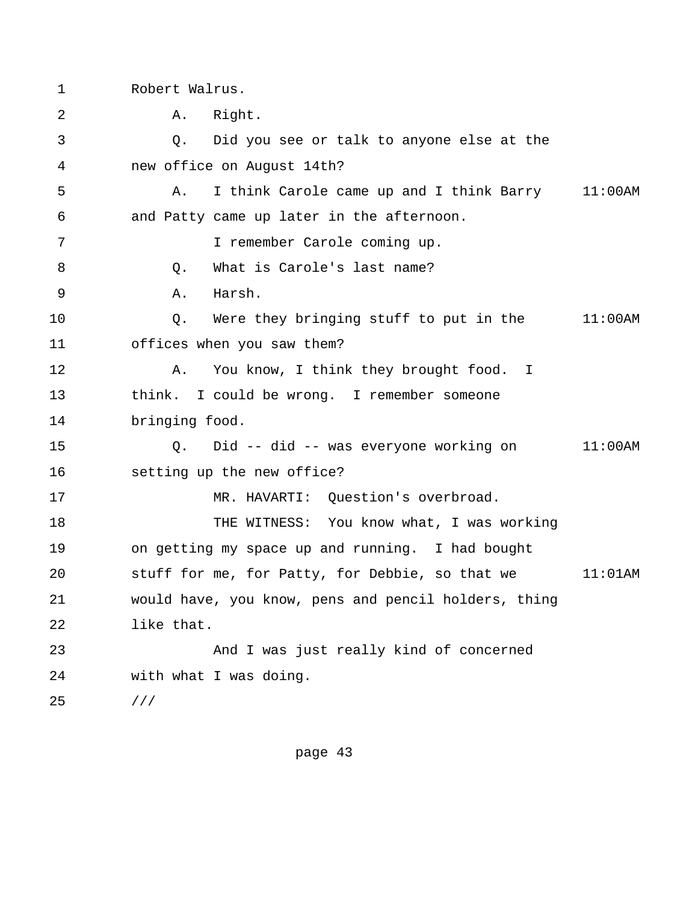1 Robert Walrus.

2 **A.** Right. 3 Q. Did you see or talk to anyone else at the 4 new office on August 14th? 5 A. I think Carole came up and I think Barry 11:00AM 6 and Patty came up later in the afternoon. 7 I remember Carole coming up. 8 Q. What is Carole's last name? 9 A. Harsh. 10 Q. Were they bringing stuff to put in the 11:00AM 11 offices when you saw them? 12 A. You know, I think they brought food. I 13 think. I could be wrong. I remember someone 14 bringing food. 15 Q. Did -- did -- was everyone working on 11:00AM 16 setting up the new office? 17 MR. HAVARTI: Question's overbroad. 18 THE WITNESS: You know what, I was working 19 on getting my space up and running. I had bought 20 stuff for me, for Patty, for Debbie, so that we 11:01AM 21 would have, you know, pens and pencil holders, thing 22 like that. 23 And I was just really kind of concerned 24 with what I was doing. 25 ///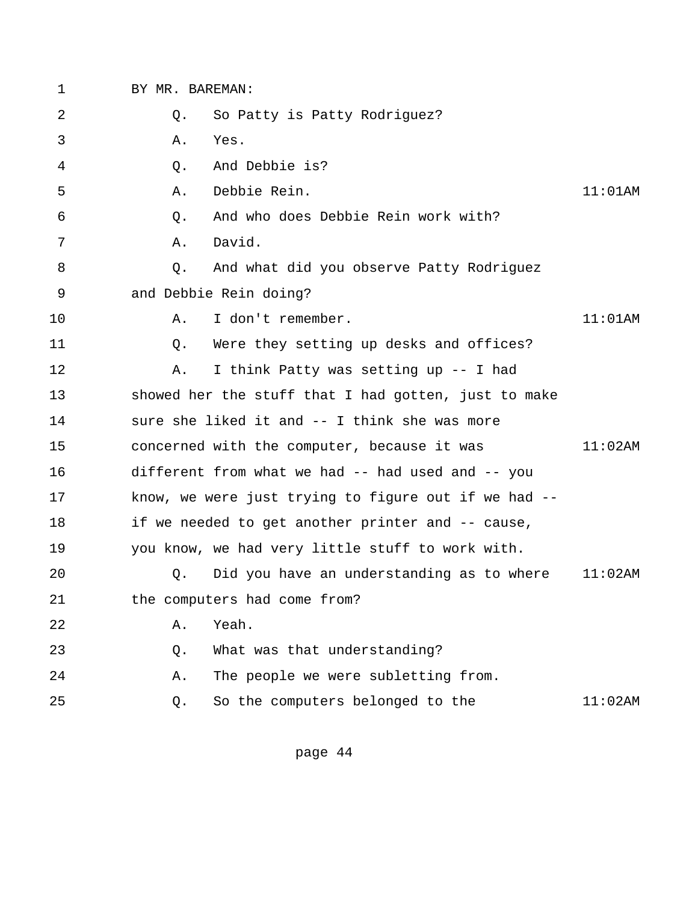| $\mathbf 1$ | BY MR. BAREMAN: |                                                      |            |
|-------------|-----------------|------------------------------------------------------|------------|
| 2           | Q.              | So Patty is Patty Rodriguez?                         |            |
| 3           | Α.              | Yes.                                                 |            |
| 4           | Q.              | And Debbie is?                                       |            |
| 5           | Α.              | Debbie Rein.                                         | $11:01$ AM |
| 6           | O.              | And who does Debbie Rein work with?                  |            |
| 7           | Α.              | David.                                               |            |
| 8           | O.              | And what did you observe Patty Rodriguez             |            |
| 9           |                 | and Debbie Rein doing?                               |            |
| 10          | Α.              | I don't remember.                                    | $11:01$ AM |
| 11          | Q.              | Were they setting up desks and offices?              |            |
| 12          | Α.              | I think Patty was setting up -- I had                |            |
| 13          |                 | showed her the stuff that I had gotten, just to make |            |
| 14          |                 | sure she liked it and -- I think she was more        |            |
| 15          |                 | concerned with the computer, because it was          | 11:02AM    |
| 16          |                 | different from what we had -- had used and -- you    |            |
| 17          |                 | know, we were just trying to figure out if we had -- |            |
| 18          |                 | if we needed to get another printer and -- cause,    |            |
| 19          |                 | you know, we had very little stuff to work with.     |            |
| 20          | Q.              | Did you have an understanding as to where            | $11:02$ AM |
| 21          |                 | the computers had come from?                         |            |
| 22          | Α.              | Yeah.                                                |            |
| 23          | Q.              | What was that understanding?                         |            |
| 24          | Α.              | The people we were subletting from.                  |            |
| 25          | Q.              | So the computers belonged to the                     | $11:02$ AM |
|             |                 |                                                      |            |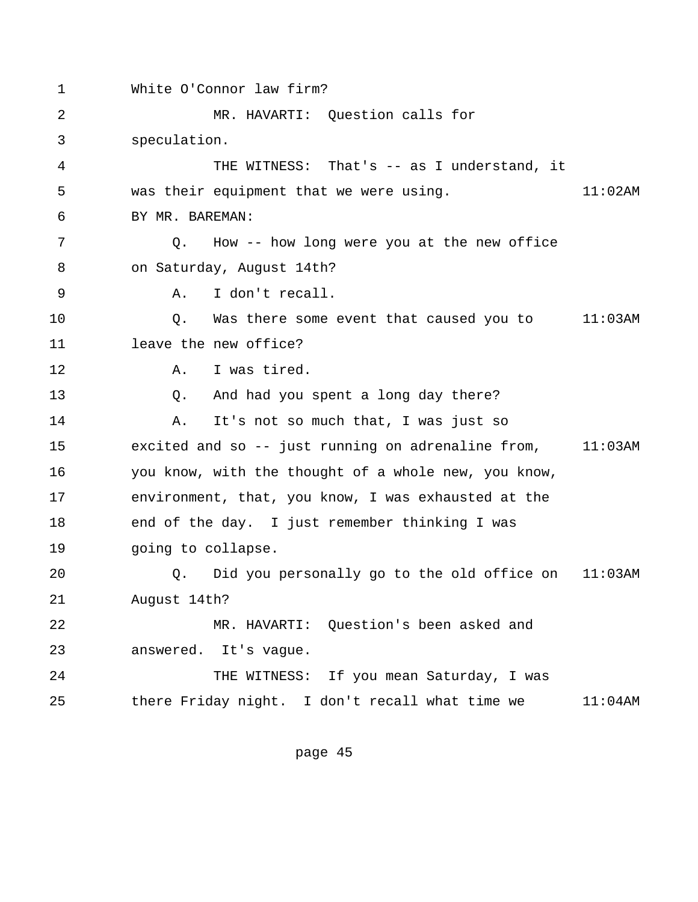1 White O'Connor law firm? 2 MR. HAVARTI: Question calls for 3 speculation. 4 THE WITNESS: That's -- as I understand, it 5 was their equipment that we were using. 11:02AM 6 BY MR. BAREMAN: 7 Q. How -- how long were you at the new office 8 on Saturday, August 14th? 9 A. I don't recall. 10 Q. Was there some event that caused you to 11:03AM 11 leave the new office? 12 A. I was tired. 13 Q. And had you spent a long day there? 14 **A.** It's not so much that, I was just so 15 excited and so -- just running on adrenaline from, 11:03AM 16 you know, with the thought of a whole new, you know, 17 environment, that, you know, I was exhausted at the 18 end of the day. I just remember thinking I was 19 going to collapse. 20 Q. Did you personally go to the old office on 11:03AM 21 August 14th? 22 MR. HAVARTI: Question's been asked and 23 answered. It's vague. 24 THE WITNESS: If you mean Saturday, I was 25 there Friday night. I don't recall what time we 11:04AM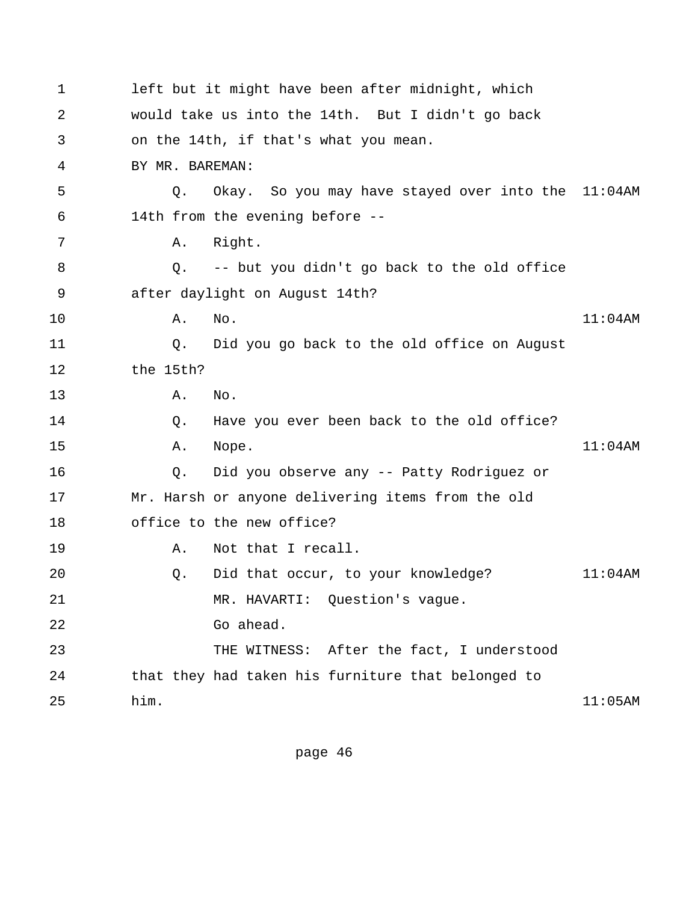| 1  |                 | left but it might have been after midnight, which  |            |
|----|-----------------|----------------------------------------------------|------------|
| 2  |                 | would take us into the 14th. But I didn't go back  |            |
| 3  |                 | on the 14th, if that's what you mean.              |            |
| 4  | BY MR. BAREMAN: |                                                    |            |
| 5  | Q.              | Okay. So you may have stayed over into the 11:04AM |            |
| 6  |                 | 14th from the evening before --                    |            |
| 7  | Α.              | Right.                                             |            |
| 8  | Q.              | -- but you didn't go back to the old office        |            |
| 9  |                 | after daylight on August 14th?                     |            |
| 10 | Α.              | No.                                                | $11:04$ AM |
| 11 | Q.              | Did you go back to the old office on August        |            |
| 12 | the 15th?       |                                                    |            |
| 13 | Α.              | No.                                                |            |
| 14 | Q.              | Have you ever been back to the old office?         |            |
| 15 | Α.              | Nope.                                              | $11:04$ AM |
| 16 | Q.              | Did you observe any -- Patty Rodriguez or          |            |
| 17 |                 | Mr. Harsh or anyone delivering items from the old  |            |
| 18 |                 | office to the new office?                          |            |
| 19 | Α.              | Not that I recall.                                 |            |
| 20 | Q.              | Did that occur, to your knowledge?                 | $11:04$ AM |
| 21 |                 | MR. HAVARTI: Question's vague.                     |            |
| 22 |                 | Go ahead.                                          |            |
| 23 |                 | THE WITNESS: After the fact, I understood          |            |
| 24 |                 | that they had taken his furniture that belonged to |            |
| 25 | him.            |                                                    | 11:05AM    |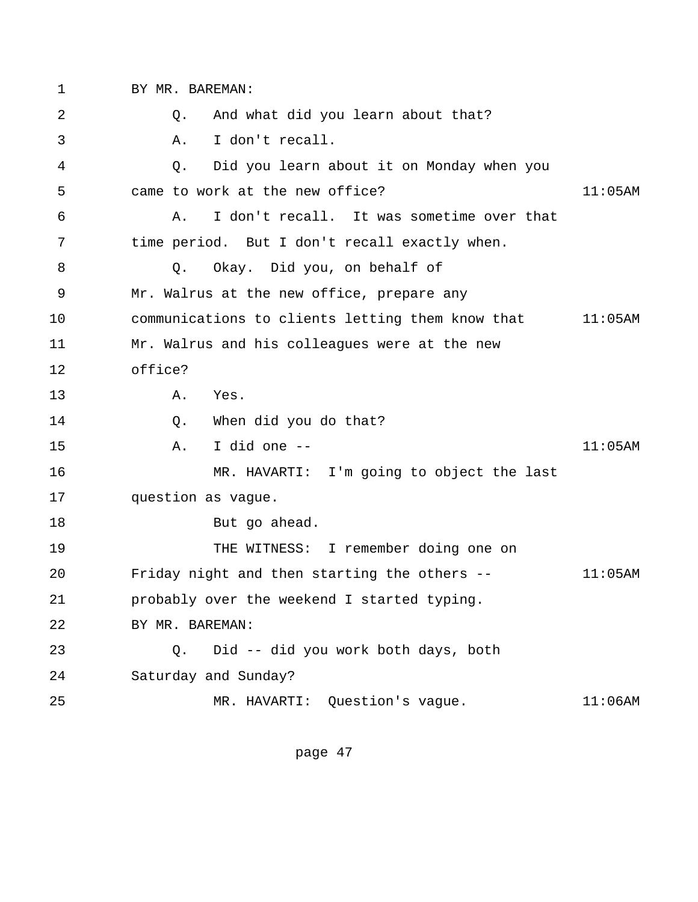1 BY MR. BAREMAN:

 2 Q. And what did you learn about that? 3 A. I don't recall. 4 Q. Did you learn about it on Monday when you 5 came to work at the new office? 11:05AM 6 A. I don't recall. It was sometime over that 7 time period. But I don't recall exactly when. 8 Q. Okay. Did you, on behalf of 9 Mr. Walrus at the new office, prepare any 10 communications to clients letting them know that 11:05AM 11 Mr. Walrus and his colleagues were at the new 12 office? 13 A. Yes. 14 O. When did you do that? 15 A. I did one -- 11:05AM 16 MR. HAVARTI: I'm going to object the last 17 question as vague. 18 But go ahead. 19 THE WITNESS: I remember doing one on 20 Friday night and then starting the others -- 11:05AM 21 probably over the weekend I started typing. 22 BY MR. BAREMAN: 23 Q. Did -- did you work both days, both 24 Saturday and Sunday? 25 MR. HAVARTI: Question's vague. 11:06AM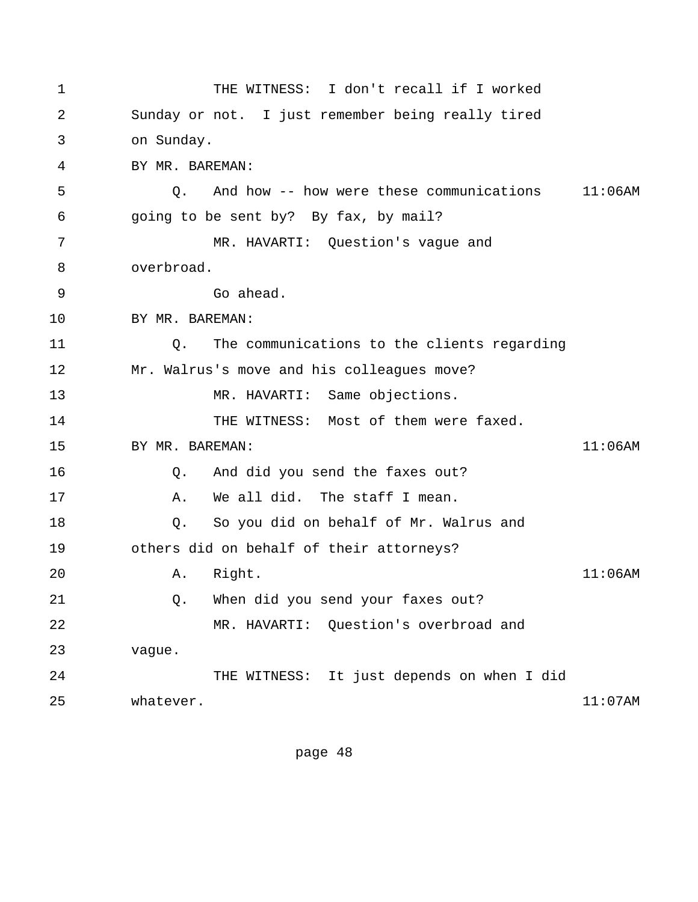1 THE WITNESS: I don't recall if I worked 2 Sunday or not. I just remember being really tired 3 on Sunday. 4 BY MR. BAREMAN: 5 Q. And how -- how were these communications 11:06AM 6 going to be sent by? By fax, by mail? 7 MR. HAVARTI: Question's vague and 8 overbroad. 9 Go ahead. 10 BY MR. BAREMAN: 11 Q. The communications to the clients regarding 12 Mr. Walrus's move and his colleagues move? 13 MR. HAVARTI: Same objections. 14 THE WITNESS: Most of them were faxed. 15 BY MR. BAREMAN: 11:06AM 16 Q. And did you send the faxes out? 17 A. We all did. The staff I mean. 18 Q. So you did on behalf of Mr. Walrus and 19 others did on behalf of their attorneys? 20 A. Right. 11:06AM 21 Q. When did you send your faxes out? 22 MR. HAVARTI: Question's overbroad and 23 vague. 24 THE WITNESS: It just depends on when I did 25 whatever. 11:07AM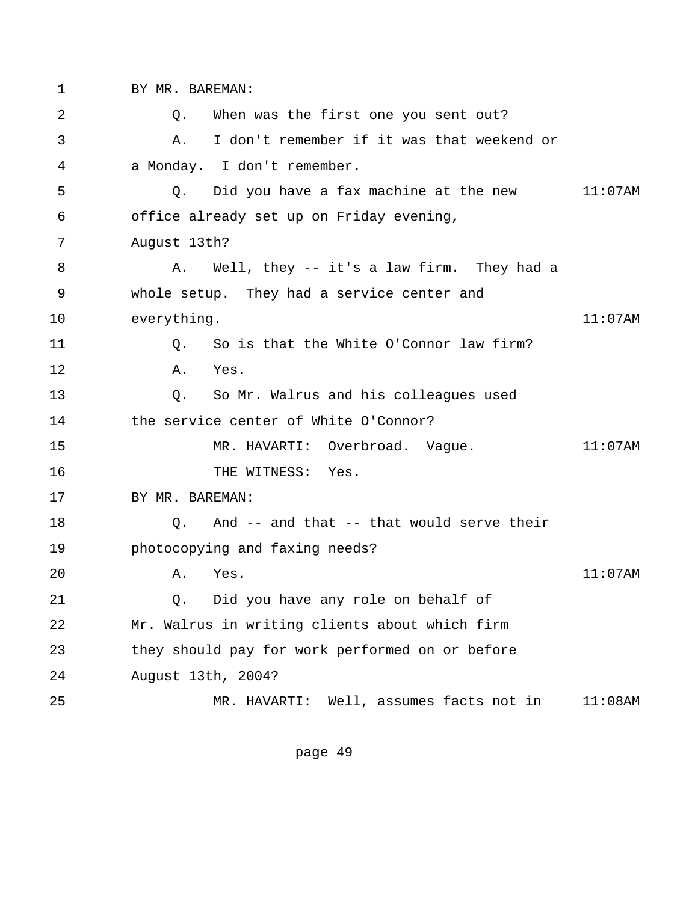1 BY MR. BAREMAN:

 2 Q. When was the first one you sent out? 3 A. I don't remember if it was that weekend or 4 a Monday. I don't remember. 5 Q. Did you have a fax machine at the new 11:07AM 6 office already set up on Friday evening, 7 August 13th? 8 A. Well, they -- it's a law firm. They had a 9 whole setup. They had a service center and 10 everything. 11:07AM 11 0. So is that the White O'Connor law firm? 12 A. Yes. 13 Q. So Mr. Walrus and his colleagues used 14 the service center of White O'Connor? 15 MR. HAVARTI: Overbroad. Vague. 11:07AM 16 THE WITNESS: Yes. 17 BY MR. BAREMAN: 18 Q. And -- and that -- that would serve their 19 photocopying and faxing needs? 20 A. Yes. 11:07AM 21 Q. Did you have any role on behalf of 22 Mr. Walrus in writing clients about which firm 23 they should pay for work performed on or before 24 August 13th, 2004? 25 MR. HAVARTI: Well, assumes facts not in 11:08AM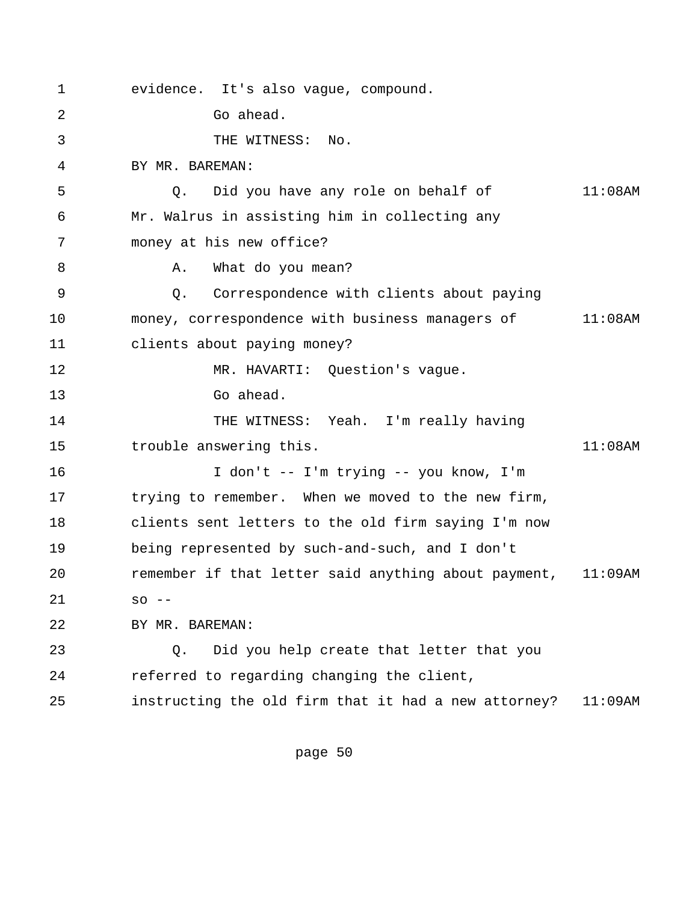1 evidence. It's also vague, compound. 2 Go ahead. 3 THE WITNESS: No. 4 BY MR. BAREMAN: 5 Q. Did you have any role on behalf of 11:08AM 6 Mr. Walrus in assisting him in collecting any 7 money at his new office? 8 A. What do you mean? 9 Q. Correspondence with clients about paying 10 money, correspondence with business managers of 11:08AM 11 clients about paying money? 12 MR. HAVARTI: Question's vague. 13 Go ahead. 14 THE WITNESS: Yeah. I'm really having 15 trouble answering this. 11:08AM 16 I don't -- I'm trying -- you know, I'm 17 trying to remember. When we moved to the new firm, 18 clients sent letters to the old firm saying I'm now 19 being represented by such-and-such, and I don't 20 remember if that letter said anything about payment, 11:09AM 21 so -- 22 BY MR. BAREMAN: 23 Q. Did you help create that letter that you 24 referred to regarding changing the client, 25 instructing the old firm that it had a new attorney? 11:09AM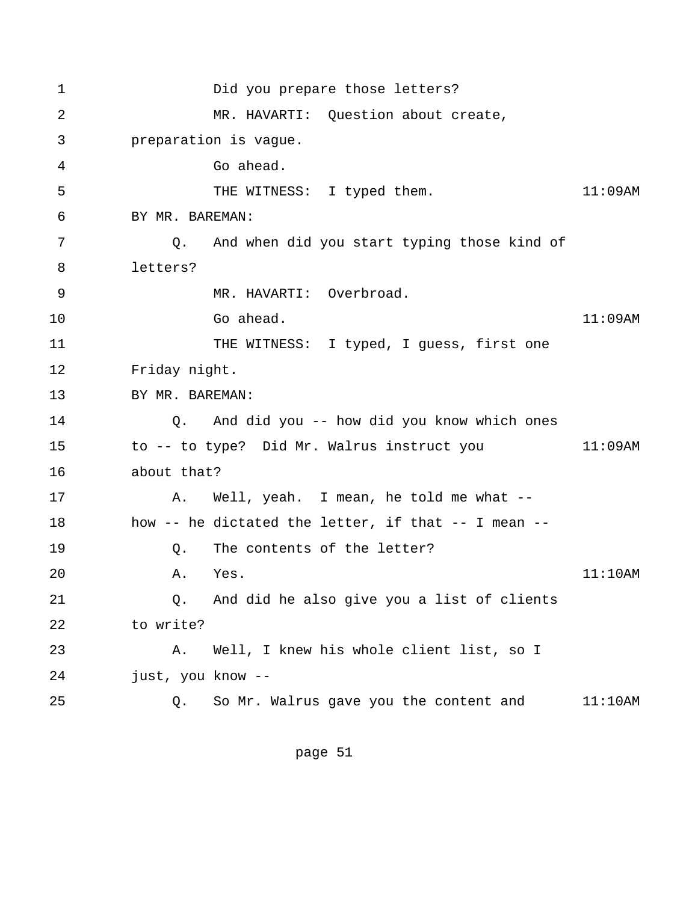1 Did you prepare those letters? 2 MR. HAVARTI: Question about create, 3 preparation is vague. 4 Go ahead. 5 THE WITNESS: I typed them. 11:09AM 6 BY MR. BAREMAN: 7 Q. And when did you start typing those kind of 8 letters? 9 MR. HAVARTI: Overbroad.  $10$  Go ahead.  $11:09$ AM 11 THE WITNESS: I typed, I guess, first one 12 Friday night. 13 BY MR. BAREMAN: 14 Q. And did you -- how did you know which ones 15 to -- to type? Did Mr. Walrus instruct you 11:09AM 16 about that? 17 A. Well, yeah. I mean, he told me what --18 how -- he dictated the letter, if that -- I mean -- 19 Q. The contents of the letter? 20 A. Yes. 11:10AM 21 Q. And did he also give you a list of clients 22 to write? 23 A. Well, I knew his whole client list, so I 24 just, you know -- 25 Q. So Mr. Walrus gave you the content and 11:10AM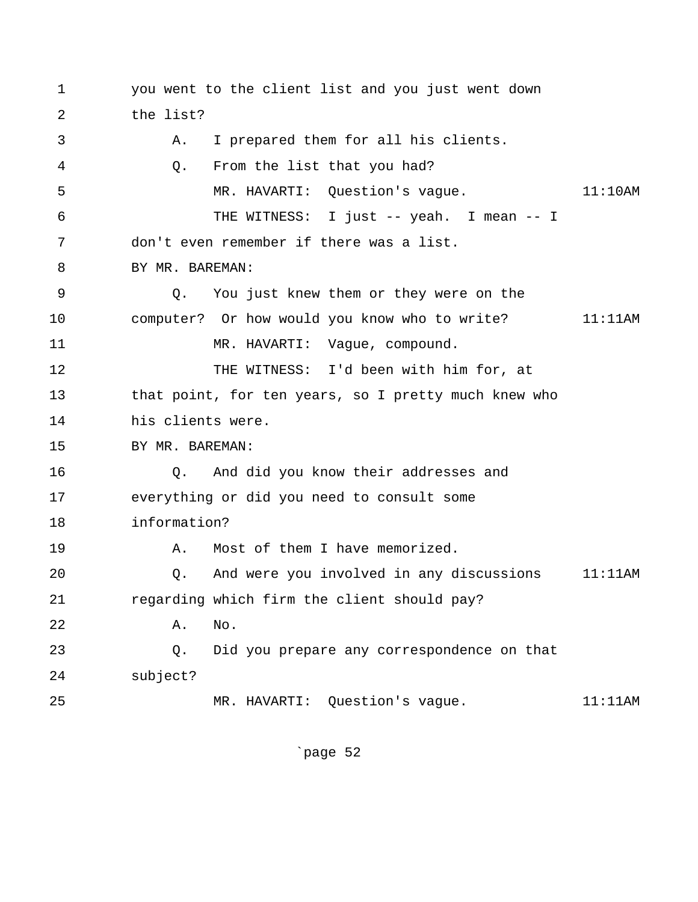1 you went to the client list and you just went down 2 the list? 3 A. I prepared them for all his clients. 4 Q. From the list that you had? 5 MR. HAVARTI: Question's vague. 11:10AM 6 THE WITNESS: I just -- yeah. I mean -- I 7 don't even remember if there was a list. 8 BY MR. BAREMAN: 9 Q. You just knew them or they were on the 10 computer? Or how would you know who to write? 11:11AM 11 MR. HAVARTI: Vague, compound. 12 THE WITNESS: I'd been with him for, at 13 that point, for ten years, so I pretty much knew who 14 his clients were. 15 BY MR. BAREMAN: 16 Q. And did you know their addresses and 17 everything or did you need to consult some 18 information? 19 A. Most of them I have memorized. 20 Q. And were you involved in any discussions 11:11AM 21 regarding which firm the client should pay? 22 A. No. 23 Q. Did you prepare any correspondence on that 24 subject? 25 MR. HAVARTI: Question's vague. 11:11AM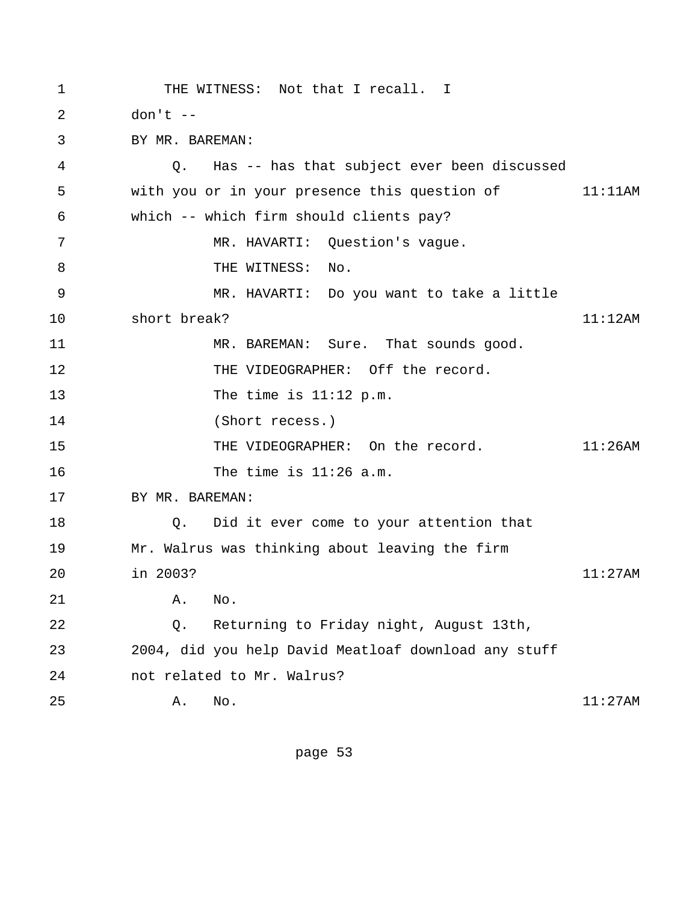1 THE WITNESS: Not that I recall. I 2 don't -- 3 BY MR. BAREMAN: 4 Q. Has -- has that subject ever been discussed 5 with you or in your presence this question of 11:11AM 6 which -- which firm should clients pay? 7 MR. HAVARTI: Question's vague. 8 THE WITNESS: No. 9 MR. HAVARTI: Do you want to take a little 10 short break? 11:12AM 11 MR. BAREMAN: Sure. That sounds good. 12 THE VIDEOGRAPHER: Off the record. 13 The time is 11:12 p.m. 14 (Short recess.) 15 THE VIDEOGRAPHER: On the record. 11:26AM 16 The time is 11:26 a.m. 17 BY MR. BAREMAN: 18 Q. Did it ever come to your attention that 19 Mr. Walrus was thinking about leaving the firm 20 in 2003? 11:27AM 21 A. No. 22 Q. Returning to Friday night, August 13th, 23 2004, did you help David Meatloaf download any stuff 24 not related to Mr. Walrus? 25 A. No. 11:27AM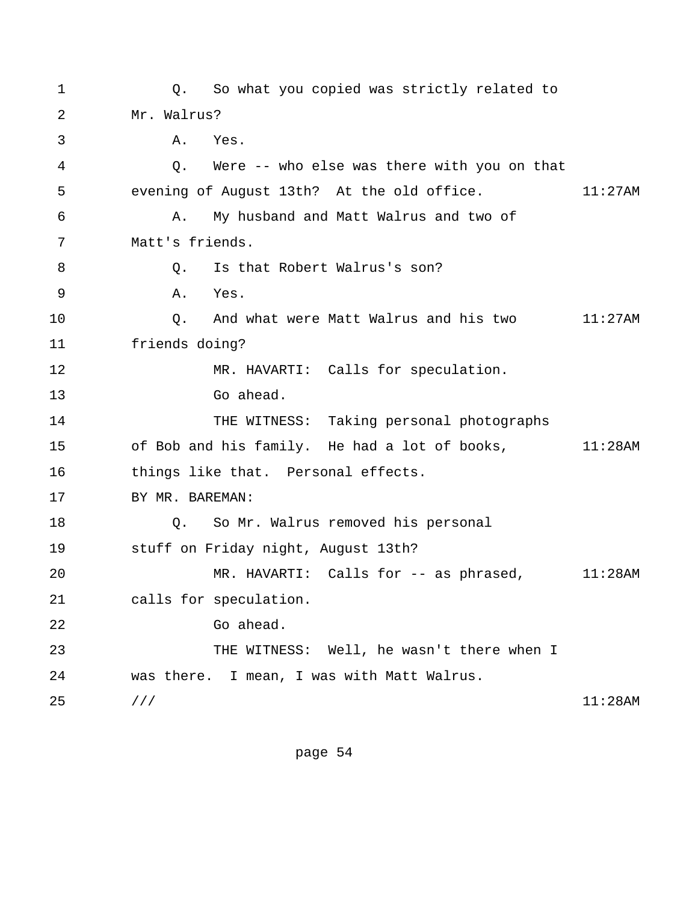1 Q. So what you copied was strictly related to 2 Mr. Walrus? 3 A. Yes. 4 Q. Were -- who else was there with you on that 5 evening of August 13th? At the old office. 11:27AM 6 A. My husband and Matt Walrus and two of 7 Matt's friends. 8 Q. Is that Robert Walrus's son? 9 A. Yes. 10 Q. And what were Matt Walrus and his two 11:27AM 11 friends doing? 12 MR. HAVARTI: Calls for speculation. 13 Go ahead. 14 THE WITNESS: Taking personal photographs 15 of Bob and his family. He had a lot of books, 11:28AM 16 things like that. Personal effects. 17 BY MR. BAREMAN: 18 0. So Mr. Walrus removed his personal 19 stuff on Friday night, August 13th? 20 MR. HAVARTI: Calls for -- as phrased, 11:28AM 21 calls for speculation. 22 Go ahead. 23 THE WITNESS: Well, he wasn't there when I 24 was there. I mean, I was with Matt Walrus.  $25$  /// 11:28AM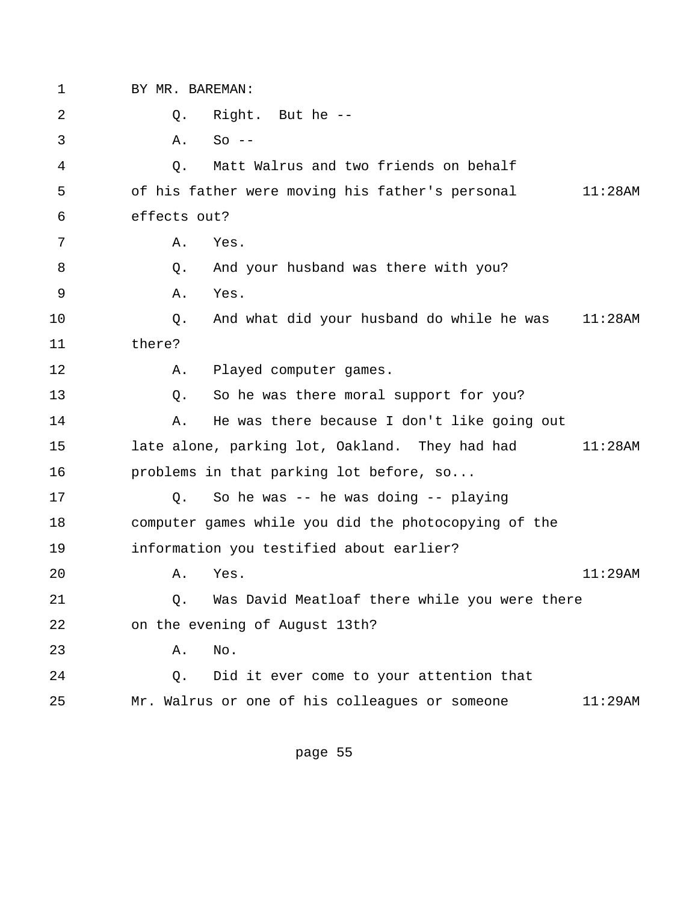1 BY MR. BAREMAN: 2 Q. Right. But he --  $3 \qquad A. \qquad SO --$  4 Q. Matt Walrus and two friends on behalf 5 of his father were moving his father's personal 11:28AM 6 effects out? 7 A. Yes. 8 Q. And your husband was there with you? 9 A. Yes. 10 Q. And what did your husband do while he was 11:28AM 11 there? 12 A. Played computer games. 13 Q. So he was there moral support for you? 14 A. He was there because I don't like going out 15 late alone, parking lot, Oakland. They had had 11:28AM 16 problems in that parking lot before, so... 17 Q. So he was -- he was doing -- playing 18 computer games while you did the photocopying of the 19 information you testified about earlier? 20 A. Yes. 11:29AM 21 Q. Was David Meatloaf there while you were there 22 on the evening of August 13th? 23 A. No. 24 Q. Did it ever come to your attention that 25 Mr. Walrus or one of his colleagues or someone 11:29AM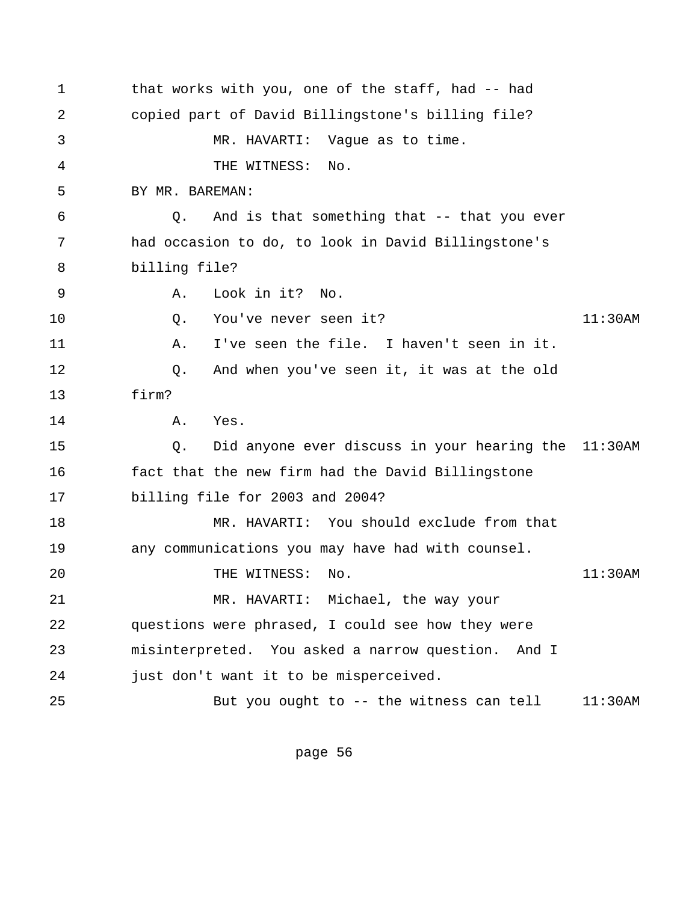1 that works with you, one of the staff, had -- had 2 copied part of David Billingstone's billing file? 3 MR. HAVARTI: Vague as to time. 4 THE WITNESS: No. 5 BY MR. BAREMAN: 6 Q. And is that something that -- that you ever 7 had occasion to do, to look in David Billingstone's 8 billing file? 9 A. Look in it? No. 10 Q. You've never seen it? 11:30AM 11 A. I've seen the file. I haven't seen in it. 12 Q. And when you've seen it, it was at the old 13 firm? 14 A. Yes. 15 Q. Did anyone ever discuss in your hearing the 11:30AM 16 fact that the new firm had the David Billingstone 17 billing file for 2003 and 2004? 18 MR. HAVARTI: You should exclude from that 19 any communications you may have had with counsel. 20 THE WITNESS: No. 11:30AM 21 MR. HAVARTI: Michael, the way your 22 questions were phrased, I could see how they were 23 misinterpreted. You asked a narrow question. And I 24 just don't want it to be misperceived. 25 But you ought to -- the witness can tell 11:30AM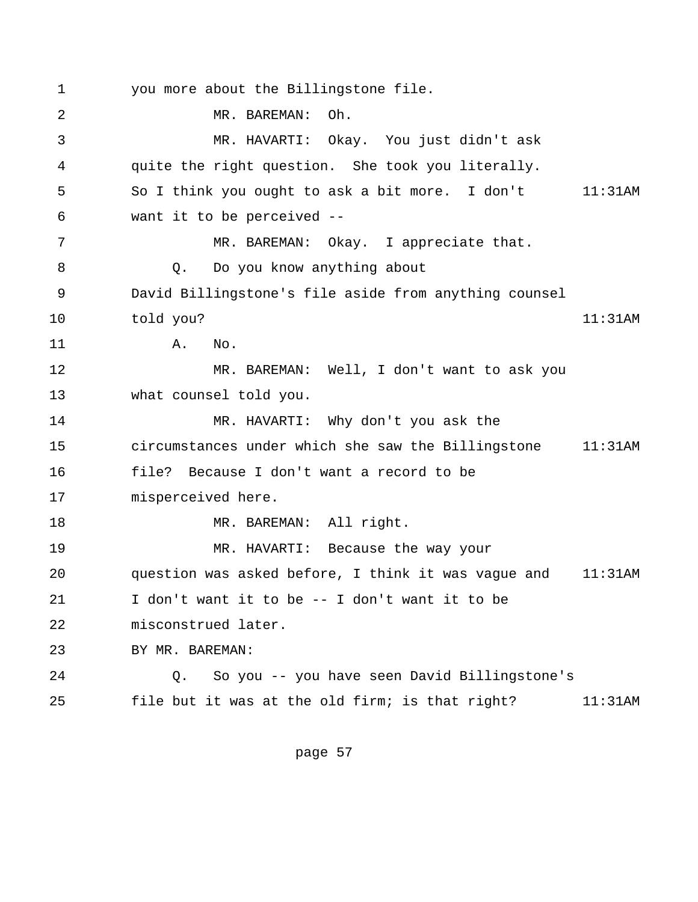1 you more about the Billingstone file. 2 MR. BAREMAN: Oh. 3 MR. HAVARTI: Okay. You just didn't ask 4 quite the right question. She took you literally. 5 So I think you ought to ask a bit more. I don't 11:31AM 6 want it to be perceived -- 7 MR. BAREMAN: Okay. I appreciate that. 8 Q. Do you know anything about 9 David Billingstone's file aside from anything counsel 10 told you? 11:31AM 11 A. No. 12 MR. BAREMAN: Well, I don't want to ask you 13 what counsel told you. 14 MR. HAVARTI: Why don't you ask the 15 circumstances under which she saw the Billingstone 11:31AM 16 file? Because I don't want a record to be 17 misperceived here. 18 MR. BAREMAN: All right. 19 MR. HAVARTI: Because the way your 20 question was asked before, I think it was vague and 11:31AM 21 I don't want it to be -- I don't want it to be 22 misconstrued later. 23 BY MR. BAREMAN: 24 Q. So you -- you have seen David Billingstone's 25 file but it was at the old firm; is that right? 11:31AM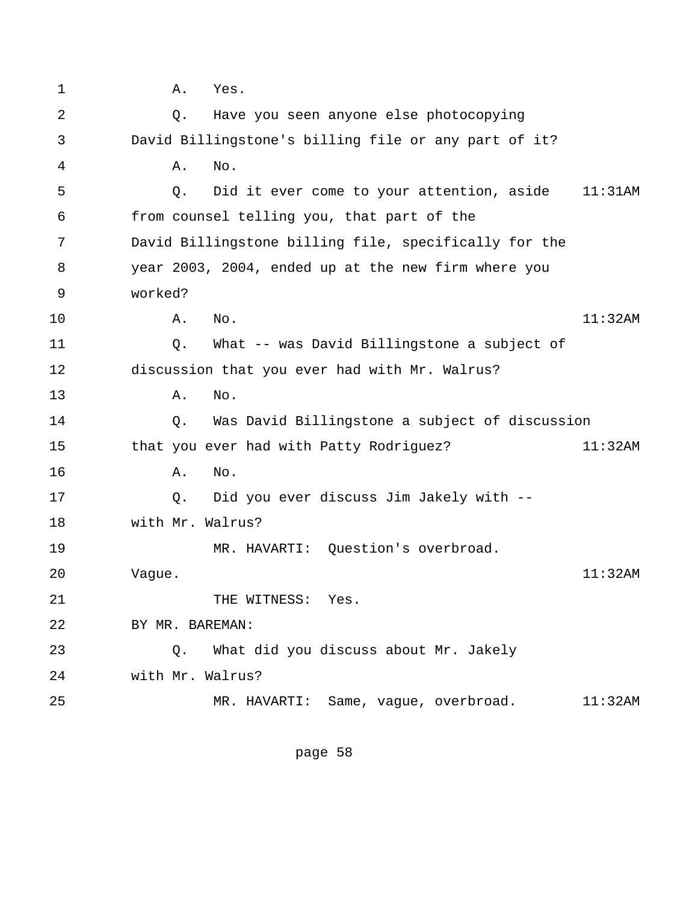1 A. Yes. 2 Q. Have you seen anyone else photocopying 3 David Billingstone's billing file or any part of it? 4 A. No. 5 Q. Did it ever come to your attention, aside 11:31AM 6 from counsel telling you, that part of the 7 David Billingstone billing file, specifically for the 8 year 2003, 2004, ended up at the new firm where you 9 worked? 10 A. No. 11:32AM 11 Q. What -- was David Billingstone a subject of 12 discussion that you ever had with Mr. Walrus? 13 A. No. 14 Q. Was David Billingstone a subject of discussion 15 that you ever had with Patty Rodriguez? 11:32AM 16 **A.** No. 17 Q. Did you ever discuss Jim Jakely with -- 18 with Mr. Walrus? 19 MR. HAVARTI: Question's overbroad. 20 Vague. 11:32AM 21 THE WITNESS: Yes. 22 BY MR. BAREMAN: 23 Q. What did you discuss about Mr. Jakely 24 with Mr. Walrus? 25 MR. HAVARTI: Same, vague, overbroad. 11:32AM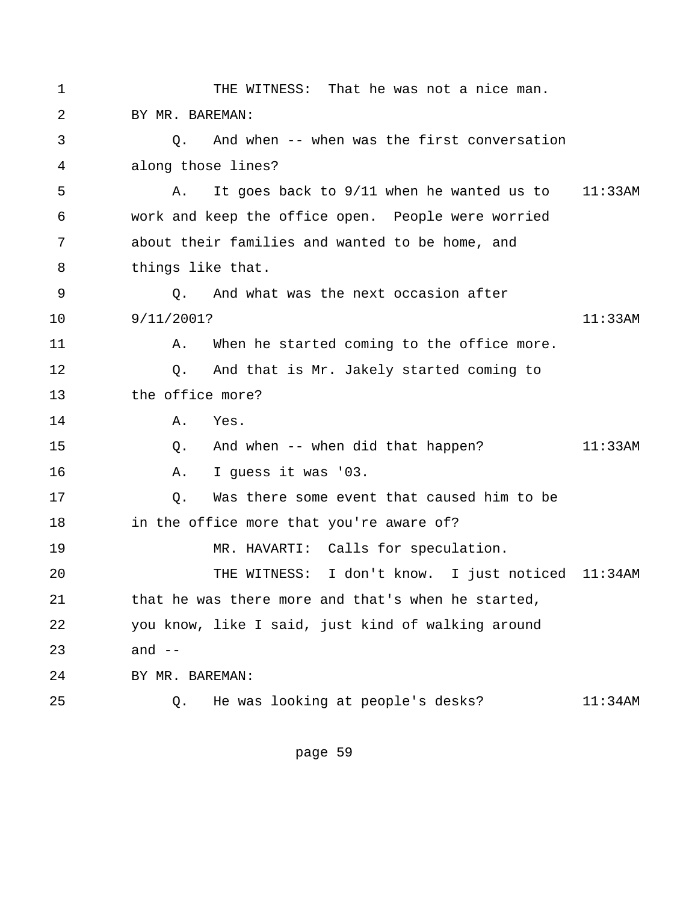| $\mathbf 1$ | THE WITNESS: That he was not a nice man.                |  |         |
|-------------|---------------------------------------------------------|--|---------|
| 2           | BY MR. BAREMAN:                                         |  |         |
| 3           | And when -- when was the first conversation<br>Q.       |  |         |
| 4           | along those lines?                                      |  |         |
| 5           | It goes back to 9/11 when he wanted us to 11:33AM<br>Α. |  |         |
| 6           | work and keep the office open. People were worried      |  |         |
| 7           | about their families and wanted to be home, and         |  |         |
| 8           | things like that.                                       |  |         |
| 9           | And what was the next occasion after<br>Q.              |  |         |
| 10          | 9/11/2001?                                              |  | 11:33AM |
| 11          | When he started coming to the office more.<br>Α.        |  |         |
| 12          | And that is Mr. Jakely started coming to<br>Q.          |  |         |
| 13          | the office more?                                        |  |         |
| 14          | Yes.<br>Α.                                              |  |         |
| 15          | And when -- when did that happen?<br>Q.                 |  | 11:33AM |
| 16          | I guess it was '03.<br>Α.                               |  |         |
| 17          | Was there some event that caused him to be<br>Q.        |  |         |
| 18          | in the office more that you're aware of?                |  |         |
| 19          | MR. HAVARTI: Calls for speculation.                     |  |         |
| 20          | THE WITNESS: I don't know. I just noticed 11:34AM       |  |         |
| 21          | that he was there more and that's when he started,      |  |         |
| 22          | you know, like I said, just kind of walking around      |  |         |
| 23          | and $--$                                                |  |         |
| 24          | BY MR. BAREMAN:                                         |  |         |
| 25          | He was looking at people's desks?<br>Q.                 |  | 11:34AM |
|             |                                                         |  |         |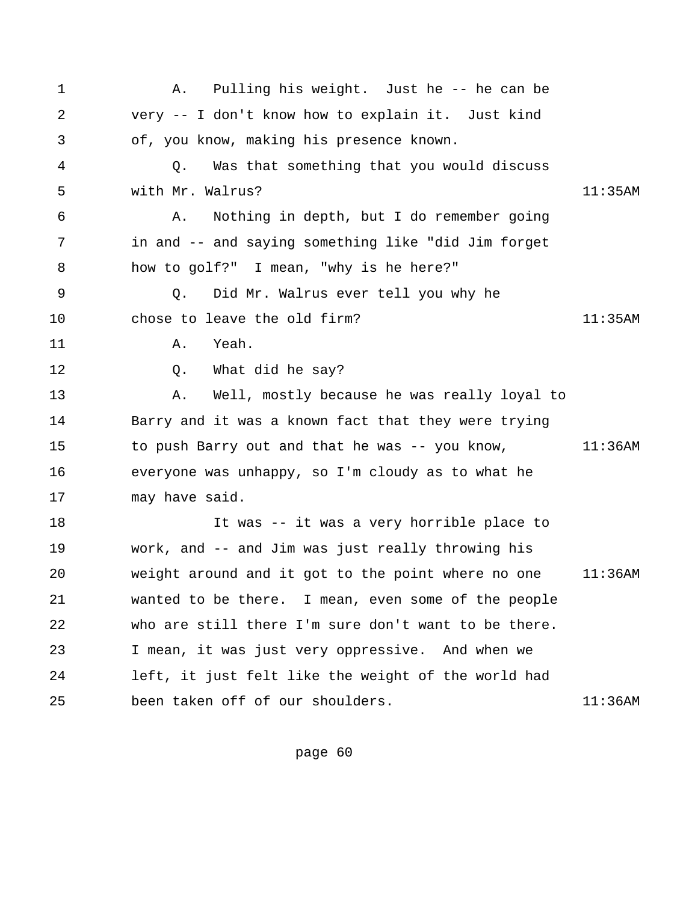| $\mathbf 1$ | Pulling his weight. Just he -- he can be<br>Α.         |            |
|-------------|--------------------------------------------------------|------------|
| 2           | very -- I don't know how to explain it. Just kind      |            |
| 3           | of, you know, making his presence known.               |            |
| 4           | Was that something that you would discuss<br>$\circ$ . |            |
| 5           | with Mr. Walrus?                                       | 11:35AM    |
| 6           | Nothing in depth, but I do remember going<br>Α.        |            |
| 7           | in and -- and saying something like "did Jim forget    |            |
| 8           | how to golf?" I mean, "why is he here?"                |            |
| 9           | Did Mr. Walrus ever tell you why he<br>Q.              |            |
| $10 \,$     | chose to leave the old firm?                           | 11:35AM    |
| 11          | Yeah.<br>Α.                                            |            |
| 12          | What did he say?<br>Q.                                 |            |
| 13          | Well, mostly because he was really loyal to<br>Α.      |            |
| 14          | Barry and it was a known fact that they were trying    |            |
| 15          | to push Barry out and that he was -- you know,         | $11:36$ AM |
| 16          | everyone was unhappy, so I'm cloudy as to what he      |            |
| 17          | may have said.                                         |            |
| 18          | It was -- it was a very horrible place to              |            |
| 19          | work, and -- and Jim was just really throwing his      |            |
| 20          | weight around and it got to the point where no one     | $11:36$ AM |
| 21          | wanted to be there. I mean, even some of the people    |            |
| 22          | who are still there I'm sure don't want to be there.   |            |
| 23          | I mean, it was just very oppressive. And when we       |            |
| 24          | left, it just felt like the weight of the world had    |            |
| 25          | been taken off of our shoulders.                       | 11:36AM    |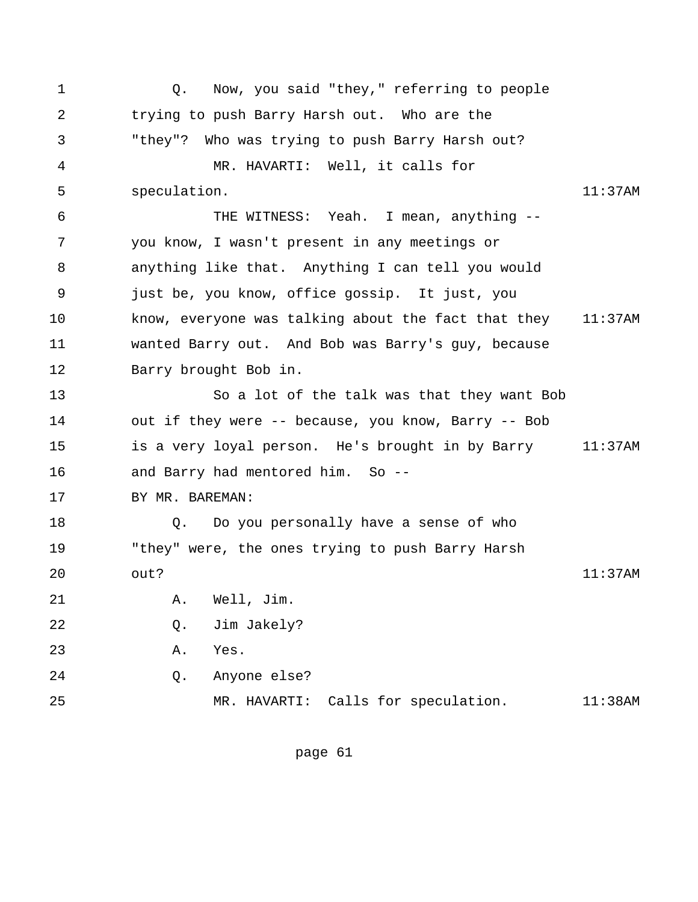1 Q. Now, you said "they," referring to people 2 trying to push Barry Harsh out. Who are the 3 "they"? Who was trying to push Barry Harsh out? 4 MR. HAVARTI: Well, it calls for 5 speculation. 11:37AM 6 THE WITNESS: Yeah. I mean, anything -- 7 you know, I wasn't present in any meetings or 8 anything like that. Anything I can tell you would 9 just be, you know, office gossip. It just, you 10 know, everyone was talking about the fact that they 11:37AM 11 wanted Barry out. And Bob was Barry's guy, because 12 Barry brought Bob in. 13 So a lot of the talk was that they want Bob 14 out if they were -- because, you know, Barry -- Bob 15 is a very loyal person. He's brought in by Barry 11:37AM 16 and Barry had mentored him. So -- 17 BY MR. BAREMAN: 18 0. Do you personally have a sense of who 19 "they" were, the ones trying to push Barry Harsh 20 out? 11:37AM 21 A. Well, Jim. 22 Q. Jim Jakely? 23 A. Yes. 24 Q. Anyone else? 25 MR. HAVARTI: Calls for speculation. 11:38AM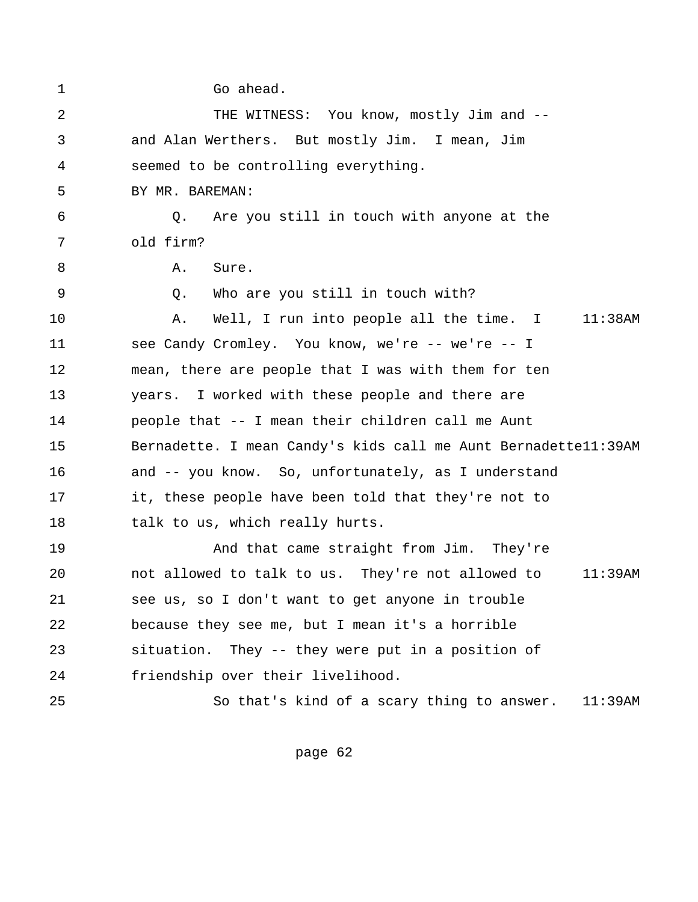| $\mathbf 1$ | Go ahead.                                                       |
|-------------|-----------------------------------------------------------------|
| 2           | THE WITNESS: You know, mostly Jim and --                        |
| 3           | and Alan Werthers. But mostly Jim. I mean, Jim                  |
| 4           | seemed to be controlling everything.                            |
| 5           | BY MR. BAREMAN:                                                 |
| 6           | Are you still in touch with anyone at the<br>Q.                 |
| 7           | old firm?                                                       |
| 8           | Α.<br>Sure.                                                     |
| 9           | Who are you still in touch with?<br>O.                          |
| 10          | Well, I run into people all the time. I 11:38AM<br>Α.           |
| 11          | see Candy Cromley. You know, we're -- we're -- I                |
| 12          | mean, there are people that I was with them for ten             |
| 13          | years. I worked with these people and there are                 |
| 14          | people that -- I mean their children call me Aunt               |
| 15          | Bernadette. I mean Candy's kids call me Aunt Bernadettell: 39AM |
| 16          | and -- you know. So, unfortunately, as I understand             |
| 17          | it, these people have been told that they're not to             |
| 18          | talk to us, which really hurts.                                 |
| 19          | And that came straight from Jim. They're                        |
| 20          | not allowed to talk to us. They're not allowed to<br>$11:39$ AM |
| 21          | see us, so I don't want to get anyone in trouble                |
| 22          | because they see me, but I mean it's a horrible                 |
| 23          | situation. They -- they were put in a position of               |
| 24          | friendship over their livelihood.                               |
| 25          | So that's kind of a scary thing to answer.<br>$11:39$ AM        |
|             |                                                                 |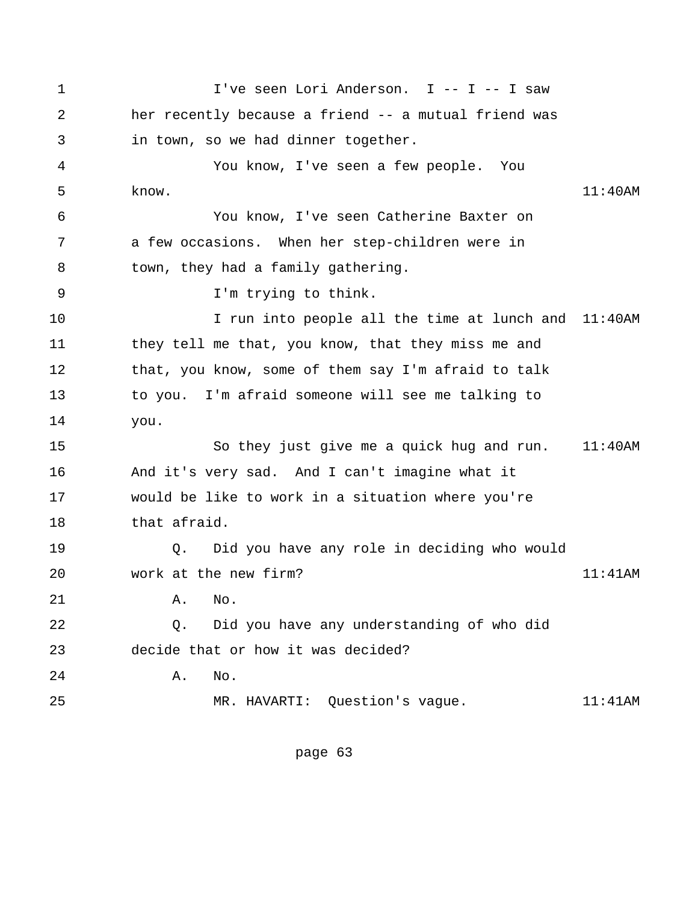1 I've seen Lori Anderson. I -- I -- I saw 2 her recently because a friend -- a mutual friend was 3 in town, so we had dinner together. 4 You know, I've seen a few people. You 5 know. 11:40AM 6 You know, I've seen Catherine Baxter on 7 a few occasions. When her step-children were in 8 town, they had a family gathering. 9 I'm trying to think. 10 I run into people all the time at lunch and 11:40AM 11 they tell me that, you know, that they miss me and 12 that, you know, some of them say I'm afraid to talk 13 to you. I'm afraid someone will see me talking to 14 you. 15 So they just give me a quick hug and run. 11:40AM 16 And it's very sad. And I can't imagine what it 17 would be like to work in a situation where you're 18 that afraid. 19 Q. Did you have any role in deciding who would 20 work at the new firm? 11:41AM 21 A. No. 22 Q. Did you have any understanding of who did 23 decide that or how it was decided? 24 A. No. 25 MR. HAVARTI: Question's vague. 11:41AM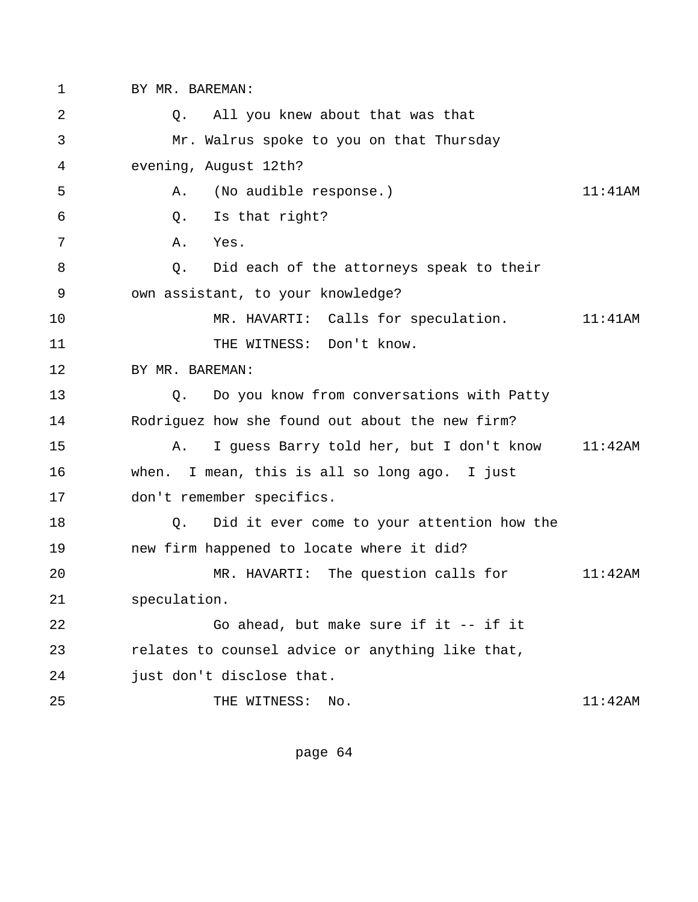1 BY MR. BAREMAN: 2 Q. All you knew about that was that 3 Mr. Walrus spoke to you on that Thursday 4 evening, August 12th? 5 A. (No audible response.) 11:41AM 6 Q. Is that right? 7 A. Yes. 8 Q. Did each of the attorneys speak to their 9 own assistant, to your knowledge? 10 MR. HAVARTI: Calls for speculation. 11:41AM 11 THE WITNESS: Don't know. 12 BY MR. BAREMAN: 13 Q. Do you know from conversations with Patty 14 Rodriguez how she found out about the new firm? 15 A. I guess Barry told her, but I don't know 11:42AM 16 when. I mean, this is all so long ago. I just 17 don't remember specifics. 18 Q. Did it ever come to your attention how the 19 new firm happened to locate where it did? 20 MR. HAVARTI: The question calls for 11:42AM 21 speculation. 22 Go ahead, but make sure if it -- if it 23 relates to counsel advice or anything like that, 24 just don't disclose that. 25 THE WITNESS: No. 11:42AM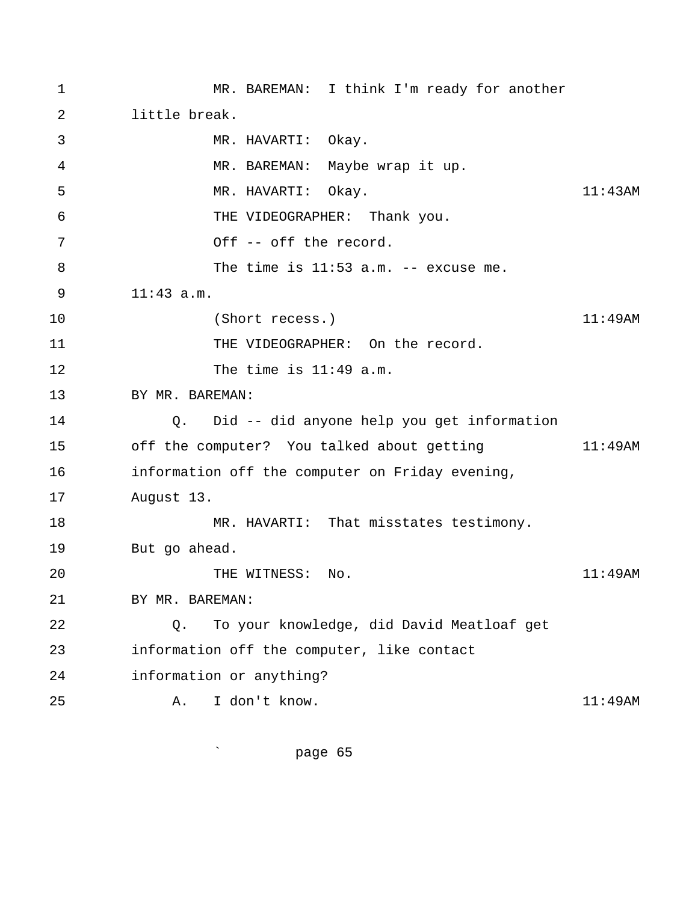1 MR. BAREMAN: I think I'm ready for another 2 little break. 3 MR. HAVARTI: Okay. 4 MR. BAREMAN: Maybe wrap it up. 5 MR. HAVARTI: Okay. 11:43AM 6 THE VIDEOGRAPHER: Thank you. 7 Off -- off the record. 8 The time is 11:53 a.m. -- excuse me. 9 11:43 a.m. 10 (Short recess.) 11:49AM 11 THE VIDEOGRAPHER: On the record. 12 The time is 11:49 a.m. 13 BY MR. BAREMAN: 14 Q. Did -- did anyone help you get information 15 off the computer? You talked about getting 11:49AM 16 information off the computer on Friday evening, 17 August 13. 18 MR. HAVARTI: That misstates testimony. 19 But go ahead. 20 THE WITNESS: No. 11:49AM 21 BY MR. BAREMAN: 22 Q. To your knowledge, did David Meatloaf get 23 information off the computer, like contact 24 information or anything? 25 A. I don't know. 11:49AM

` page 65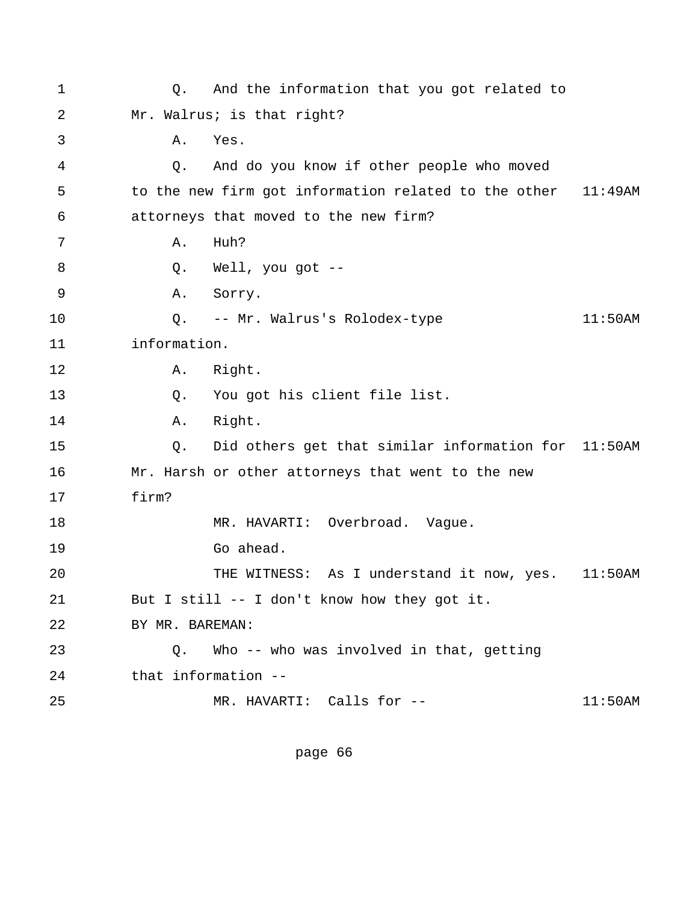1 Q. And the information that you got related to 2 Mr. Walrus; is that right? 3 A. Yes. 4 Q. And do you know if other people who moved 5 to the new firm got information related to the other 11:49AM 6 attorneys that moved to the new firm? 7 A. Huh? 8 Q. Well, you got -- 9 A. Sorry. 10 Q. -- Mr. Walrus's Rolodex-type 11:50AM 11 information. 12 A. Right. 13 Q. You got his client file list. 14 A. Right. 15 Q. Did others get that similar information for 11:50AM 16 Mr. Harsh or other attorneys that went to the new 17 firm? 18 MR. HAVARTI: Overbroad. Vague. 19 Go ahead. 20 THE WITNESS: As I understand it now, yes. 11:50AM 21 But I still -- I don't know how they got it. 22 BY MR. BAREMAN: 23 Q. Who -- who was involved in that, getting 24 that information -- 25 MR. HAVARTI: Calls for -- 11:50AM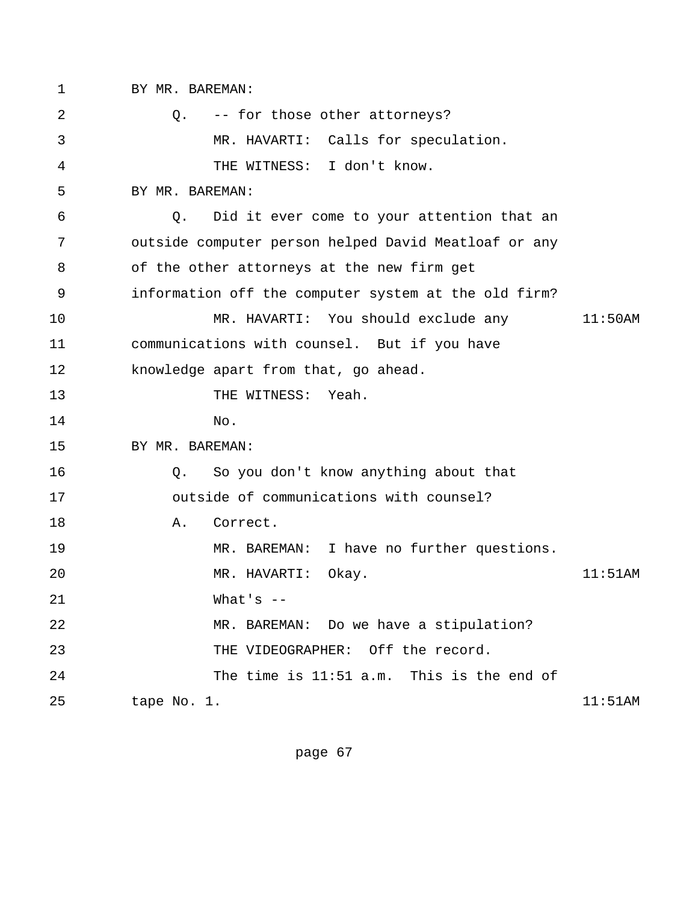1 BY MR. BAREMAN: 2 Q. -- for those other attorneys? 3 MR. HAVARTI: Calls for speculation. 4 THE WITNESS: I don't know. 5 BY MR. BAREMAN: 6 Q. Did it ever come to your attention that an 7 outside computer person helped David Meatloaf or any 8 of the other attorneys at the new firm get 9 information off the computer system at the old firm? 10 MR. HAVARTI: You should exclude any 11:50AM 11 communications with counsel. But if you have 12 knowledge apart from that, go ahead. 13 THE WITNESS: Yeah. 14 No. 15 BY MR. BAREMAN: 16 Q. So you don't know anything about that 17 outside of communications with counsel? 18 **A.** Correct. 19 MR. BAREMAN: I have no further questions. 20 MR. HAVARTI: Okay. 11:51AM 21 What's -- 22 MR. BAREMAN: Do we have a stipulation? 23 THE VIDEOGRAPHER: Off the record. 24 The time is 11:51 a.m. This is the end of 25 tape No. 1. 11:51AM

page 67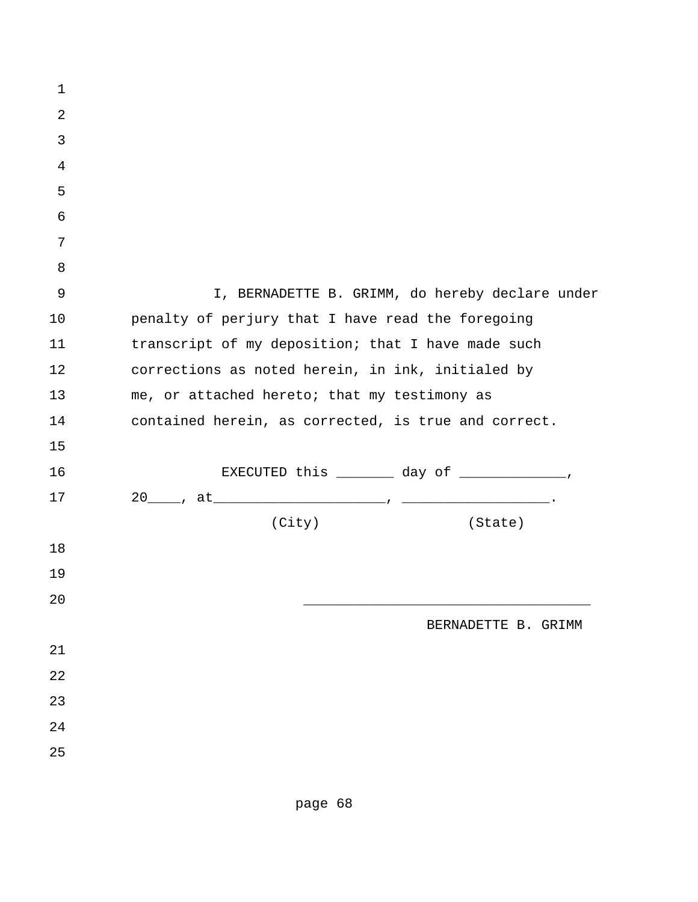| $\mathbf 1$ |                                                          |
|-------------|----------------------------------------------------------|
| $\sqrt{2}$  |                                                          |
| 3           |                                                          |
| 4           |                                                          |
| 5           |                                                          |
| 6           |                                                          |
| 7           |                                                          |
| 8           |                                                          |
| 9           | I, BERNADETTE B. GRIMM, do hereby declare under          |
| 10          | penalty of perjury that I have read the foregoing        |
| 11          | transcript of my deposition; that I have made such       |
| 12          | corrections as noted herein, in ink, initialed by        |
| 13          | me, or attached hereto; that my testimony as             |
| 14          | contained herein, as corrected, is true and correct.     |
| 15          |                                                          |
| 16          | EXECUTED this $\_\_\_\_\_\_\$ day of $\_\_\_\_\_\_\_\_\$ |
| 17          |                                                          |
|             | (City)<br>(State)                                        |
| 18          |                                                          |
| 19          |                                                          |
| 20          |                                                          |
|             | BERNADETTE B. GRIMM                                      |
| 21          |                                                          |
| 22          |                                                          |
| 23          |                                                          |
| 24          |                                                          |
| 25          |                                                          |